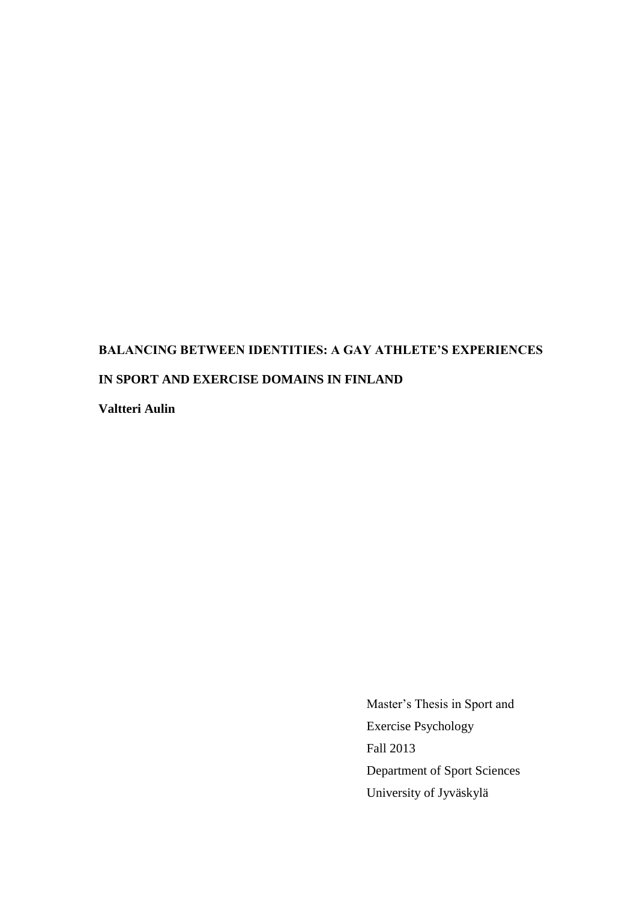# **BALANCING BETWEEN IDENTITIES: A GAY ATHLETE'S EXPERIENCES IN SPORT AND EXERCISE DOMAINS IN FINLAND**

**Valtteri Aulin**

Master's Thesis in Sport and Exercise Psychology Fall 2013 Department of Sport Sciences University of Jyväskylä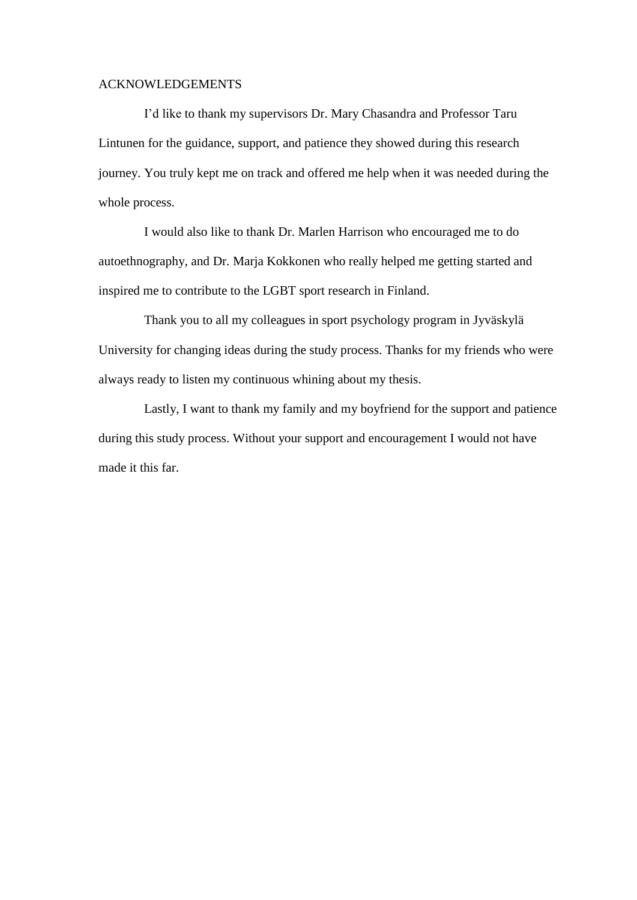#### ACKNOWLEDGEMENTS

I'd like to thank my supervisors Dr. Mary Chasandra and Professor Taru Lintunen for the guidance, support, and patience they showed during this research journey. You truly kept me on track and offered me help when it was needed during the whole process.

I would also like to thank Dr. Marlen Harrison who encouraged me to do autoethnography, and Dr. Marja Kokkonen who really helped me getting started and inspired me to contribute to the LGBT sport research in Finland.

Thank you to all my colleagues in sport psychology program in Jyväskylä University for changing ideas during the study process. Thanks for my friends who were always ready to listen my continuous whining about my thesis.

Lastly, I want to thank my family and my boyfriend for the support and patience during this study process. Without your support and encouragement I would not have made it this far.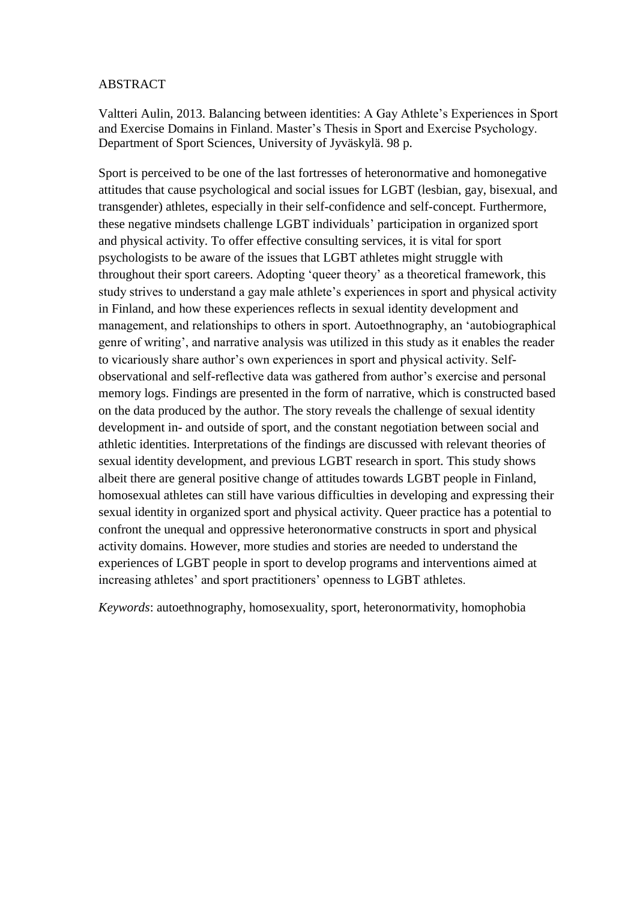# ABSTRACT

Valtteri Aulin, 2013. Balancing between identities: A Gay Athlete's Experiences in Sport and Exercise Domains in Finland. Master's Thesis in Sport and Exercise Psychology. Department of Sport Sciences, University of Jyväskylä. 98 p.

Sport is perceived to be one of the last fortresses of heteronormative and homonegative attitudes that cause psychological and social issues for LGBT (lesbian, gay, bisexual, and transgender) athletes, especially in their self-confidence and self-concept. Furthermore, these negative mindsets challenge LGBT individuals' participation in organized sport and physical activity. To offer effective consulting services, it is vital for sport psychologists to be aware of the issues that LGBT athletes might struggle with throughout their sport careers. Adopting 'queer theory' as a theoretical framework, this study strives to understand a gay male athlete's experiences in sport and physical activity in Finland, and how these experiences reflects in sexual identity development and management, and relationships to others in sport. Autoethnography, an 'autobiographical genre of writing', and narrative analysis was utilized in this study as it enables the reader to vicariously share author's own experiences in sport and physical activity. Selfobservational and self-reflective data was gathered from author's exercise and personal memory logs. Findings are presented in the form of narrative, which is constructed based on the data produced by the author. The story reveals the challenge of sexual identity development in- and outside of sport, and the constant negotiation between social and athletic identities. Interpretations of the findings are discussed with relevant theories of sexual identity development, and previous LGBT research in sport. This study shows albeit there are general positive change of attitudes towards LGBT people in Finland, homosexual athletes can still have various difficulties in developing and expressing their sexual identity in organized sport and physical activity. Queer practice has a potential to confront the unequal and oppressive heteronormative constructs in sport and physical activity domains. However, more studies and stories are needed to understand the experiences of LGBT people in sport to develop programs and interventions aimed at increasing athletes' and sport practitioners' openness to LGBT athletes.

*Keywords*: autoethnography, homosexuality, sport, heteronormativity, homophobia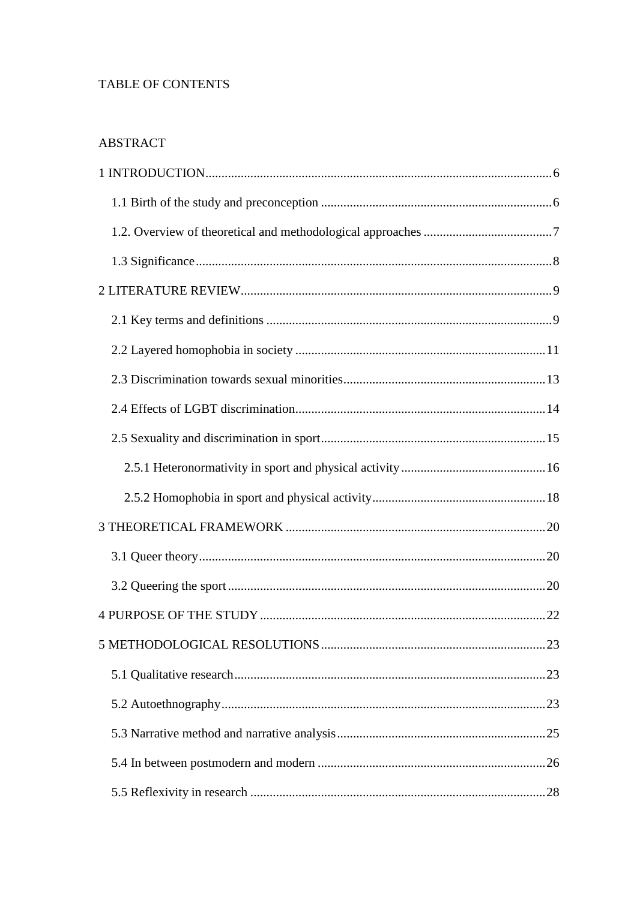# TABLE OF CONTENTS

# **ABSTRACT**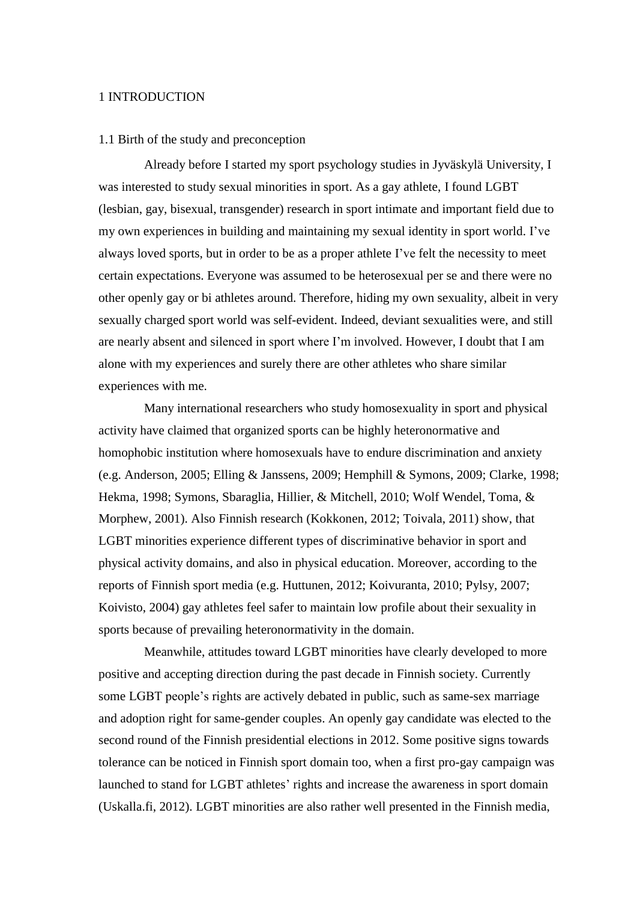#### <span id="page-5-0"></span>1 INTRODUCTION

#### <span id="page-5-1"></span>1.1 Birth of the study and preconception

Already before I started my sport psychology studies in Jyväskylä University, I was interested to study sexual minorities in sport. As a gay athlete, I found LGBT (lesbian, gay, bisexual, transgender) research in sport intimate and important field due to my own experiences in building and maintaining my sexual identity in sport world. I've always loved sports, but in order to be as a proper athlete I've felt the necessity to meet certain expectations. Everyone was assumed to be heterosexual per se and there were no other openly gay or bi athletes around. Therefore, hiding my own sexuality, albeit in very sexually charged sport world was self-evident. Indeed, deviant sexualities were, and still are nearly absent and silenced in sport where I'm involved. However, I doubt that I am alone with my experiences and surely there are other athletes who share similar experiences with me.

Many international researchers who study homosexuality in sport and physical activity have claimed that organized sports can be highly heteronormative and homophobic institution where homosexuals have to endure discrimination and anxiety (e.g. Anderson, 2005; Elling & Janssens, 2009; Hemphill & Symons, 2009; Clarke, 1998; Hekma, 1998; Symons, Sbaraglia, Hillier, & Mitchell, 2010; Wolf Wendel, Toma, & Morphew, 2001). Also Finnish research (Kokkonen, 2012; Toivala, 2011) show, that LGBT minorities experience different types of discriminative behavior in sport and physical activity domains, and also in physical education. Moreover, according to the reports of Finnish sport media (e.g. Huttunen, 2012; Koivuranta, 2010; Pylsy, 2007; Koivisto, 2004) gay athletes feel safer to maintain low profile about their sexuality in sports because of prevailing heteronormativity in the domain.

Meanwhile, attitudes toward LGBT minorities have clearly developed to more positive and accepting direction during the past decade in Finnish society. Currently some LGBT people's rights are actively debated in public, such as same-sex marriage and adoption right for same-gender couples. An openly gay candidate was elected to the second round of the Finnish presidential elections in 2012. Some positive signs towards tolerance can be noticed in Finnish sport domain too, when a first pro-gay campaign was launched to stand for LGBT athletes' rights and increase the awareness in sport domain (Uskalla.fi, 2012). LGBT minorities are also rather well presented in the Finnish media,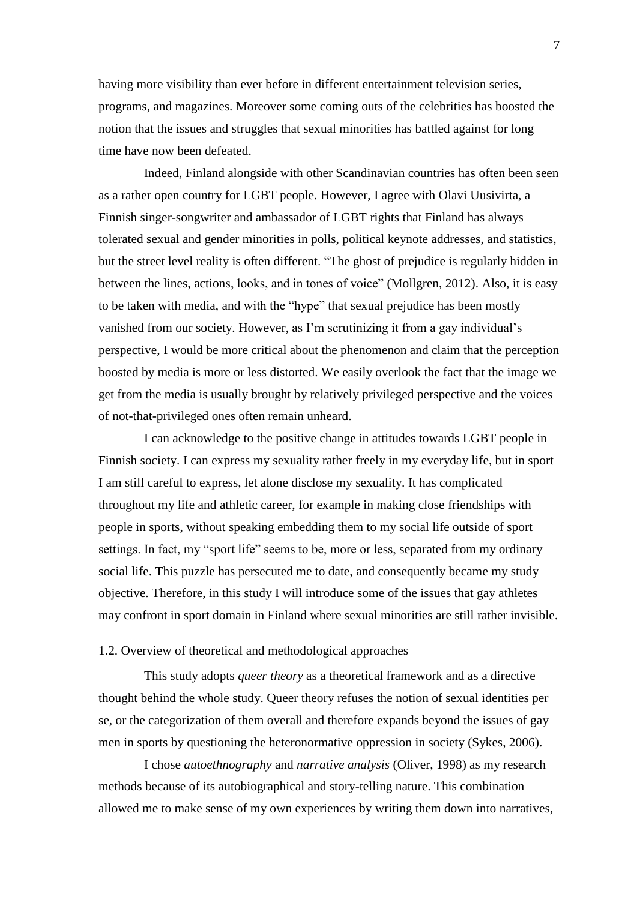having more visibility than ever before in different entertainment television series, programs, and magazines. Moreover some coming outs of the celebrities has boosted the notion that the issues and struggles that sexual minorities has battled against for long time have now been defeated.

Indeed, Finland alongside with other Scandinavian countries has often been seen as a rather open country for LGBT people. However, I agree with Olavi Uusivirta, a Finnish singer-songwriter and ambassador of LGBT rights that Finland has always tolerated sexual and gender minorities in polls, political keynote addresses, and statistics, but the street level reality is often different. "The ghost of prejudice is regularly hidden in between the lines, actions, looks, and in tones of voice" (Mollgren, 2012). Also, it is easy to be taken with media, and with the "hype" that sexual prejudice has been mostly vanished from our society. However, as I'm scrutinizing it from a gay individual's perspective, I would be more critical about the phenomenon and claim that the perception boosted by media is more or less distorted. We easily overlook the fact that the image we get from the media is usually brought by relatively privileged perspective and the voices of not-that-privileged ones often remain unheard.

I can acknowledge to the positive change in attitudes towards LGBT people in Finnish society. I can express my sexuality rather freely in my everyday life, but in sport I am still careful to express, let alone disclose my sexuality. It has complicated throughout my life and athletic career, for example in making close friendships with people in sports, without speaking embedding them to my social life outside of sport settings. In fact, my "sport life" seems to be, more or less, separated from my ordinary social life. This puzzle has persecuted me to date, and consequently became my study objective. Therefore, in this study I will introduce some of the issues that gay athletes may confront in sport domain in Finland where sexual minorities are still rather invisible.

# <span id="page-6-0"></span>1.2. Overview of theoretical and methodological approaches

This study adopts *queer theory* as a theoretical framework and as a directive thought behind the whole study. Queer theory refuses the notion of sexual identities per se, or the categorization of them overall and therefore expands beyond the issues of gay men in sports by questioning the heteronormative oppression in society (Sykes, 2006).

I chose *autoethnography* and *narrative analysis* (Oliver, 1998) as my research methods because of its autobiographical and story-telling nature. This combination allowed me to make sense of my own experiences by writing them down into narratives,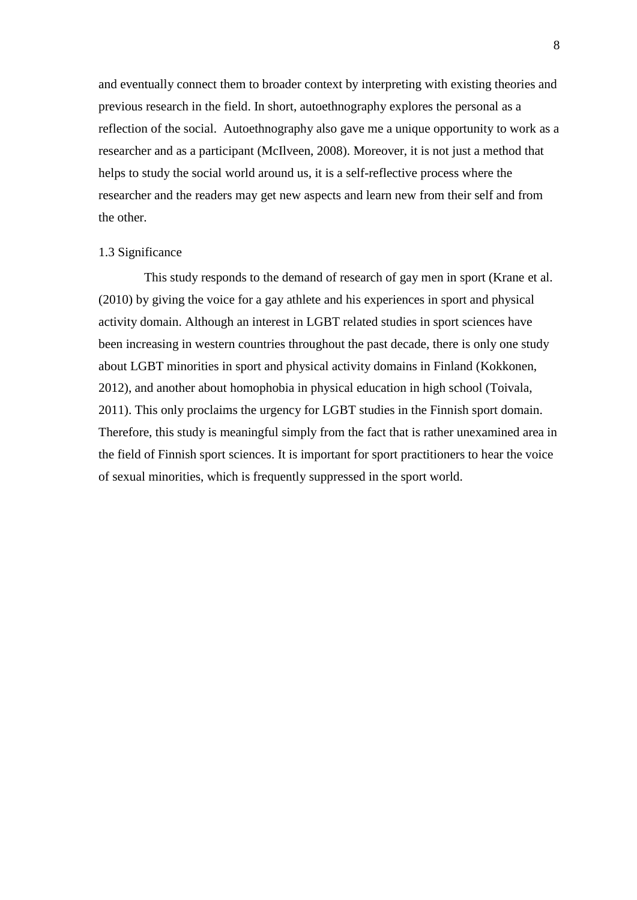and eventually connect them to broader context by interpreting with existing theories and previous research in the field. In short, autoethnography explores the personal as a reflection of the social. Autoethnography also gave me a unique opportunity to work as a researcher and as a participant (McIlveen, 2008). Moreover, it is not just a method that helps to study the social world around us, it is a self-reflective process where the researcher and the readers may get new aspects and learn new from their self and from the other.

#### <span id="page-7-0"></span>1.3 Significance

This study responds to the demand of research of gay men in sport (Krane et al. (2010) by giving the voice for a gay athlete and his experiences in sport and physical activity domain. Although an interest in LGBT related studies in sport sciences have been increasing in western countries throughout the past decade, there is only one study about LGBT minorities in sport and physical activity domains in Finland (Kokkonen, 2012), and another about homophobia in physical education in high school (Toivala, 2011). This only proclaims the urgency for LGBT studies in the Finnish sport domain. Therefore, this study is meaningful simply from the fact that is rather unexamined area in the field of Finnish sport sciences. It is important for sport practitioners to hear the voice of sexual minorities, which is frequently suppressed in the sport world.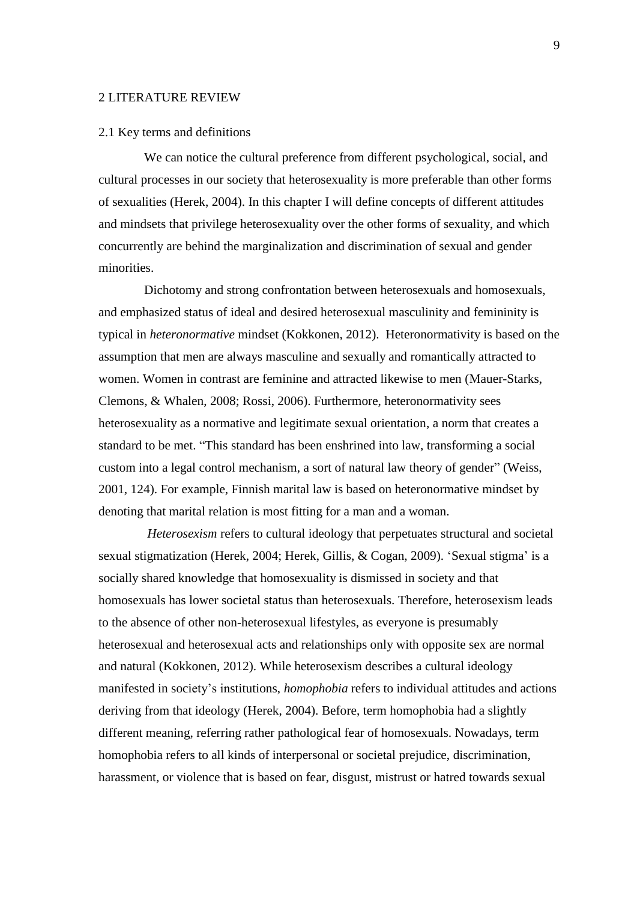#### <span id="page-8-0"></span>2 LITERATURE REVIEW

#### <span id="page-8-1"></span>2.1 Key terms and definitions

We can notice the cultural preference from different psychological, social, and cultural processes in our society that heterosexuality is more preferable than other forms of sexualities (Herek, 2004). In this chapter I will define concepts of different attitudes and mindsets that privilege heterosexuality over the other forms of sexuality, and which concurrently are behind the marginalization and discrimination of sexual and gender minorities.

Dichotomy and strong confrontation between heterosexuals and homosexuals, and emphasized status of ideal and desired heterosexual masculinity and femininity is typical in *heteronormative* mindset (Kokkonen, 2012). Heteronormativity is based on the assumption that men are always masculine and sexually and romantically attracted to women. Women in contrast are feminine and attracted likewise to men (Mauer-Starks, Clemons, & Whalen, 2008; Rossi, 2006). Furthermore, heteronormativity sees heterosexuality as a normative and legitimate sexual orientation, a norm that creates a standard to be met. "This standard has been enshrined into law, transforming a social custom into a legal control mechanism, a sort of natural law theory of gender" (Weiss, 2001, 124). For example, Finnish marital law is based on heteronormative mindset by denoting that marital relation is most fitting for a man and a woman.

*Heterosexism* refers to cultural ideology that perpetuates structural and societal sexual stigmatization (Herek, 2004; Herek, Gillis, & Cogan, 2009). 'Sexual stigma' is a socially shared knowledge that homosexuality is dismissed in society and that homosexuals has lower societal status than heterosexuals. Therefore, heterosexism leads to the absence of other non-heterosexual lifestyles, as everyone is presumably heterosexual and heterosexual acts and relationships only with opposite sex are normal and natural (Kokkonen, 2012). While heterosexism describes a cultural ideology manifested in society's institutions, *homophobia* refers to individual attitudes and actions deriving from that ideology (Herek, 2004). Before, term homophobia had a slightly different meaning, referring rather pathological fear of homosexuals. Nowadays, term homophobia refers to all kinds of interpersonal or societal prejudice, discrimination, harassment, or violence that is based on fear, disgust, mistrust or hatred towards sexual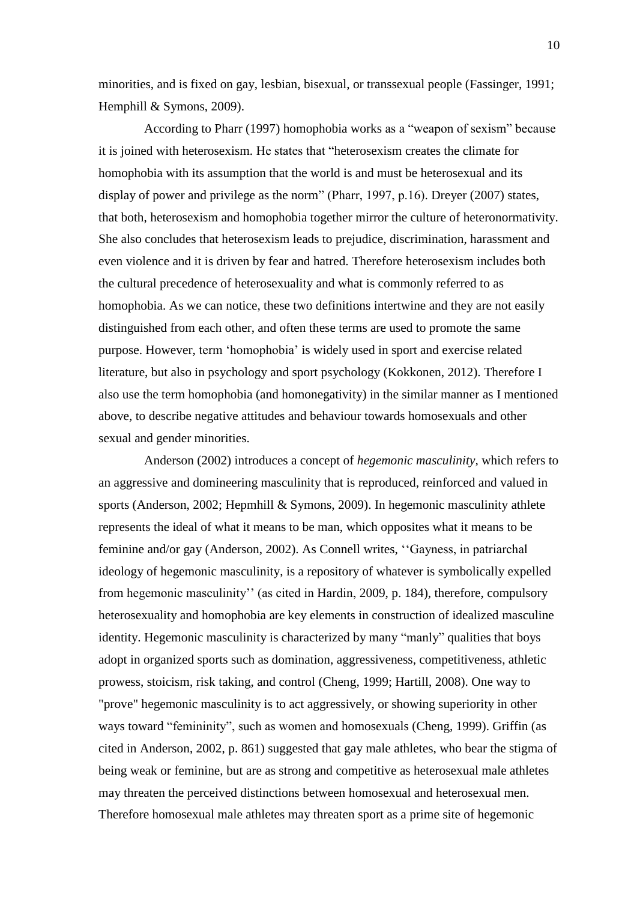minorities, and is fixed on gay, lesbian, bisexual, or transsexual people (Fassinger, 1991; Hemphill & Symons, 2009).

According to Pharr (1997) homophobia works as a "weapon of sexism" because it is joined with heterosexism. He states that "heterosexism creates the climate for homophobia with its assumption that the world is and must be heterosexual and its display of power and privilege as the norm" (Pharr, 1997, p.16). Dreyer (2007) states, that both, heterosexism and homophobia together mirror the culture of heteronormativity. She also concludes that heterosexism leads to prejudice, discrimination, harassment and even violence and it is driven by fear and hatred. Therefore heterosexism includes both the cultural precedence of heterosexuality and what is commonly referred to as homophobia. As we can notice, these two definitions intertwine and they are not easily distinguished from each other, and often these terms are used to promote the same purpose. However, term ‗homophobia' is widely used in sport and exercise related literature, but also in psychology and sport psychology (Kokkonen, 2012). Therefore I also use the term homophobia (and homonegativity) in the similar manner as I mentioned above, to describe negative attitudes and behaviour towards homosexuals and other sexual and gender minorities.

Anderson (2002) introduces a concept of *hegemonic masculinity,* which refers to an aggressive and domineering masculinity that is reproduced, reinforced and valued in sports (Anderson, 2002; Hepmhill & Symons, 2009). In hegemonic masculinity athlete represents the ideal of what it means to be man, which opposites what it means to be feminine and/or gay (Anderson, 2002). As Connell writes, "Gayness, in patriarchal ideology of hegemonic masculinity, is a repository of whatever is symbolically expelled from hegemonic masculinity'' (as cited in Hardin, 2009, p. 184), therefore, compulsory heterosexuality and homophobia are key elements in construction of idealized masculine identity. Hegemonic masculinity is characterized by many "manly" qualities that boys adopt in organized sports such as domination, aggressiveness, competitiveness, athletic prowess, stoicism, risk taking, and control (Cheng, 1999; Hartill, 2008). One way to "prove" hegemonic masculinity is to act aggressively, or showing superiority in other ways toward "femininity", such as women and homosexuals (Cheng, 1999). Griffin (as cited in Anderson, 2002, p. 861) suggested that gay male athletes, who bear the stigma of being weak or feminine, but are as strong and competitive as heterosexual male athletes may threaten the perceived distinctions between homosexual and heterosexual men. Therefore homosexual male athletes may threaten sport as a prime site of hegemonic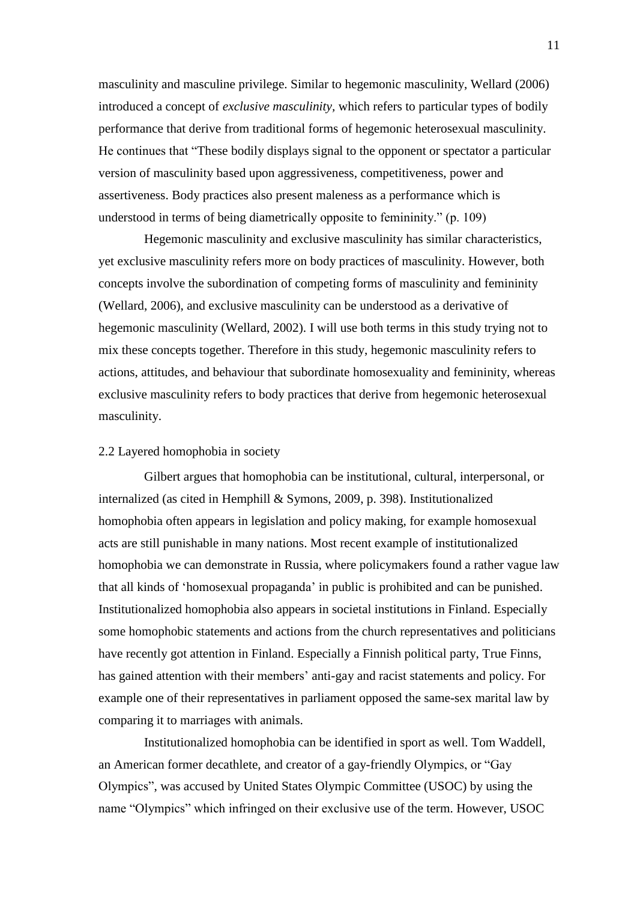masculinity and masculine privilege. Similar to hegemonic masculinity, Wellard (2006) introduced a concept of *exclusive masculinity,* which refers to particular types of bodily performance that derive from traditional forms of hegemonic heterosexual masculinity. He continues that "These bodily displays signal to the opponent or spectator a particular version of masculinity based upon aggressiveness, competitiveness, power and assertiveness. Body practices also present maleness as a performance which is understood in terms of being diametrically opposite to femininity."  $(p. 109)$ 

Hegemonic masculinity and exclusive masculinity has similar characteristics, yet exclusive masculinity refers more on body practices of masculinity. However, both concepts involve the subordination of competing forms of masculinity and femininity (Wellard, 2006), and exclusive masculinity can be understood as a derivative of hegemonic masculinity (Wellard, 2002). I will use both terms in this study trying not to mix these concepts together. Therefore in this study, hegemonic masculinity refers to actions, attitudes, and behaviour that subordinate homosexuality and femininity, whereas exclusive masculinity refers to body practices that derive from hegemonic heterosexual masculinity.

#### <span id="page-10-0"></span>2.2 Layered homophobia in society

Gilbert argues that homophobia can be institutional, cultural, interpersonal, or internalized (as cited in Hemphill & Symons, 2009, p. 398). Institutionalized homophobia often appears in legislation and policy making, for example homosexual acts are still punishable in many nations. Most recent example of institutionalized homophobia we can demonstrate in Russia, where policymakers found a rather vague law that all kinds of ‗homosexual propaganda' in public is prohibited and can be punished. Institutionalized homophobia also appears in societal institutions in Finland. Especially some homophobic statements and actions from the church representatives and politicians have recently got attention in Finland. Especially a Finnish political party, True Finns, has gained attention with their members' anti-gay and racist statements and policy. For example one of their representatives in parliament opposed the same-sex marital law by comparing it to marriages with animals.

Institutionalized homophobia can be identified in sport as well. Tom Waddell, an American former decathlete, and creator of a gay-friendly Olympics, or "Gay Olympics‖, was accused by United States Olympic Committee (USOC) by using the name "Olympics" which infringed on their exclusive use of the term. However, USOC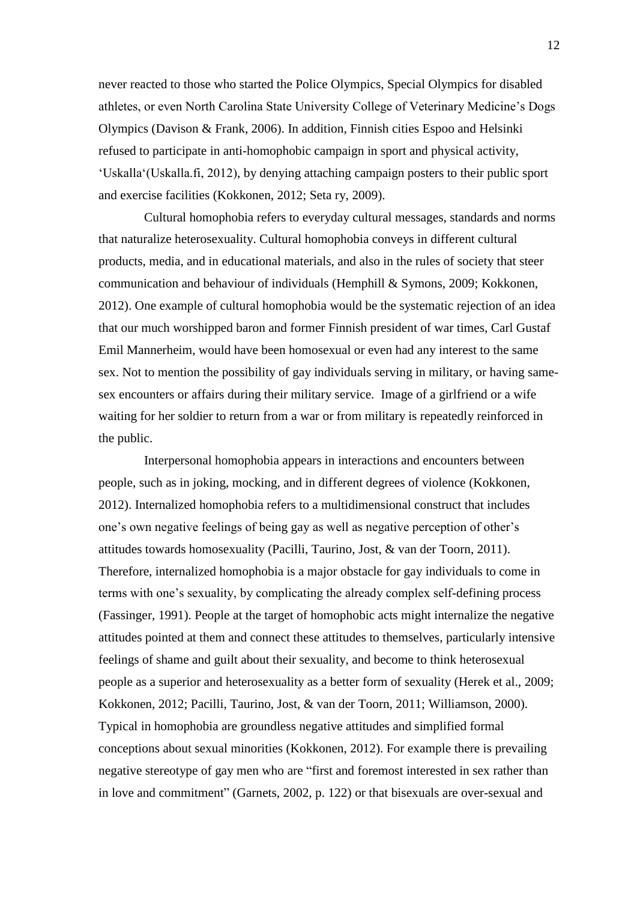never reacted to those who started the Police Olympics, Special Olympics for disabled athletes, or even North Carolina State University College of Veterinary Medicine's Dogs Olympics (Davison & Frank, 2006). In addition, Finnish cities Espoo and Helsinki refused to participate in anti-homophobic campaign in sport and physical activity, ‗Uskalla‗(Uskalla.fi, 2012), by denying attaching campaign posters to their public sport and exercise facilities (Kokkonen, 2012; Seta ry, 2009).

Cultural homophobia refers to everyday cultural messages, standards and norms that naturalize heterosexuality. Cultural homophobia conveys in different cultural products, media, and in educational materials, and also in the rules of society that steer communication and behaviour of individuals (Hemphill & Symons, 2009; Kokkonen, 2012). One example of cultural homophobia would be the systematic rejection of an idea that our much worshipped baron and former Finnish president of war times, Carl Gustaf Emil Mannerheim, would have been homosexual or even had any interest to the same sex. Not to mention the possibility of gay individuals serving in military, or having samesex encounters or affairs during their military service. Image of a girlfriend or a wife waiting for her soldier to return from a war or from military is repeatedly reinforced in the public.

Interpersonal homophobia appears in interactions and encounters between people, such as in joking, mocking, and in different degrees of violence (Kokkonen, 2012). Internalized homophobia refers to a multidimensional construct that includes one's own negative feelings of being gay as well as negative perception of other's attitudes towards homosexuality (Pacilli, Taurino, Jost, & van der Toorn, 2011). Therefore, internalized homophobia is a major obstacle for gay individuals to come in terms with one's sexuality, by complicating the already complex self-defining process (Fassinger, 1991). People at the target of homophobic acts might internalize the negative attitudes pointed at them and connect these attitudes to themselves, particularly intensive feelings of shame and guilt about their sexuality, and become to think heterosexual people as a superior and heterosexuality as a better form of sexuality (Herek et al., 2009; Kokkonen, 2012; Pacilli, Taurino, Jost, & van der Toorn, 2011; Williamson, 2000). Typical in homophobia are groundless negative attitudes and simplified formal conceptions about sexual minorities (Kokkonen, 2012). For example there is prevailing negative stereotype of gay men who are "first and foremost interested in sex rather than in love and commitment" (Garnets, 2002, p. 122) or that bisexuals are over-sexual and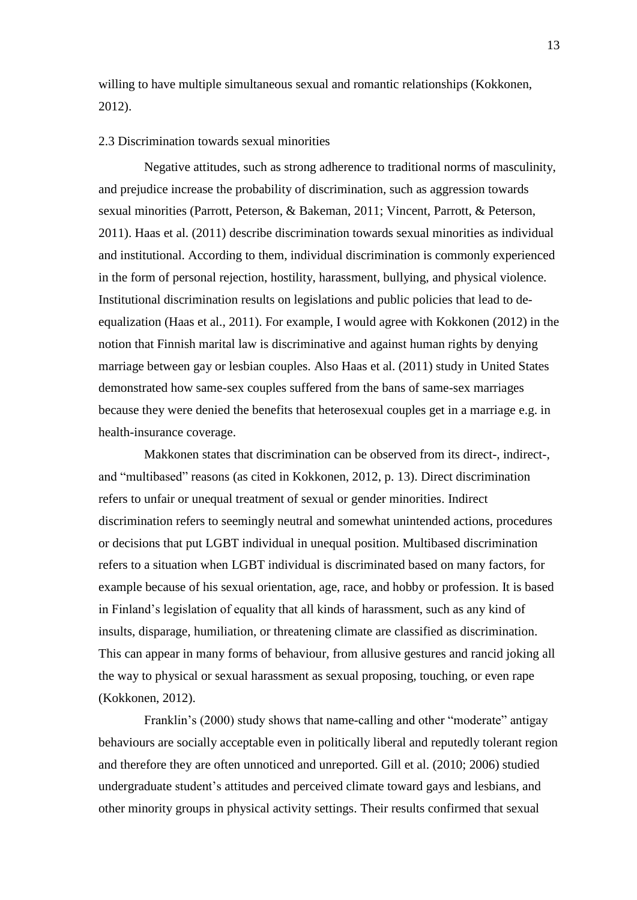willing to have multiple simultaneous sexual and romantic relationships (Kokkonen, 2012).

#### <span id="page-12-0"></span>2.3 Discrimination towards sexual minorities

Negative attitudes, such as strong adherence to traditional norms of masculinity, and prejudice increase the probability of discrimination, such as aggression towards sexual minorities (Parrott, Peterson, & Bakeman, 2011; Vincent, Parrott, & Peterson, 2011). Haas et al. (2011) describe discrimination towards sexual minorities as individual and institutional. According to them, individual discrimination is commonly experienced in the form of personal rejection, hostility, harassment, bullying, and physical violence. Institutional discrimination results on legislations and public policies that lead to deequalization (Haas et al., 2011). For example, I would agree with Kokkonen (2012) in the notion that Finnish marital law is discriminative and against human rights by denying marriage between gay or lesbian couples. Also Haas et al. (2011) study in United States demonstrated how same-sex couples suffered from the bans of same-sex marriages because they were denied the benefits that heterosexual couples get in a marriage e.g. in health-insurance coverage.

Makkonen states that discrimination can be observed from its direct-, indirect-, and "multibased" reasons (as cited in Kokkonen, 2012, p. 13). Direct discrimination refers to unfair or unequal treatment of sexual or gender minorities. Indirect discrimination refers to seemingly neutral and somewhat unintended actions, procedures or decisions that put LGBT individual in unequal position. Multibased discrimination refers to a situation when LGBT individual is discriminated based on many factors, for example because of his sexual orientation, age, race, and hobby or profession. It is based in Finland's legislation of equality that all kinds of harassment, such as any kind of insults, disparage, humiliation, or threatening climate are classified as discrimination. This can appear in many forms of behaviour, from allusive gestures and rancid joking all the way to physical or sexual harassment as sexual proposing, touching, or even rape (Kokkonen, 2012).

Franklin's (2000) study shows that name-calling and other "moderate" antigay behaviours are socially acceptable even in politically liberal and reputedly tolerant region and therefore they are often unnoticed and unreported. Gill et al. (2010; 2006) studied undergraduate student's attitudes and perceived climate toward gays and lesbians, and other minority groups in physical activity settings. Their results confirmed that sexual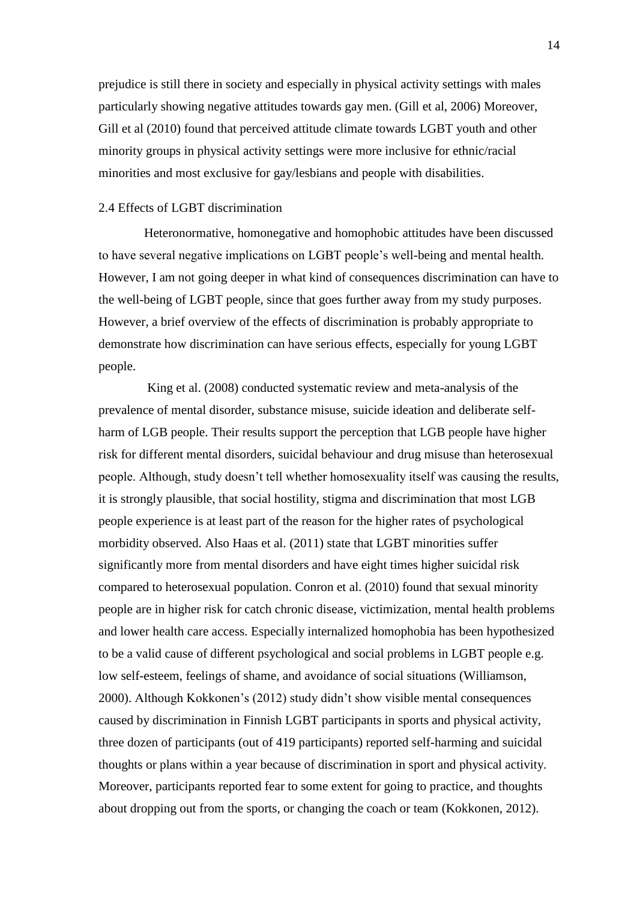prejudice is still there in society and especially in physical activity settings with males particularly showing negative attitudes towards gay men. (Gill et al, 2006) Moreover, Gill et al (2010) found that perceived attitude climate towards LGBT youth and other minority groups in physical activity settings were more inclusive for ethnic/racial minorities and most exclusive for gay/lesbians and people with disabilities.

# <span id="page-13-0"></span>2.4 Effects of LGBT discrimination

Heteronormative, homonegative and homophobic attitudes have been discussed to have several negative implications on LGBT people's well-being and mental health. However, I am not going deeper in what kind of consequences discrimination can have to the well-being of LGBT people, since that goes further away from my study purposes. However, a brief overview of the effects of discrimination is probably appropriate to demonstrate how discrimination can have serious effects, especially for young LGBT people.

King et al. (2008) conducted systematic review and meta-analysis of the prevalence of mental disorder, substance misuse, suicide ideation and deliberate selfharm of LGB people. Their results support the perception that LGB people have higher risk for different mental disorders, suicidal behaviour and drug misuse than heterosexual people. Although, study doesn't tell whether homosexuality itself was causing the results, it is strongly plausible, that social hostility, stigma and discrimination that most LGB people experience is at least part of the reason for the higher rates of psychological morbidity observed. Also Haas et al. (2011) state that LGBT minorities suffer significantly more from mental disorders and have eight times higher suicidal risk compared to heterosexual population. Conron et al. (2010) found that sexual minority people are in higher risk for catch chronic disease, victimization, mental health problems and lower health care access. Especially internalized homophobia has been hypothesized to be a valid cause of different psychological and social problems in LGBT people e.g. low self-esteem, feelings of shame, and avoidance of social situations (Williamson, 2000). Although Kokkonen's (2012) study didn't show visible mental consequences caused by discrimination in Finnish LGBT participants in sports and physical activity, three dozen of participants (out of 419 participants) reported self-harming and suicidal thoughts or plans within a year because of discrimination in sport and physical activity. Moreover, participants reported fear to some extent for going to practice, and thoughts about dropping out from the sports, or changing the coach or team (Kokkonen, 2012).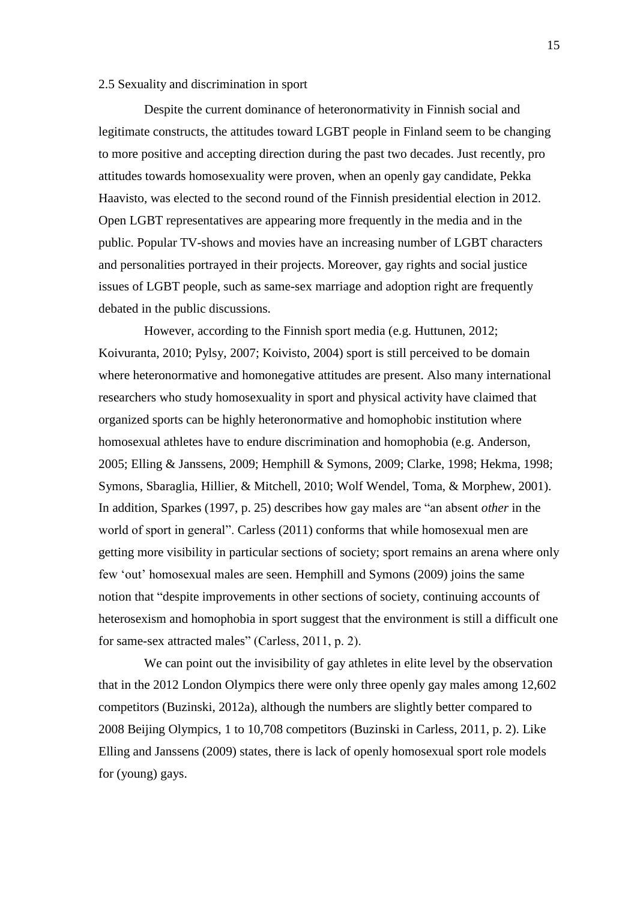#### <span id="page-14-0"></span>2.5 Sexuality and discrimination in sport

Despite the current dominance of heteronormativity in Finnish social and legitimate constructs, the attitudes toward LGBT people in Finland seem to be changing to more positive and accepting direction during the past two decades. Just recently, pro attitudes towards homosexuality were proven, when an openly gay candidate, Pekka Haavisto, was elected to the second round of the Finnish presidential election in 2012. Open LGBT representatives are appearing more frequently in the media and in the public. Popular TV-shows and movies have an increasing number of LGBT characters and personalities portrayed in their projects. Moreover, gay rights and social justice issues of LGBT people, such as same-sex marriage and adoption right are frequently debated in the public discussions.

However, according to the Finnish sport media (e.g. Huttunen, 2012; Koivuranta, 2010; Pylsy, 2007; Koivisto, 2004) sport is still perceived to be domain where heteronormative and homonegative attitudes are present. Also many international researchers who study homosexuality in sport and physical activity have claimed that organized sports can be highly heteronormative and homophobic institution where homosexual athletes have to endure discrimination and homophobia (e.g. Anderson, 2005; Elling & Janssens, 2009; Hemphill & Symons, 2009; Clarke, 1998; Hekma, 1998; Symons, Sbaraglia, Hillier, & Mitchell, 2010; Wolf Wendel, Toma, & Morphew, 2001). In addition, Sparkes (1997, p. 25) describes how gay males are "an absent *other* in the world of sport in general". Carless (2011) conforms that while homosexual men are getting more visibility in particular sections of society; sport remains an arena where only few 'out' homosexual males are seen. Hemphill and Symons (2009) joins the same notion that "despite improvements in other sections of society, continuing accounts of heterosexism and homophobia in sport suggest that the environment is still a difficult one for same-sex attracted males" (Carless, 2011, p. 2).

We can point out the invisibility of gay athletes in elite level by the observation that in the 2012 London Olympics there were only three openly gay males among 12,602 competitors (Buzinski, 2012a), although the numbers are slightly better compared to 2008 Beijing Olympics, 1 to 10,708 competitors (Buzinski in Carless, 2011, p. 2). Like Elling and Janssens (2009) states, there is lack of openly homosexual sport role models for (young) gays.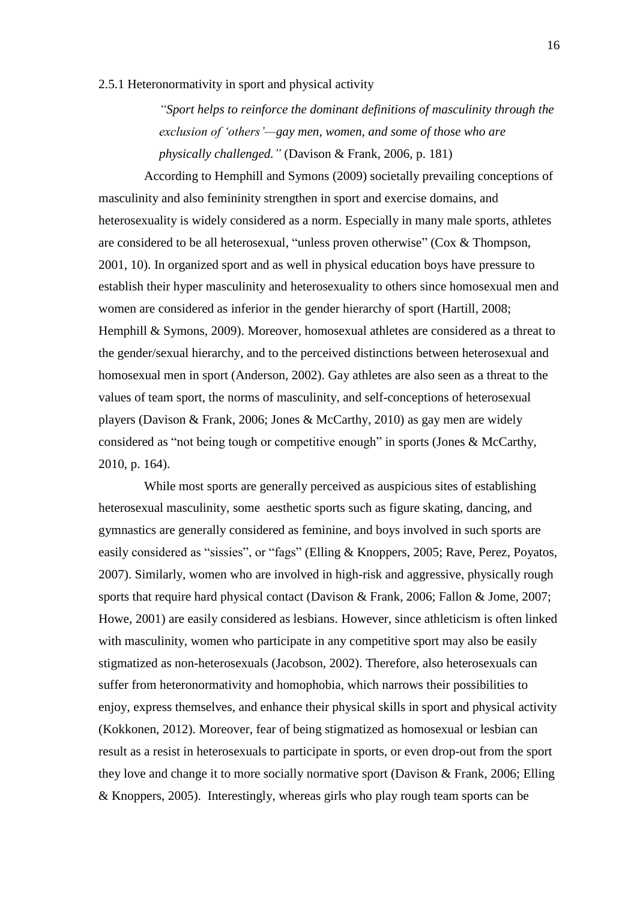#### <span id="page-15-0"></span>2.5.1 Heteronormativity in sport and physical activity

*―Sport helps to reinforce the dominant definitions of masculinity through the exclusion of ‗others'—gay men, women, and some of those who are physically challenged.‖* (Davison & Frank, 2006, p. 181)

According to Hemphill and Symons (2009) societally prevailing conceptions of masculinity and also femininity strengthen in sport and exercise domains, and heterosexuality is widely considered as a norm. Especially in many male sports, athletes are considered to be all heterosexual, "unless proven otherwise" (Cox  $&$  Thompson, 2001, 10). In organized sport and as well in physical education boys have pressure to establish their hyper masculinity and heterosexuality to others since homosexual men and women are considered as inferior in the gender hierarchy of sport (Hartill, 2008; Hemphill & Symons, 2009). Moreover, homosexual athletes are considered as a threat to the gender/sexual hierarchy, and to the perceived distinctions between heterosexual and homosexual men in sport (Anderson, 2002). Gay athletes are also seen as a threat to the values of team sport, the norms of masculinity, and self-conceptions of heterosexual players (Davison & Frank, 2006; Jones & McCarthy, 2010) as gay men are widely considered as "not being tough or competitive enough" in sports (Jones  $\&$  McCarthy, 2010, p. 164).

While most sports are generally perceived as auspicious sites of establishing heterosexual masculinity, some aesthetic sports such as figure skating, dancing, and gymnastics are generally considered as feminine, and boys involved in such sports are easily considered as "sissies", or "fags" (Elling & Knoppers, 2005; Rave, Perez, Poyatos, 2007). Similarly, women who are involved in high-risk and aggressive, physically rough sports that require hard physical contact (Davison & Frank, 2006; Fallon & Jome, 2007; Howe, 2001) are easily considered as lesbians. However, since athleticism is often linked with masculinity, women who participate in any competitive sport may also be easily stigmatized as non-heterosexuals (Jacobson, 2002). Therefore, also heterosexuals can suffer from heteronormativity and homophobia, which narrows their possibilities to enjoy, express themselves, and enhance their physical skills in sport and physical activity (Kokkonen, 2012). Moreover, fear of being stigmatized as homosexual or lesbian can result as a resist in heterosexuals to participate in sports, or even drop-out from the sport they love and change it to more socially normative sport (Davison & Frank, 2006; Elling & Knoppers, 2005). Interestingly, whereas girls who play rough team sports can be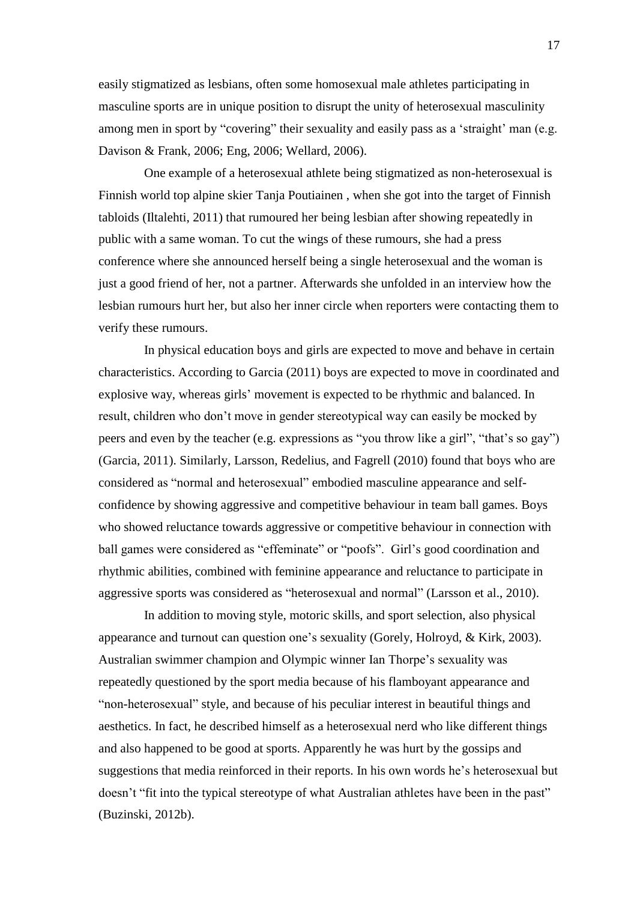easily stigmatized as lesbians, often some homosexual male athletes participating in masculine sports are in unique position to disrupt the unity of heterosexual masculinity among men in sport by "covering" their sexuality and easily pass as a 'straight' man (e.g. Davison & Frank, 2006; Eng, 2006; Wellard, 2006).

One example of a heterosexual athlete being stigmatized as non-heterosexual is Finnish world top alpine skier Tanja Poutiainen , when she got into the target of Finnish tabloids (Iltalehti, 2011) that rumoured her being lesbian after showing repeatedly in public with a same woman. To cut the wings of these rumours, she had a press conference where she announced herself being a single heterosexual and the woman is just a good friend of her, not a partner. Afterwards she unfolded in an interview how the lesbian rumours hurt her, but also her inner circle when reporters were contacting them to verify these rumours.

In physical education boys and girls are expected to move and behave in certain characteristics. According to Garcia (2011) boys are expected to move in coordinated and explosive way, whereas girls' movement is expected to be rhythmic and balanced. In result, children who don't move in gender stereotypical way can easily be mocked by peers and even by the teacher (e.g. expressions as "you throw like a girl", "that's so gay") (Garcia, 2011). Similarly, Larsson, Redelius, and Fagrell (2010) found that boys who are considered as "normal and heterosexual" embodied masculine appearance and selfconfidence by showing aggressive and competitive behaviour in team ball games. Boys who showed reluctance towards aggressive or competitive behaviour in connection with ball games were considered as "effeminate" or "poofs". Girl's good coordination and rhythmic abilities, combined with feminine appearance and reluctance to participate in aggressive sports was considered as "heterosexual and normal" (Larsson et al., 2010).

In addition to moving style, motoric skills, and sport selection, also physical appearance and turnout can question one's sexuality (Gorely, Holroyd, & Kirk, 2003). Australian swimmer champion and Olympic winner Ian Thorpe's sexuality was repeatedly questioned by the sport media because of his flamboyant appearance and ―non-heterosexual‖ style, and because of his peculiar interest in beautiful things and aesthetics. In fact, he described himself as a heterosexual nerd who like different things and also happened to be good at sports. Apparently he was hurt by the gossips and suggestions that media reinforced in their reports. In his own words he's heterosexual but doesn't "fit into the typical stereotype of what Australian athletes have been in the past" (Buzinski, 2012b).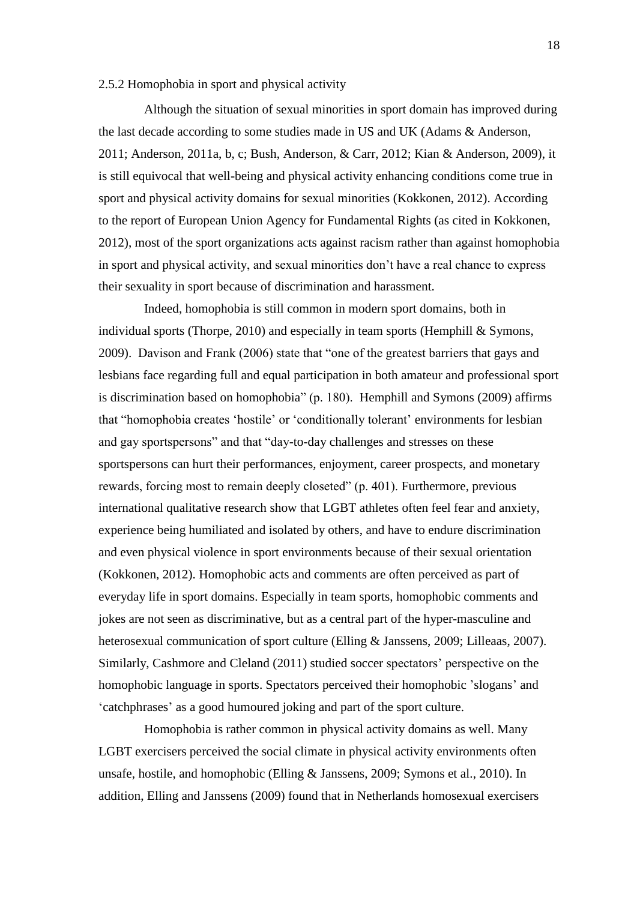#### <span id="page-17-0"></span>2.5.2 Homophobia in sport and physical activity

Although the situation of sexual minorities in sport domain has improved during the last decade according to some studies made in US and UK (Adams & Anderson, 2011; Anderson, 2011a, b, c; Bush, Anderson, & Carr, 2012; Kian & Anderson, 2009), it is still equivocal that well-being and physical activity enhancing conditions come true in sport and physical activity domains for sexual minorities (Kokkonen, 2012). According to the report of European Union Agency for Fundamental Rights (as cited in Kokkonen, 2012), most of the sport organizations acts against racism rather than against homophobia in sport and physical activity, and sexual minorities don't have a real chance to express their sexuality in sport because of discrimination and harassment.

Indeed, homophobia is still common in modern sport domains, both in individual sports (Thorpe, 2010) and especially in team sports (Hemphill  $&$  Symons, 2009). Davison and Frank (2006) state that "one of the greatest barriers that gays and lesbians face regarding full and equal participation in both amateur and professional sport is discrimination based on homophobia" (p. 180). Hemphill and Symons (2009) affirms that "homophobia creates 'hostile' or 'conditionally tolerant' environments for lesbian and gay sportspersons" and that "day-to-day challenges and stresses on these sportspersons can hurt their performances, enjoyment, career prospects, and monetary rewards, forcing most to remain deeply closeted" (p. 401). Furthermore, previous international qualitative research show that LGBT athletes often feel fear and anxiety, experience being humiliated and isolated by others, and have to endure discrimination and even physical violence in sport environments because of their sexual orientation (Kokkonen, 2012). Homophobic acts and comments are often perceived as part of everyday life in sport domains. Especially in team sports, homophobic comments and jokes are not seen as discriminative, but as a central part of the hyper-masculine and heterosexual communication of sport culture (Elling & Janssens, 2009; Lilleaas, 2007). Similarly, Cashmore and Cleland (2011) studied soccer spectators' perspective on the homophobic language in sports. Spectators perceived their homophobic 'slogans' and ‗catchphrases' as a good humoured joking and part of the sport culture.

Homophobia is rather common in physical activity domains as well. Many LGBT exercisers perceived the social climate in physical activity environments often unsafe, hostile, and homophobic (Elling & Janssens, 2009; Symons et al., 2010). In addition, Elling and Janssens (2009) found that in Netherlands homosexual exercisers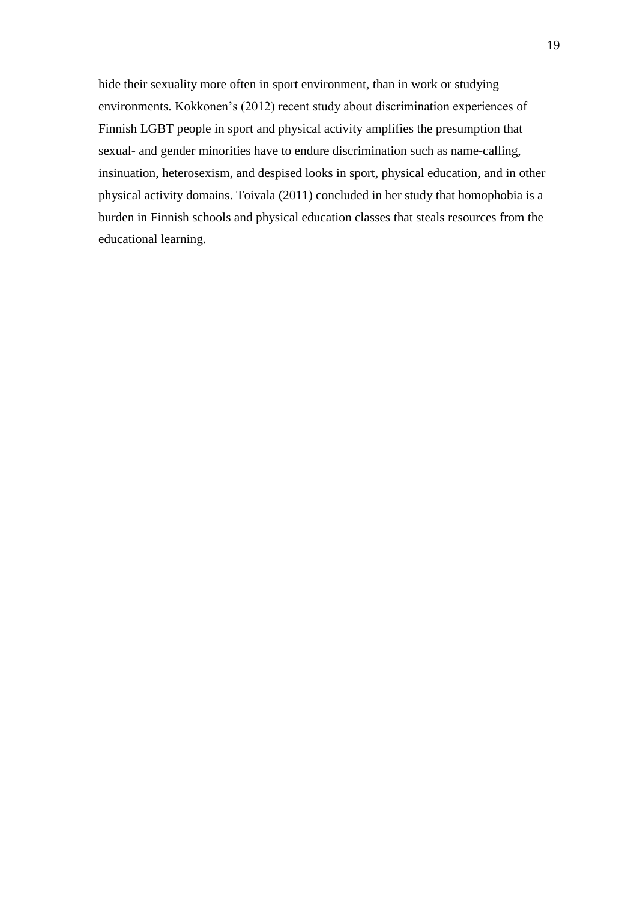hide their sexuality more often in sport environment, than in work or studying environments. Kokkonen's (2012) recent study about discrimination experiences of Finnish LGBT people in sport and physical activity amplifies the presumption that sexual- and gender minorities have to endure discrimination such as name-calling, insinuation, heterosexism, and despised looks in sport, physical education, and in other physical activity domains. Toivala (2011) concluded in her study that homophobia is a burden in Finnish schools and physical education classes that steals resources from the educational learning.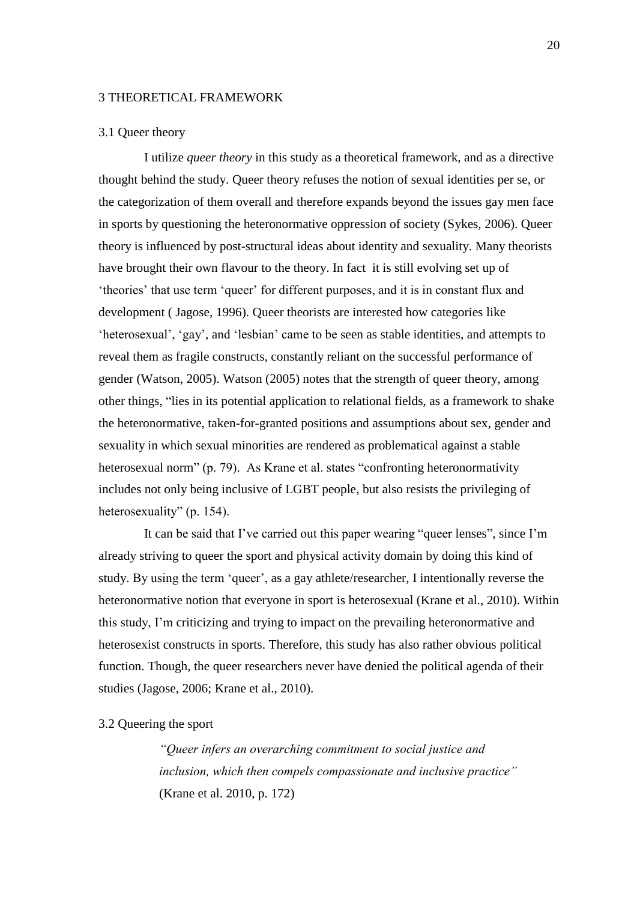#### <span id="page-19-0"></span>3 THEORETICAL FRAMEWORK

#### <span id="page-19-1"></span>3.1 Queer theory

I utilize *queer theory* in this study as a theoretical framework, and as a directive thought behind the study. Queer theory refuses the notion of sexual identities per se, or the categorization of them overall and therefore expands beyond the issues gay men face in sports by questioning the heteronormative oppression of society (Sykes, 2006). Queer theory is influenced by post-structural ideas about identity and sexuality. Many theorists have brought their own flavour to the theory. In fact it is still evolving set up of ‗theories' that use term ‗queer' for different purposes, and it is in constant flux and development ( Jagose, 1996). Queer theorists are interested how categories like ‗heterosexual', ‗gay', and ‗lesbian' came to be seen as stable identities, and attempts to reveal them as fragile constructs, constantly reliant on the successful performance of gender (Watson, 2005). Watson (2005) notes that the strength of queer theory, among other things, "lies in its potential application to relational fields, as a framework to shake the heteronormative, taken-for-granted positions and assumptions about sex, gender and sexuality in which sexual minorities are rendered as problematical against a stable heterosexual norm" (p. 79). As Krane et al. states "confronting heteronormativity includes not only being inclusive of LGBT people, but also resists the privileging of heterosexuality" (p. 154).

It can be said that I've carried out this paper wearing "queer lenses", since I'm already striving to queer the sport and physical activity domain by doing this kind of study. By using the term 'queer', as a gay athlete/researcher, I intentionally reverse the heteronormative notion that everyone in sport is heterosexual (Krane et al., 2010). Within this study, I'm criticizing and trying to impact on the prevailing heteronormative and heterosexist constructs in sports. Therefore, this study has also rather obvious political function. Though, the queer researchers never have denied the political agenda of their studies (Jagose, 2006; Krane et al., 2010).

# 3.2 Queering the sport

<span id="page-19-2"></span>*―Queer infers an overarching commitment to social justice and inclusion, which then compels compassionate and inclusive practice*" (Krane et al. 2010, p. 172)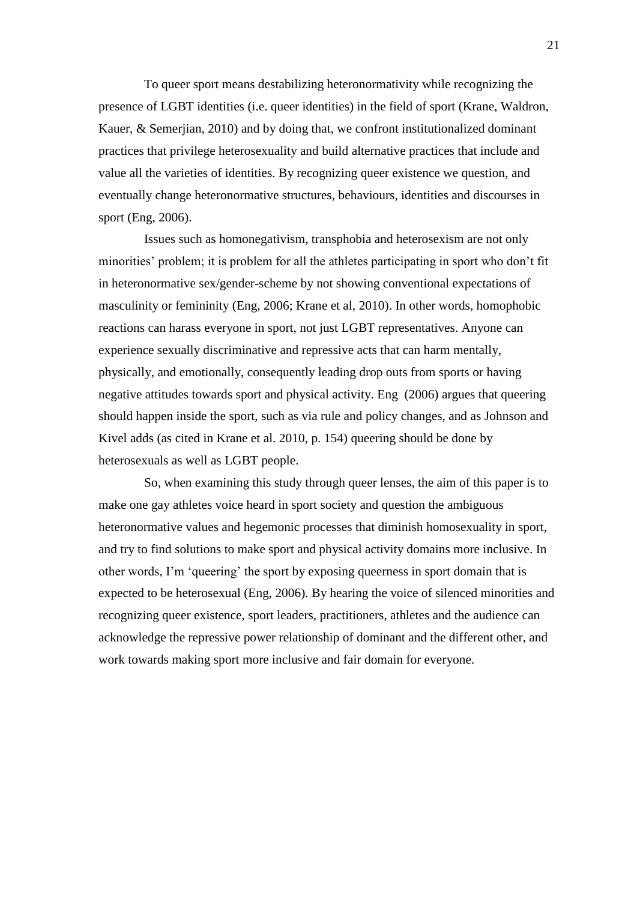To queer sport means destabilizing heteronormativity while recognizing the presence of LGBT identities (i.e. queer identities) in the field of sport (Krane, Waldron, Kauer, & Semerjian, 2010) and by doing that, we confront institutionalized dominant practices that privilege heterosexuality and build alternative practices that include and value all the varieties of identities. By recognizing queer existence we question, and eventually change heteronormative structures, behaviours, identities and discourses in sport (Eng, 2006).

Issues such as homonegativism, transphobia and heterosexism are not only minorities' problem; it is problem for all the athletes participating in sport who don't fit in heteronormative sex/gender-scheme by not showing conventional expectations of masculinity or femininity (Eng, 2006; Krane et al, 2010). In other words, homophobic reactions can harass everyone in sport, not just LGBT representatives. Anyone can experience sexually discriminative and repressive acts that can harm mentally, physically, and emotionally, consequently leading drop outs from sports or having negative attitudes towards sport and physical activity. Eng (2006) argues that queering should happen inside the sport, such as via rule and policy changes, and as Johnson and Kivel adds (as cited in Krane et al. 2010, p. 154) queering should be done by heterosexuals as well as LGBT people.

So, when examining this study through queer lenses, the aim of this paper is to make one gay athletes voice heard in sport society and question the ambiguous heteronormative values and hegemonic processes that diminish homosexuality in sport, and try to find solutions to make sport and physical activity domains more inclusive. In other words, I'm ‗queering' the sport by exposing queerness in sport domain that is expected to be heterosexual (Eng, 2006). By hearing the voice of silenced minorities and recognizing queer existence, sport leaders, practitioners, athletes and the audience can acknowledge the repressive power relationship of dominant and the different other, and work towards making sport more inclusive and fair domain for everyone.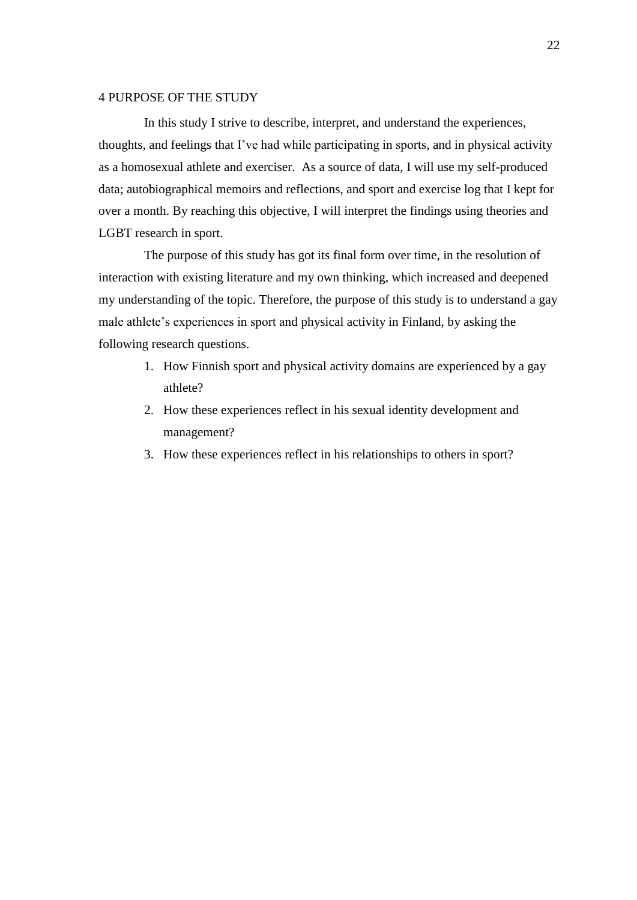# <span id="page-21-0"></span>4 PURPOSE OF THE STUDY

In this study I strive to describe, interpret, and understand the experiences, thoughts, and feelings that I've had while participating in sports, and in physical activity as a homosexual athlete and exerciser. As a source of data, I will use my self-produced data; autobiographical memoirs and reflections, and sport and exercise log that I kept for over a month. By reaching this objective, I will interpret the findings using theories and LGBT research in sport.

The purpose of this study has got its final form over time, in the resolution of interaction with existing literature and my own thinking, which increased and deepened my understanding of the topic. Therefore, the purpose of this study is to understand a gay male athlete's experiences in sport and physical activity in Finland, by asking the following research questions.

- 1. How Finnish sport and physical activity domains are experienced by a gay athlete?
- 2. How these experiences reflect in his sexual identity development and management?
- 3. How these experiences reflect in his relationships to others in sport?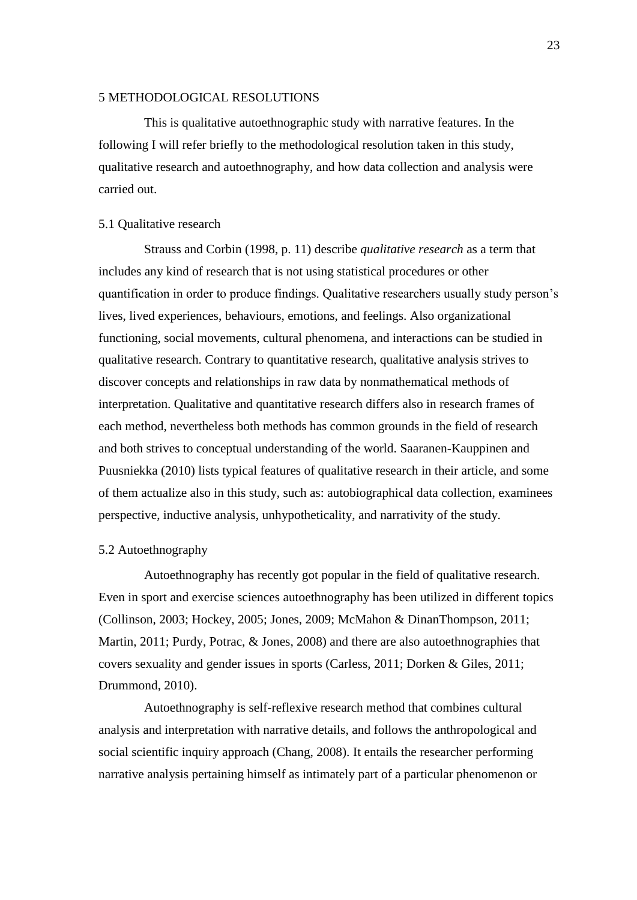#### <span id="page-22-0"></span>5 METHODOLOGICAL RESOLUTIONS

This is qualitative autoethnographic study with narrative features. In the following I will refer briefly to the methodological resolution taken in this study, qualitative research and autoethnography, and how data collection and analysis were carried out.

#### <span id="page-22-1"></span>5.1 Qualitative research

Strauss and Corbin (1998, p. 11) describe *qualitative research* as a term that includes any kind of research that is not using statistical procedures or other quantification in order to produce findings. Qualitative researchers usually study person's lives, lived experiences, behaviours, emotions, and feelings. Also organizational functioning, social movements, cultural phenomena, and interactions can be studied in qualitative research. Contrary to quantitative research, qualitative analysis strives to discover concepts and relationships in raw data by nonmathematical methods of interpretation. Qualitative and quantitative research differs also in research frames of each method, nevertheless both methods has common grounds in the field of research and both strives to conceptual understanding of the world. Saaranen-Kauppinen and Puusniekka (2010) lists typical features of qualitative research in their article, and some of them actualize also in this study, such as: autobiographical data collection, examinees perspective, inductive analysis, unhypotheticality, and narrativity of the study.

#### <span id="page-22-2"></span>5.2 Autoethnography

Autoethnography has recently got popular in the field of qualitative research. Even in sport and exercise sciences autoethnography has been utilized in different topics (Collinson, 2003; Hockey, 2005; Jones, 2009; McMahon & DinanThompson, 2011; Martin, 2011; Purdy, Potrac, & Jones, 2008) and there are also autoethnographies that covers sexuality and gender issues in sports (Carless, 2011; Dorken & Giles, 2011; Drummond, 2010).

Autoethnography is self-reflexive research method that combines cultural analysis and interpretation with narrative details, and follows the anthropological and social scientific inquiry approach (Chang, 2008). It entails the researcher performing narrative analysis pertaining himself as intimately part of a particular phenomenon or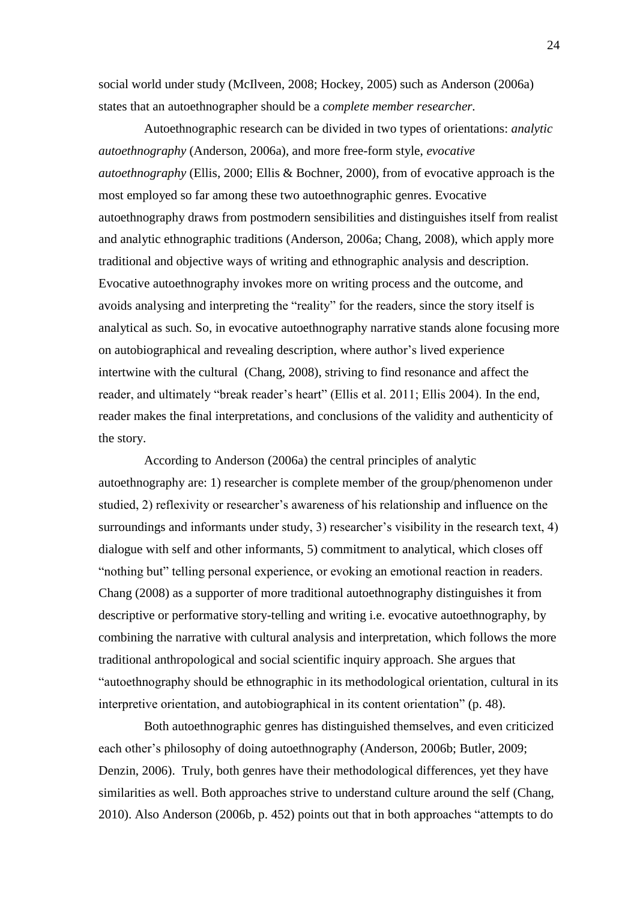social world under study (McIlveen, 2008; Hockey, 2005) such as Anderson (2006a) states that an autoethnographer should be a *complete member researcher.*

Autoethnographic research can be divided in two types of orientations: *analytic autoethnography* (Anderson, 2006a), and more free-form style, *evocative autoethnography* (Ellis, 2000; Ellis & Bochner, 2000), from of evocative approach is the most employed so far among these two autoethnographic genres. Evocative autoethnography draws from postmodern sensibilities and distinguishes itself from realist and analytic ethnographic traditions (Anderson, 2006a; Chang, 2008), which apply more traditional and objective ways of writing and ethnographic analysis and description. Evocative autoethnography invokes more on writing process and the outcome, and avoids analysing and interpreting the "reality" for the readers, since the story itself is analytical as such. So, in evocative autoethnography narrative stands alone focusing more on autobiographical and revealing description, where author's lived experience intertwine with the cultural (Chang, 2008), striving to find resonance and affect the reader, and ultimately "break reader's heart" (Ellis et al. 2011; Ellis 2004). In the end, reader makes the final interpretations, and conclusions of the validity and authenticity of the story.

According to Anderson (2006a) the central principles of analytic autoethnography are: 1) researcher is complete member of the group/phenomenon under studied, 2) reflexivity or researcher's awareness of his relationship and influence on the surroundings and informants under study, 3) researcher's visibility in the research text, 4) dialogue with self and other informants, 5) commitment to analytical, which closes off "nothing but" telling personal experience, or evoking an emotional reaction in readers. Chang (2008) as a supporter of more traditional autoethnography distinguishes it from descriptive or performative story-telling and writing i.e. evocative autoethnography, by combining the narrative with cultural analysis and interpretation, which follows the more traditional anthropological and social scientific inquiry approach. She argues that ―autoethnography should be ethnographic in its methodological orientation, cultural in its interpretive orientation, and autobiographical in its content orientation" (p. 48).

Both autoethnographic genres has distinguished themselves, and even criticized each other's philosophy of doing autoethnography (Anderson, 2006b; Butler, 2009; Denzin, 2006). Truly, both genres have their methodological differences, yet they have similarities as well. Both approaches strive to understand culture around the self (Chang,  $2010$ ). Also Anderson (2006b, p. 452) points out that in both approaches "attempts to do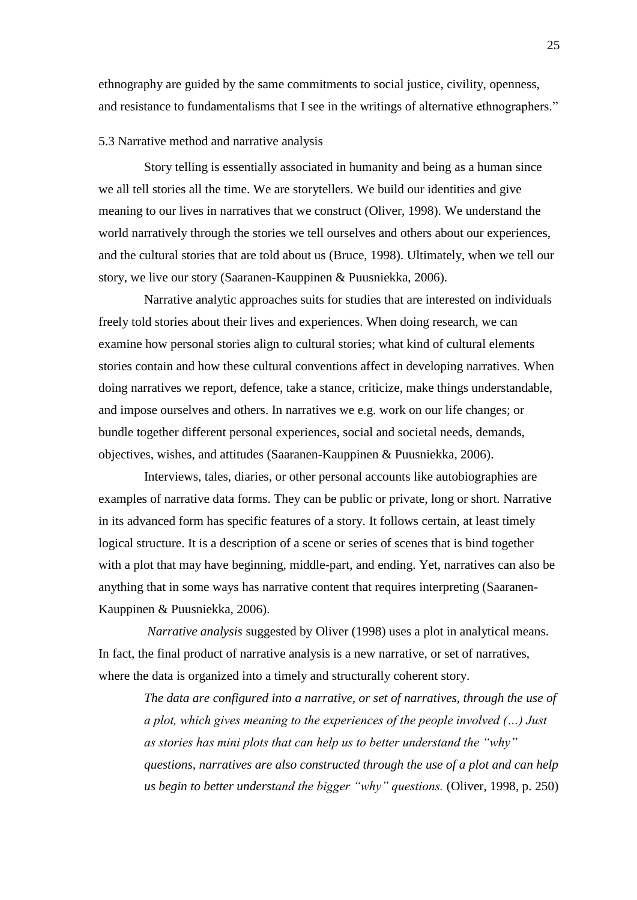ethnography are guided by the same commitments to social justice, civility, openness, and resistance to fundamentalisms that I see in the writings of alternative ethnographers."

#### <span id="page-24-0"></span>5.3 Narrative method and narrative analysis

Story telling is essentially associated in humanity and being as a human since we all tell stories all the time. We are storytellers. We build our identities and give meaning to our lives in narratives that we construct (Oliver, 1998). We understand the world narratively through the stories we tell ourselves and others about our experiences, and the cultural stories that are told about us (Bruce, 1998). Ultimately, when we tell our story, we live our story (Saaranen-Kauppinen & Puusniekka, 2006).

Narrative analytic approaches suits for studies that are interested on individuals freely told stories about their lives and experiences. When doing research, we can examine how personal stories align to cultural stories; what kind of cultural elements stories contain and how these cultural conventions affect in developing narratives. When doing narratives we report, defence, take a stance, criticize, make things understandable, and impose ourselves and others. In narratives we e.g. work on our life changes; or bundle together different personal experiences, social and societal needs, demands, objectives, wishes, and attitudes (Saaranen-Kauppinen & Puusniekka, 2006).

Interviews, tales, diaries, or other personal accounts like autobiographies are examples of narrative data forms. They can be public or private, long or short. Narrative in its advanced form has specific features of a story. It follows certain, at least timely logical structure. It is a description of a scene or series of scenes that is bind together with a plot that may have beginning, middle-part, and ending. Yet, narratives can also be anything that in some ways has narrative content that requires interpreting (Saaranen-Kauppinen & Puusniekka, 2006).

*Narrative analysis* suggested by Oliver (1998) uses a plot in analytical means. In fact, the final product of narrative analysis is a new narrative, or set of narratives, where the data is organized into a timely and structurally coherent story.

*The data are configured into a narrative, or set of narratives, through the use of a plot, which gives meaning to the experiences of the people involved (…) Just as stories has mini plots that can help us to better understand the "why" questions, narratives are also constructed through the use of a plot and can help us begin to better understand the bigger "why" questions.* (Oliver, 1998, p. 250)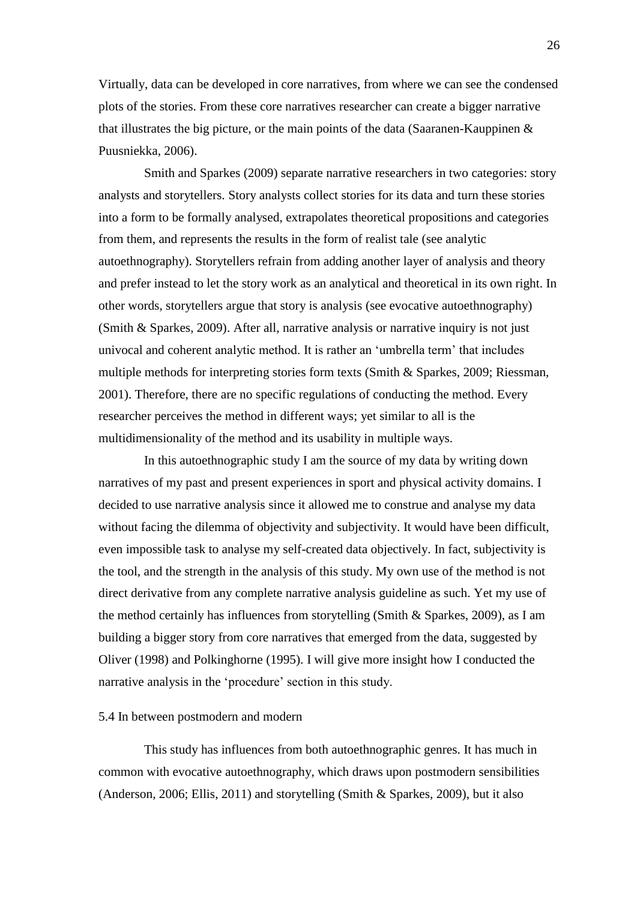Virtually, data can be developed in core narratives, from where we can see the condensed plots of the stories. From these core narratives researcher can create a bigger narrative that illustrates the big picture, or the main points of the data (Saaranen-Kauppinen  $\&$ Puusniekka, 2006).

Smith and Sparkes (2009) separate narrative researchers in two categories: story analysts and storytellers. Story analysts collect stories for its data and turn these stories into a form to be formally analysed, extrapolates theoretical propositions and categories from them, and represents the results in the form of realist tale (see analytic autoethnography). Storytellers refrain from adding another layer of analysis and theory and prefer instead to let the story work as an analytical and theoretical in its own right. In other words, storytellers argue that story is analysis (see evocative autoethnography) (Smith & Sparkes, 2009). After all, narrative analysis or narrative inquiry is not just univocal and coherent analytic method. It is rather an 'umbrella term' that includes multiple methods for interpreting stories form texts (Smith & Sparkes, 2009; Riessman, 2001). Therefore, there are no specific regulations of conducting the method. Every researcher perceives the method in different ways; yet similar to all is the multidimensionality of the method and its usability in multiple ways.

In this autoethnographic study I am the source of my data by writing down narratives of my past and present experiences in sport and physical activity domains. I decided to use narrative analysis since it allowed me to construe and analyse my data without facing the dilemma of objectivity and subjectivity. It would have been difficult, even impossible task to analyse my self-created data objectively. In fact, subjectivity is the tool, and the strength in the analysis of this study. My own use of the method is not direct derivative from any complete narrative analysis guideline as such. Yet my use of the method certainly has influences from storytelling (Smith & Sparkes, 2009), as I am building a bigger story from core narratives that emerged from the data, suggested by Oliver (1998) and Polkinghorne (1995). I will give more insight how I conducted the narrative analysis in the 'procedure' section in this study.

#### <span id="page-25-0"></span>5.4 In between postmodern and modern

This study has influences from both autoethnographic genres. It has much in common with evocative autoethnography, which draws upon postmodern sensibilities (Anderson, 2006; Ellis, 2011) and storytelling (Smith & Sparkes, 2009), but it also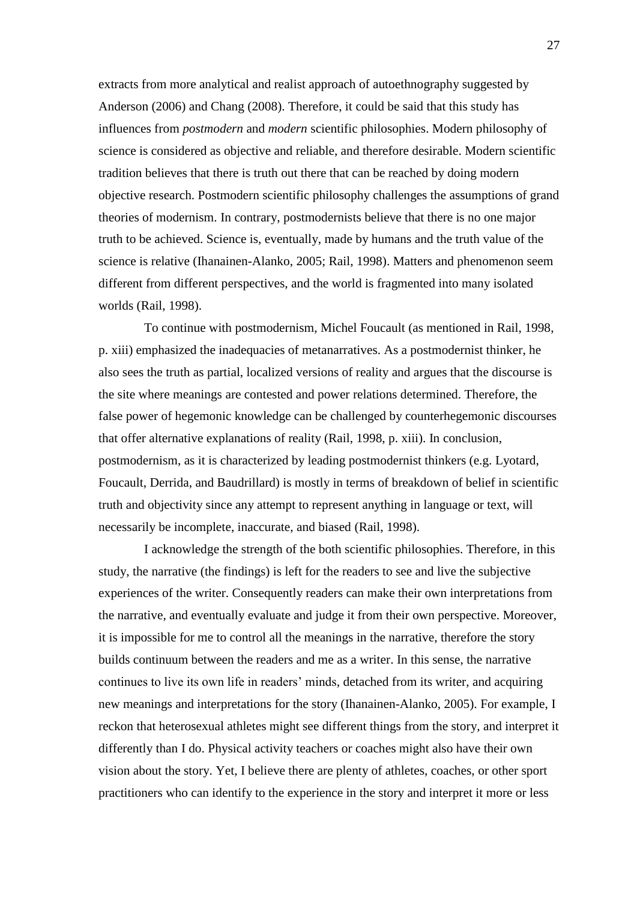extracts from more analytical and realist approach of autoethnography suggested by Anderson (2006) and Chang (2008). Therefore, it could be said that this study has influences from *postmodern* and *modern* scientific philosophies. Modern philosophy of science is considered as objective and reliable, and therefore desirable. Modern scientific tradition believes that there is truth out there that can be reached by doing modern objective research. Postmodern scientific philosophy challenges the assumptions of grand theories of modernism. In contrary, postmodernists believe that there is no one major truth to be achieved. Science is, eventually, made by humans and the truth value of the science is relative (Ihanainen-Alanko, 2005; Rail, 1998). Matters and phenomenon seem different from different perspectives, and the world is fragmented into many isolated worlds (Rail, 1998).

To continue with postmodernism, Michel Foucault (as mentioned in Rail, 1998, p. xiii) emphasized the inadequacies of metanarratives. As a postmodernist thinker, he also sees the truth as partial, localized versions of reality and argues that the discourse is the site where meanings are contested and power relations determined. Therefore, the false power of hegemonic knowledge can be challenged by counterhegemonic discourses that offer alternative explanations of reality (Rail, 1998, p. xiii). In conclusion, postmodernism, as it is characterized by leading postmodernist thinkers (e.g. Lyotard, Foucault, Derrida, and Baudrillard) is mostly in terms of breakdown of belief in scientific truth and objectivity since any attempt to represent anything in language or text, will necessarily be incomplete, inaccurate, and biased (Rail, 1998).

I acknowledge the strength of the both scientific philosophies. Therefore, in this study, the narrative (the findings) is left for the readers to see and live the subjective experiences of the writer. Consequently readers can make their own interpretations from the narrative, and eventually evaluate and judge it from their own perspective. Moreover, it is impossible for me to control all the meanings in the narrative, therefore the story builds continuum between the readers and me as a writer. In this sense, the narrative continues to live its own life in readers' minds, detached from its writer, and acquiring new meanings and interpretations for the story (Ihanainen-Alanko, 2005). For example, I reckon that heterosexual athletes might see different things from the story, and interpret it differently than I do. Physical activity teachers or coaches might also have their own vision about the story. Yet, I believe there are plenty of athletes, coaches, or other sport practitioners who can identify to the experience in the story and interpret it more or less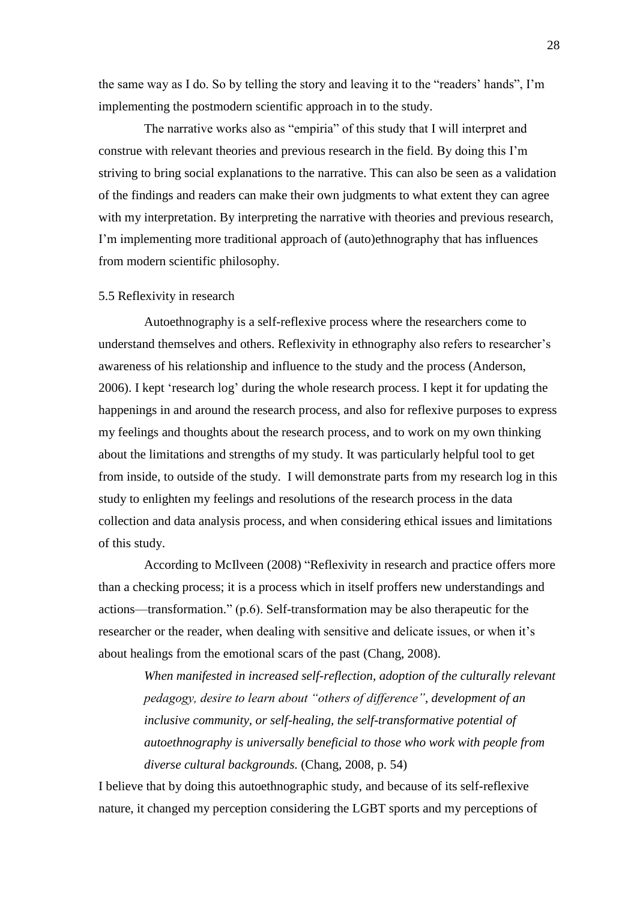the same way as I do. So by telling the story and leaving it to the "readers' hands", I'm implementing the postmodern scientific approach in to the study.

The narrative works also as "empiria" of this study that I will interpret and construe with relevant theories and previous research in the field. By doing this I'm striving to bring social explanations to the narrative. This can also be seen as a validation of the findings and readers can make their own judgments to what extent they can agree with my interpretation. By interpreting the narrative with theories and previous research, I'm implementing more traditional approach of (auto)ethnography that has influences from modern scientific philosophy.

#### <span id="page-27-0"></span>5.5 Reflexivity in research

Autoethnography is a self-reflexive process where the researchers come to understand themselves and others. Reflexivity in ethnography also refers to researcher's awareness of his relationship and influence to the study and the process (Anderson, 2006). I kept 'research log' during the whole research process. I kept it for updating the happenings in and around the research process, and also for reflexive purposes to express my feelings and thoughts about the research process, and to work on my own thinking about the limitations and strengths of my study. It was particularly helpful tool to get from inside, to outside of the study. I will demonstrate parts from my research log in this study to enlighten my feelings and resolutions of the research process in the data collection and data analysis process, and when considering ethical issues and limitations of this study.

According to McIlveen (2008) "Reflexivity in research and practice offers more than a checking process; it is a process which in itself proffers new understandings and actions—transformation." (p.6). Self-transformation may be also therapeutic for the researcher or the reader, when dealing with sensitive and delicate issues, or when it's about healings from the emotional scars of the past (Chang, 2008).

When manifested in increased self-reflection, adoption of the culturally relevant *pedagogy, desire to learn about "others of difference", development of an inclusive community, or self-healing, the self-transformative potential of autoethnography is universally beneficial to those who work with people from diverse cultural backgrounds.* (Chang, 2008, p. 54)

I believe that by doing this autoethnographic study, and because of its self-reflexive nature, it changed my perception considering the LGBT sports and my perceptions of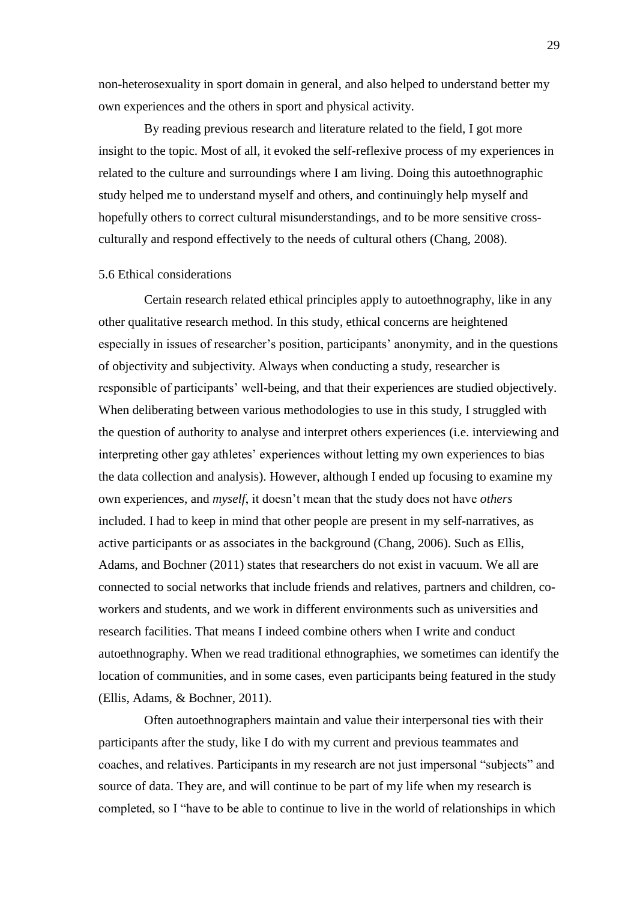non-heterosexuality in sport domain in general, and also helped to understand better my own experiences and the others in sport and physical activity.

By reading previous research and literature related to the field, I got more insight to the topic. Most of all, it evoked the self-reflexive process of my experiences in related to the culture and surroundings where I am living. Doing this autoethnographic study helped me to understand myself and others, and continuingly help myself and hopefully others to correct cultural misunderstandings, and to be more sensitive crossculturally and respond effectively to the needs of cultural others (Chang, 2008).

# <span id="page-28-0"></span>5.6 Ethical considerations

Certain research related ethical principles apply to autoethnography, like in any other qualitative research method. In this study, ethical concerns are heightened especially in issues of researcher's position, participants' anonymity, and in the questions of objectivity and subjectivity. Always when conducting a study, researcher is responsible of participants' well-being, and that their experiences are studied objectively. When deliberating between various methodologies to use in this study, I struggled with the question of authority to analyse and interpret others experiences (i.e. interviewing and interpreting other gay athletes' experiences without letting my own experiences to bias the data collection and analysis). However, although I ended up focusing to examine my own experiences, and *myself*, it doesn't mean that the study does not have *others* included. I had to keep in mind that other people are present in my self-narratives, as active participants or as associates in the background (Chang, 2006). Such as Ellis, Adams, and Bochner (2011) states that researchers do not exist in vacuum. We all are connected to social networks that include friends and relatives, partners and children, coworkers and students, and we work in different environments such as universities and research facilities. That means I indeed combine others when I write and conduct autoethnography. When we read traditional ethnographies, we sometimes can identify the location of communities, and in some cases, even participants being featured in the study (Ellis, Adams, & Bochner, 2011).

Often autoethnographers maintain and value their interpersonal ties with their participants after the study, like I do with my current and previous teammates and coaches, and relatives. Participants in my research are not just impersonal "subjects" and source of data. They are, and will continue to be part of my life when my research is completed, so I "have to be able to continue to live in the world of relationships in which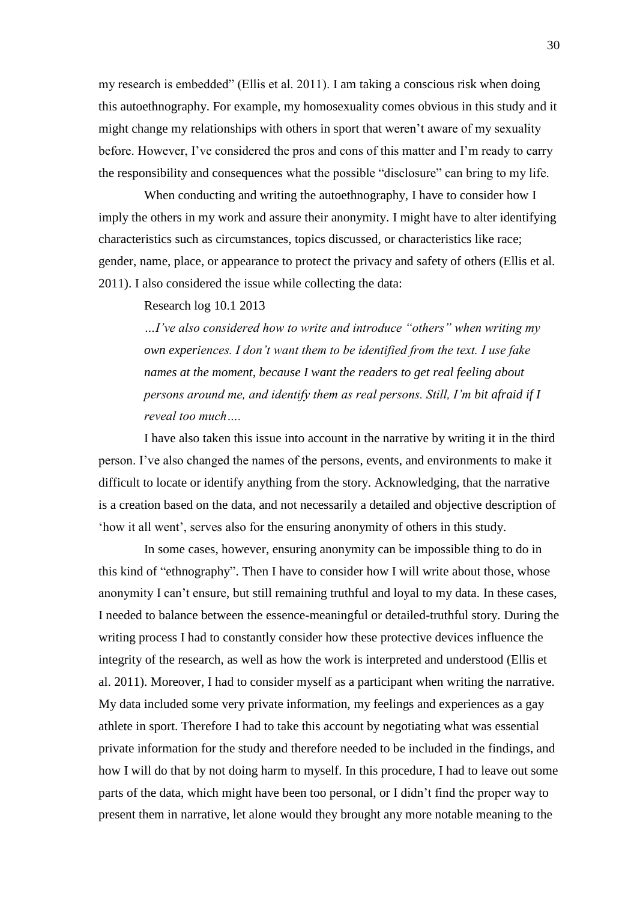my research is embedded" (Ellis et al. 2011). I am taking a conscious risk when doing this autoethnography. For example, my homosexuality comes obvious in this study and it might change my relationships with others in sport that weren't aware of my sexuality before. However, I've considered the pros and cons of this matter and I'm ready to carry the responsibility and consequences what the possible "disclosure" can bring to my life.

When conducting and writing the autoethnography, I have to consider how I imply the others in my work and assure their anonymity. I might have to alter identifying characteristics such as circumstances, topics discussed, or characteristics like race; gender, name, place, or appearance to protect the privacy and safety of others (Ellis et al. 2011). I also considered the issue while collecting the data:

Research log 10.1 2013

*…I've also considered how to write and introduce ―others‖ when writing my own experiences. I don't want them to be identified from the text. I use fake names at the moment, because I want the readers to get real feeling about persons around me, and identify them as real persons. Still, I'm bit afraid if I reveal too much….*

I have also taken this issue into account in the narrative by writing it in the third person. I've also changed the names of the persons, events, and environments to make it difficult to locate or identify anything from the story. Acknowledging, that the narrative is a creation based on the data, and not necessarily a detailed and objective description of ‗how it all went', serves also for the ensuring anonymity of others in this study.

In some cases, however, ensuring anonymity can be impossible thing to do in this kind of "ethnography". Then I have to consider how I will write about those, whose anonymity I can't ensure, but still remaining truthful and loyal to my data. In these cases, I needed to balance between the essence-meaningful or detailed-truthful story. During the writing process I had to constantly consider how these protective devices influence the integrity of the research, as well as how the work is interpreted and understood (Ellis et al. 2011). Moreover, I had to consider myself as a participant when writing the narrative. My data included some very private information, my feelings and experiences as a gay athlete in sport. Therefore I had to take this account by negotiating what was essential private information for the study and therefore needed to be included in the findings, and how I will do that by not doing harm to myself. In this procedure, I had to leave out some parts of the data, which might have been too personal, or I didn't find the proper way to present them in narrative, let alone would they brought any more notable meaning to the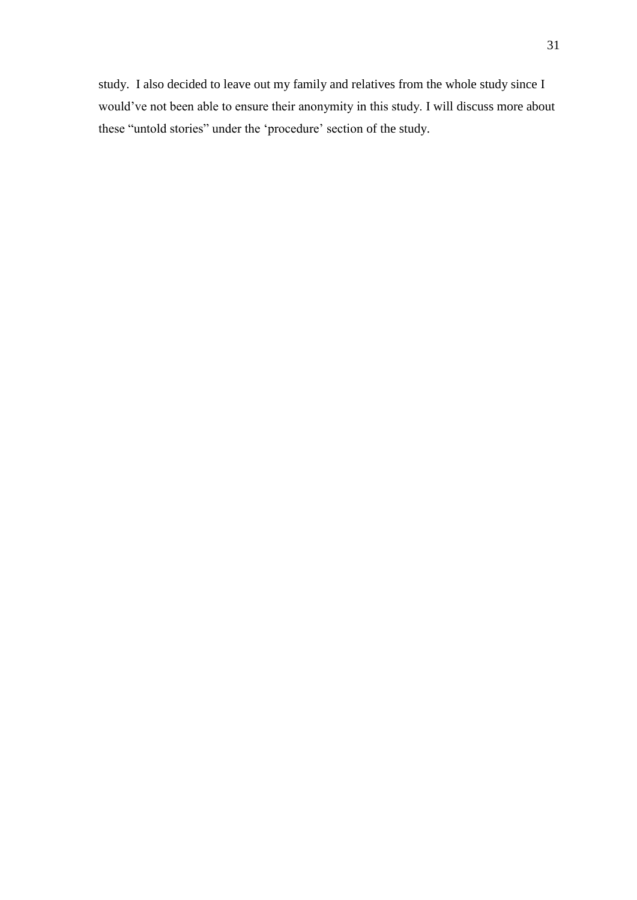study. I also decided to leave out my family and relatives from the whole study since I would've not been able to ensure their anonymity in this study. I will discuss more about these "untold stories" under the 'procedure' section of the study.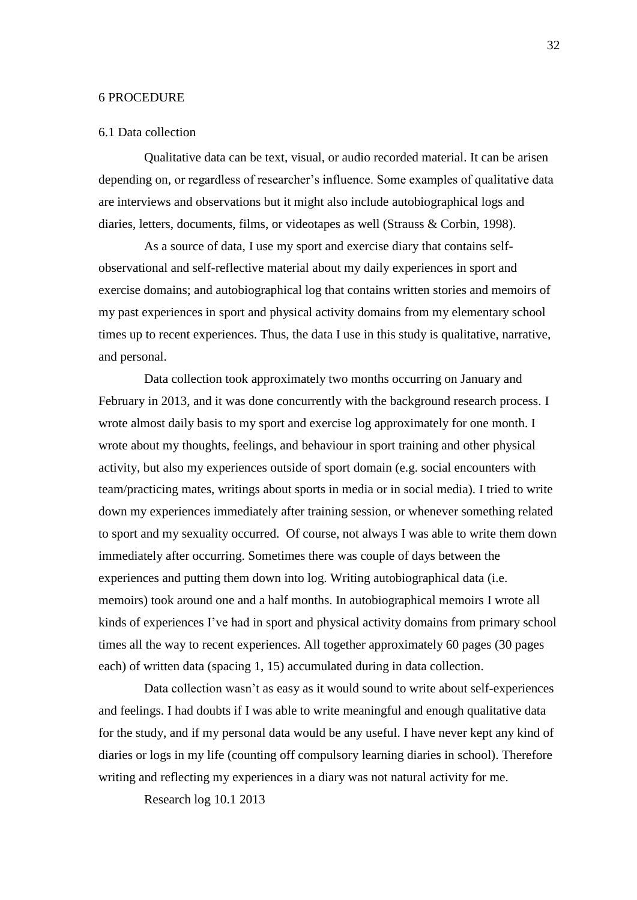#### <span id="page-31-0"></span>6 PROCEDURE

#### <span id="page-31-1"></span>6.1 Data collection

Qualitative data can be text, visual, or audio recorded material. It can be arisen depending on, or regardless of researcher's influence. Some examples of qualitative data are interviews and observations but it might also include autobiographical logs and diaries, letters, documents, films, or videotapes as well (Strauss & Corbin, 1998).

As a source of data, I use my sport and exercise diary that contains selfobservational and self-reflective material about my daily experiences in sport and exercise domains; and autobiographical log that contains written stories and memoirs of my past experiences in sport and physical activity domains from my elementary school times up to recent experiences. Thus, the data I use in this study is qualitative, narrative, and personal.

Data collection took approximately two months occurring on January and February in 2013, and it was done concurrently with the background research process. I wrote almost daily basis to my sport and exercise log approximately for one month. I wrote about my thoughts, feelings, and behaviour in sport training and other physical activity, but also my experiences outside of sport domain (e.g. social encounters with team/practicing mates, writings about sports in media or in social media). I tried to write down my experiences immediately after training session, or whenever something related to sport and my sexuality occurred. Of course, not always I was able to write them down immediately after occurring. Sometimes there was couple of days between the experiences and putting them down into log. Writing autobiographical data (i.e. memoirs) took around one and a half months. In autobiographical memoirs I wrote all kinds of experiences I've had in sport and physical activity domains from primary school times all the way to recent experiences. All together approximately 60 pages (30 pages each) of written data (spacing 1, 15) accumulated during in data collection.

Data collection wasn't as easy as it would sound to write about self-experiences and feelings. I had doubts if I was able to write meaningful and enough qualitative data for the study, and if my personal data would be any useful. I have never kept any kind of diaries or logs in my life (counting off compulsory learning diaries in school). Therefore writing and reflecting my experiences in a diary was not natural activity for me.

Research log 10.1 2013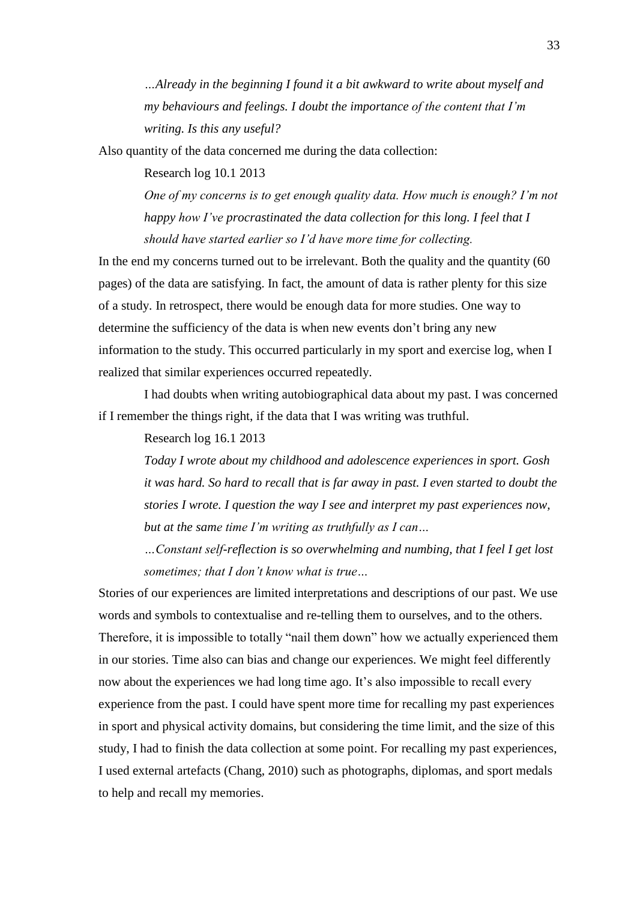*…Already in the beginning I found it a bit awkward to write about myself and my behaviours and feelings. I doubt the importance of the content that I'm writing. Is this any useful?*

Also quantity of the data concerned me during the data collection:

Research log 10.1 2013

*One of my concerns is to get enough quality data. How much is enough? I'm not happy how I've procrastinated the data collection for this long. I feel that I should have started earlier so I'd have more time for collecting.*

In the end my concerns turned out to be irrelevant. Both the quality and the quantity (60 pages) of the data are satisfying. In fact, the amount of data is rather plenty for this size of a study. In retrospect, there would be enough data for more studies. One way to determine the sufficiency of the data is when new events don't bring any new information to the study. This occurred particularly in my sport and exercise log, when I realized that similar experiences occurred repeatedly.

I had doubts when writing autobiographical data about my past. I was concerned if I remember the things right, if the data that I was writing was truthful.

Research log 16.1 2013

*Today I wrote about my childhood and adolescence experiences in sport. Gosh it was hard. So hard to recall that is far away in past. I even started to doubt the stories I wrote. I question the way I see and interpret my past experiences now, but at the same time I'm writing as truthfully as I can…*

*…Constant self-reflection is so overwhelming and numbing, that I feel I get lost sometimes; that I don't know what is true…*

Stories of our experiences are limited interpretations and descriptions of our past. We use words and symbols to contextualise and re-telling them to ourselves, and to the others. Therefore, it is impossible to totally "nail them down" how we actually experienced them in our stories. Time also can bias and change our experiences. We might feel differently now about the experiences we had long time ago. It's also impossible to recall every experience from the past. I could have spent more time for recalling my past experiences in sport and physical activity domains, but considering the time limit, and the size of this study, I had to finish the data collection at some point. For recalling my past experiences, I used external artefacts (Chang, 2010) such as photographs, diplomas, and sport medals to help and recall my memories.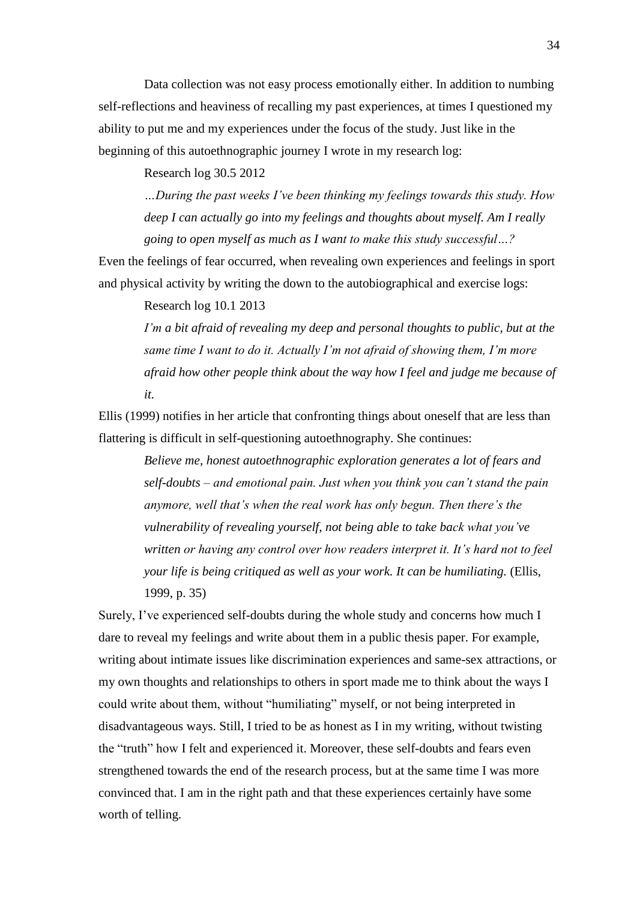Data collection was not easy process emotionally either. In addition to numbing self-reflections and heaviness of recalling my past experiences, at times I questioned my ability to put me and my experiences under the focus of the study. Just like in the beginning of this autoethnographic journey I wrote in my research log:

Research log 30.5 2012

*…During the past weeks I've been thinking my feelings towards this study. How deep I can actually go into my feelings and thoughts about myself. Am I really going to open myself as much as I want to make this study successful…?*

Even the feelings of fear occurred, when revealing own experiences and feelings in sport and physical activity by writing the down to the autobiographical and exercise logs:

Research log 10.1 2013

*I'm a bit afraid of revealing my deep and personal thoughts to public, but at the same time I want to do it. Actually I'm not afraid of showing them, I'm more afraid how other people think about the way how I feel and judge me because of it.*

Ellis (1999) notifies in her article that confronting things about oneself that are less than flattering is difficult in self-questioning autoethnography. She continues:

*Believe me, honest autoethnographic exploration generates a lot of fears and self-doubts – and emotional pain. Just when you think you can't stand the pain anymore, well that's when the real work has only begun. Then there's the vulnerability of revealing yourself, not being able to take back what you've written or having any control over how readers interpret it. It's hard not to feel your life is being critiqued as well as your work. It can be humiliating.* (Ellis, 1999, p. 35)

Surely, I've experienced self-doubts during the whole study and concerns how much I dare to reveal my feelings and write about them in a public thesis paper. For example, writing about intimate issues like discrimination experiences and same-sex attractions, or my own thoughts and relationships to others in sport made me to think about the ways I could write about them, without "humiliating" myself, or not being interpreted in disadvantageous ways. Still, I tried to be as honest as I in my writing, without twisting the "truth" how I felt and experienced it. Moreover, these self-doubts and fears even strengthened towards the end of the research process, but at the same time I was more convinced that. I am in the right path and that these experiences certainly have some worth of telling.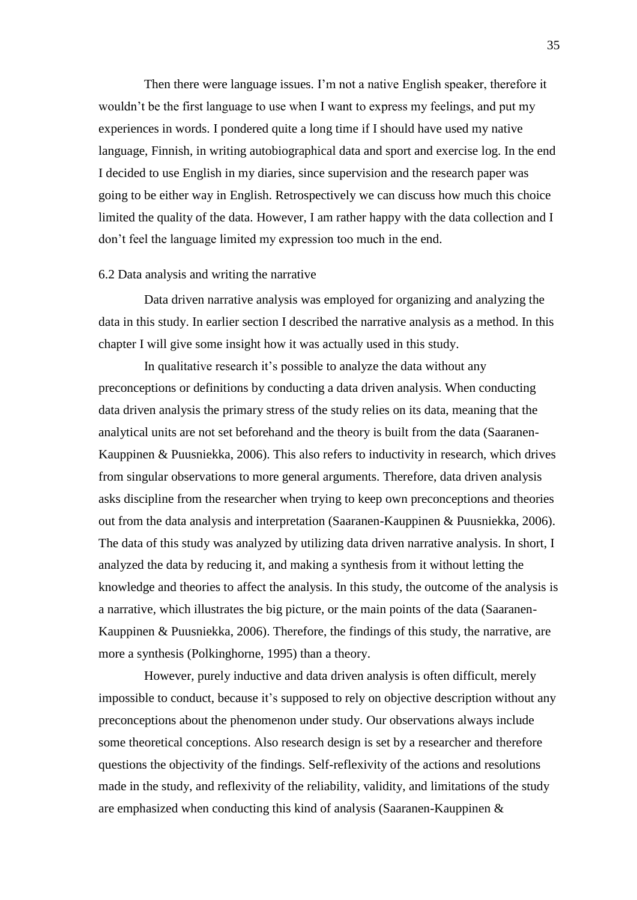Then there were language issues. I'm not a native English speaker, therefore it wouldn't be the first language to use when I want to express my feelings, and put my experiences in words. I pondered quite a long time if I should have used my native language, Finnish, in writing autobiographical data and sport and exercise log. In the end I decided to use English in my diaries, since supervision and the research paper was going to be either way in English. Retrospectively we can discuss how much this choice limited the quality of the data. However, I am rather happy with the data collection and I don't feel the language limited my expression too much in the end.

# <span id="page-34-0"></span>6.2 Data analysis and writing the narrative

Data driven narrative analysis was employed for organizing and analyzing the data in this study. In earlier section I described the narrative analysis as a method. In this chapter I will give some insight how it was actually used in this study.

In qualitative research it's possible to analyze the data without any preconceptions or definitions by conducting a data driven analysis. When conducting data driven analysis the primary stress of the study relies on its data, meaning that the analytical units are not set beforehand and the theory is built from the data (Saaranen-Kauppinen & Puusniekka, 2006). This also refers to inductivity in research, which drives from singular observations to more general arguments. Therefore, data driven analysis asks discipline from the researcher when trying to keep own preconceptions and theories out from the data analysis and interpretation (Saaranen-Kauppinen & Puusniekka, 2006). The data of this study was analyzed by utilizing data driven narrative analysis. In short, I analyzed the data by reducing it, and making a synthesis from it without letting the knowledge and theories to affect the analysis. In this study, the outcome of the analysis is a narrative, which illustrates the big picture, or the main points of the data (Saaranen-Kauppinen & Puusniekka, 2006). Therefore, the findings of this study, the narrative, are more a synthesis (Polkinghorne, 1995) than a theory.

However, purely inductive and data driven analysis is often difficult, merely impossible to conduct, because it's supposed to rely on objective description without any preconceptions about the phenomenon under study. Our observations always include some theoretical conceptions. Also research design is set by a researcher and therefore questions the objectivity of the findings. Self-reflexivity of the actions and resolutions made in the study, and reflexivity of the reliability, validity, and limitations of the study are emphasized when conducting this kind of analysis (Saaranen-Kauppinen &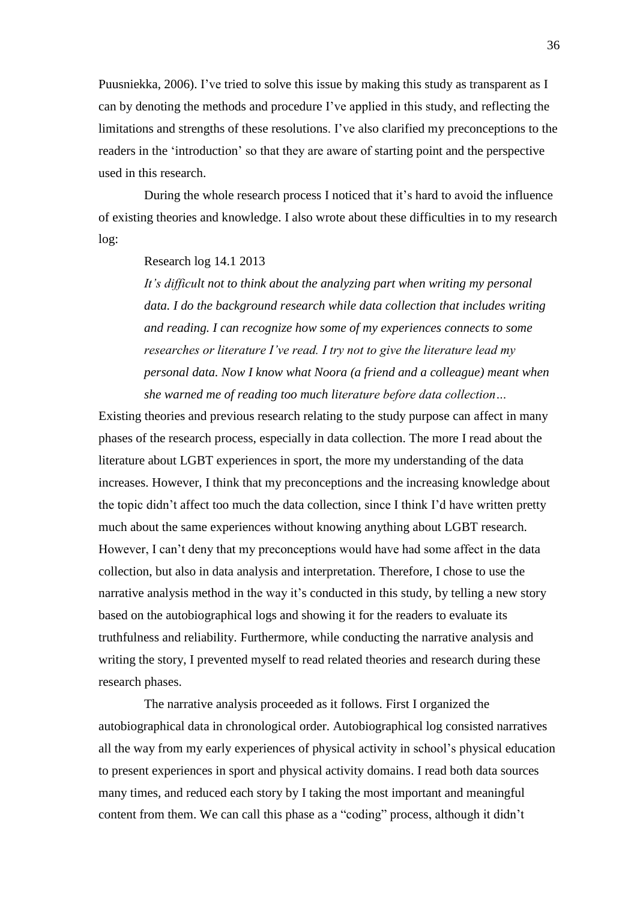Puusniekka, 2006). I've tried to solve this issue by making this study as transparent as I can by denoting the methods and procedure I've applied in this study, and reflecting the limitations and strengths of these resolutions. I've also clarified my preconceptions to the readers in the 'introduction' so that they are aware of starting point and the perspective used in this research.

During the whole research process I noticed that it's hard to avoid the influence of existing theories and knowledge. I also wrote about these difficulties in to my research log:

# Research log 14.1 2013

*It's difficult not to think about the analyzing part when writing my personal data. I do the background research while data collection that includes writing and reading. I can recognize how some of my experiences connects to some researches or literature I've read. I try not to give the literature lead my personal data. Now I know what Noora (a friend and a colleague) meant when she warned me of reading too much literature before data collection…*

Existing theories and previous research relating to the study purpose can affect in many phases of the research process, especially in data collection. The more I read about the literature about LGBT experiences in sport, the more my understanding of the data increases. However, I think that my preconceptions and the increasing knowledge about the topic didn't affect too much the data collection, since I think I'd have written pretty much about the same experiences without knowing anything about LGBT research. However, I can't deny that my preconceptions would have had some affect in the data collection, but also in data analysis and interpretation. Therefore, I chose to use the narrative analysis method in the way it's conducted in this study, by telling a new story based on the autobiographical logs and showing it for the readers to evaluate its truthfulness and reliability. Furthermore, while conducting the narrative analysis and writing the story, I prevented myself to read related theories and research during these research phases.

The narrative analysis proceeded as it follows. First I organized the autobiographical data in chronological order. Autobiographical log consisted narratives all the way from my early experiences of physical activity in school's physical education to present experiences in sport and physical activity domains. I read both data sources many times, and reduced each story by I taking the most important and meaningful content from them. We can call this phase as a "coding" process, although it didn't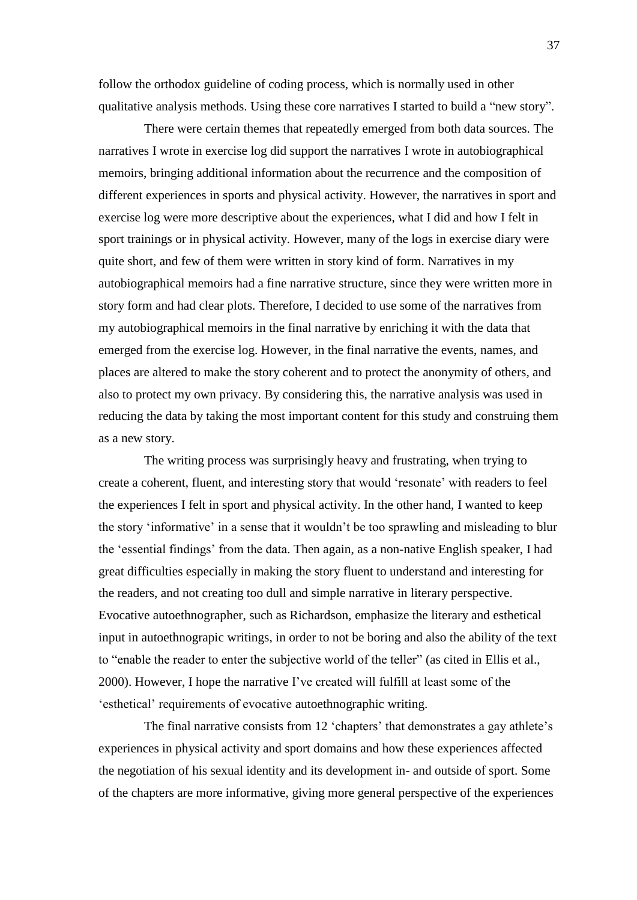follow the orthodox guideline of coding process, which is normally used in other qualitative analysis methods. Using these core narratives I started to build a "new story".

There were certain themes that repeatedly emerged from both data sources. The narratives I wrote in exercise log did support the narratives I wrote in autobiographical memoirs, bringing additional information about the recurrence and the composition of different experiences in sports and physical activity. However, the narratives in sport and exercise log were more descriptive about the experiences, what I did and how I felt in sport trainings or in physical activity. However, many of the logs in exercise diary were quite short, and few of them were written in story kind of form. Narratives in my autobiographical memoirs had a fine narrative structure, since they were written more in story form and had clear plots. Therefore, I decided to use some of the narratives from my autobiographical memoirs in the final narrative by enriching it with the data that emerged from the exercise log. However, in the final narrative the events, names, and places are altered to make the story coherent and to protect the anonymity of others, and also to protect my own privacy. By considering this, the narrative analysis was used in reducing the data by taking the most important content for this study and construing them as a new story.

The writing process was surprisingly heavy and frustrating, when trying to create a coherent, fluent, and interesting story that would ‗resonate' with readers to feel the experiences I felt in sport and physical activity. In the other hand, I wanted to keep the story ‗informative' in a sense that it wouldn't be too sprawling and misleading to blur the ‗essential findings' from the data. Then again, as a non-native English speaker, I had great difficulties especially in making the story fluent to understand and interesting for the readers, and not creating too dull and simple narrative in literary perspective. Evocative autoethnographer, such as Richardson, emphasize the literary and esthetical input in autoethnograpic writings, in order to not be boring and also the ability of the text to "enable the reader to enter the subjective world of the teller" (as cited in Ellis et al., 2000). However, I hope the narrative I've created will fulfill at least some of the 'esthetical' requirements of evocative autoethnographic writing.

The final narrative consists from 12 'chapters' that demonstrates a gay athlete's experiences in physical activity and sport domains and how these experiences affected the negotiation of his sexual identity and its development in- and outside of sport. Some of the chapters are more informative, giving more general perspective of the experiences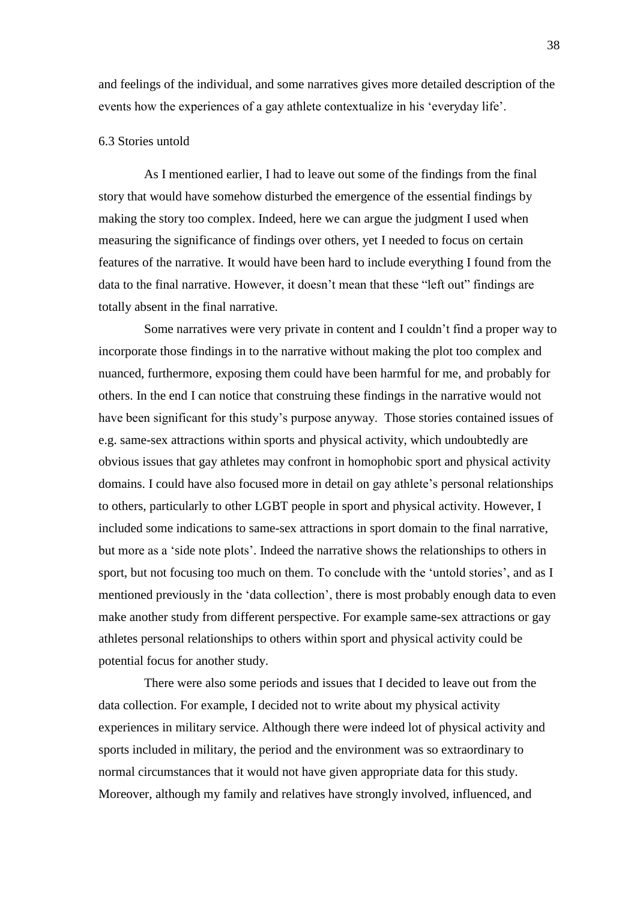and feelings of the individual, and some narratives gives more detailed description of the events how the experiences of a gay athlete contextualize in his 'everyday life'.

### 6.3 Stories untold

As I mentioned earlier, I had to leave out some of the findings from the final story that would have somehow disturbed the emergence of the essential findings by making the story too complex. Indeed, here we can argue the judgment I used when measuring the significance of findings over others, yet I needed to focus on certain features of the narrative. It would have been hard to include everything I found from the data to the final narrative. However, it doesn't mean that these "left out" findings are totally absent in the final narrative.

Some narratives were very private in content and I couldn't find a proper way to incorporate those findings in to the narrative without making the plot too complex and nuanced, furthermore, exposing them could have been harmful for me, and probably for others. In the end I can notice that construing these findings in the narrative would not have been significant for this study's purpose anyway. Those stories contained issues of e.g. same-sex attractions within sports and physical activity, which undoubtedly are obvious issues that gay athletes may confront in homophobic sport and physical activity domains. I could have also focused more in detail on gay athlete's personal relationships to others, particularly to other LGBT people in sport and physical activity. However, I included some indications to same-sex attractions in sport domain to the final narrative, but more as a 'side note plots'. Indeed the narrative shows the relationships to others in sport, but not focusing too much on them. To conclude with the 'untold stories', and as I mentioned previously in the 'data collection', there is most probably enough data to even make another study from different perspective. For example same-sex attractions or gay athletes personal relationships to others within sport and physical activity could be potential focus for another study.

There were also some periods and issues that I decided to leave out from the data collection. For example, I decided not to write about my physical activity experiences in military service. Although there were indeed lot of physical activity and sports included in military, the period and the environment was so extraordinary to normal circumstances that it would not have given appropriate data for this study. Moreover, although my family and relatives have strongly involved, influenced, and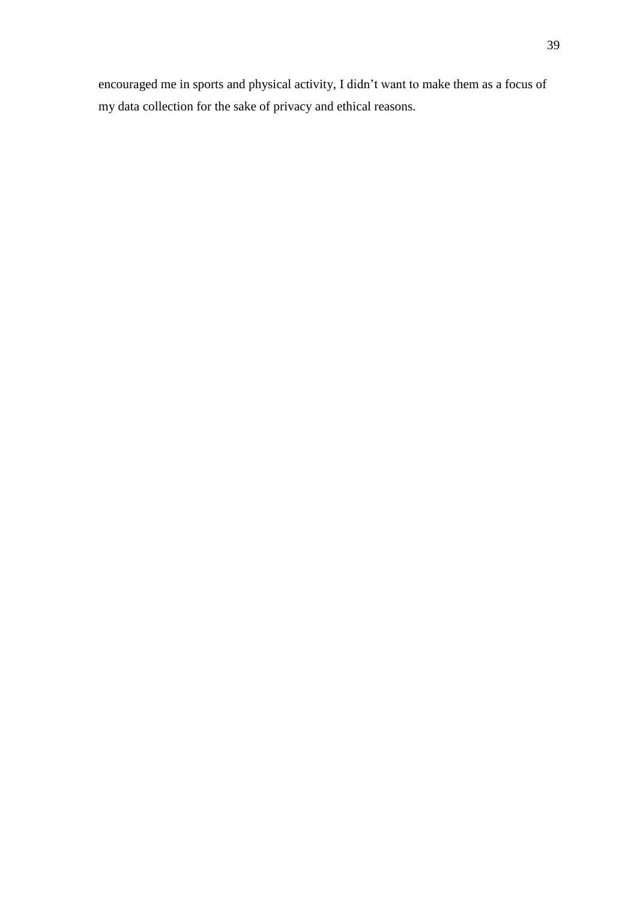encouraged me in sports and physical activity, I didn't want to make them as a focus of my data collection for the sake of privacy and ethical reasons.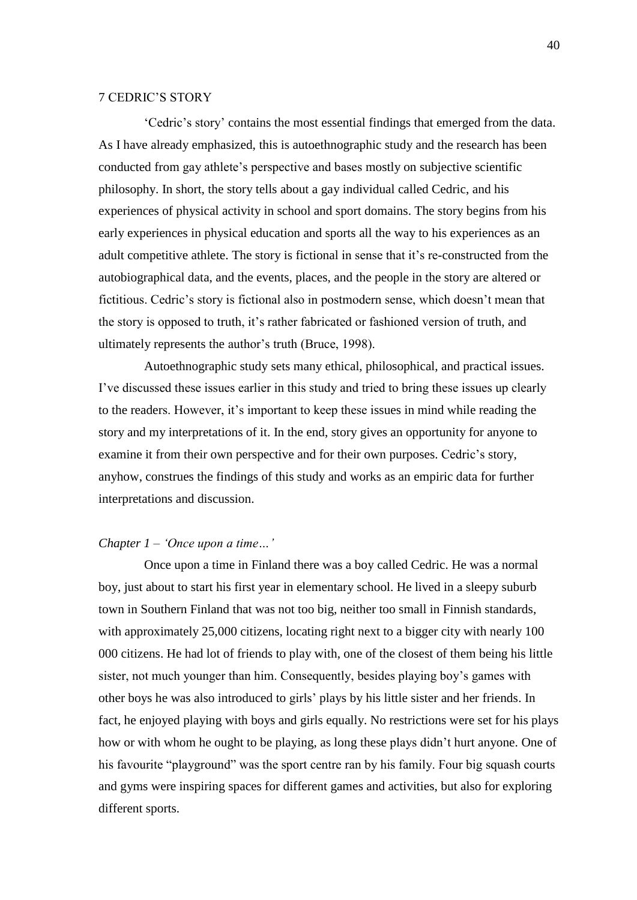### 7 CEDRIC'S STORY

‗Cedric's story' contains the most essential findings that emerged from the data. As I have already emphasized, this is autoethnographic study and the research has been conducted from gay athlete's perspective and bases mostly on subjective scientific philosophy. In short, the story tells about a gay individual called Cedric, and his experiences of physical activity in school and sport domains. The story begins from his early experiences in physical education and sports all the way to his experiences as an adult competitive athlete. The story is fictional in sense that it's re-constructed from the autobiographical data, and the events, places, and the people in the story are altered or fictitious. Cedric's story is fictional also in postmodern sense, which doesn't mean that the story is opposed to truth, it's rather fabricated or fashioned version of truth, and ultimately represents the author's truth (Bruce, 1998).

Autoethnographic study sets many ethical, philosophical, and practical issues. I've discussed these issues earlier in this study and tried to bring these issues up clearly to the readers. However, it's important to keep these issues in mind while reading the story and my interpretations of it. In the end, story gives an opportunity for anyone to examine it from their own perspective and for their own purposes. Cedric's story, anyhow, construes the findings of this study and works as an empiric data for further interpretations and discussion.

## *Chapter 1 – ‗Once upon a time…'*

Once upon a time in Finland there was a boy called Cedric. He was a normal boy, just about to start his first year in elementary school. He lived in a sleepy suburb town in Southern Finland that was not too big, neither too small in Finnish standards, with approximately 25,000 citizens, locating right next to a bigger city with nearly 100 000 citizens. He had lot of friends to play with, one of the closest of them being his little sister, not much younger than him. Consequently, besides playing boy's games with other boys he was also introduced to girls' plays by his little sister and her friends. In fact, he enjoyed playing with boys and girls equally. No restrictions were set for his plays how or with whom he ought to be playing, as long these plays didn't hurt anyone. One of his favourite "playground" was the sport centre ran by his family. Four big squash courts and gyms were inspiring spaces for different games and activities, but also for exploring different sports.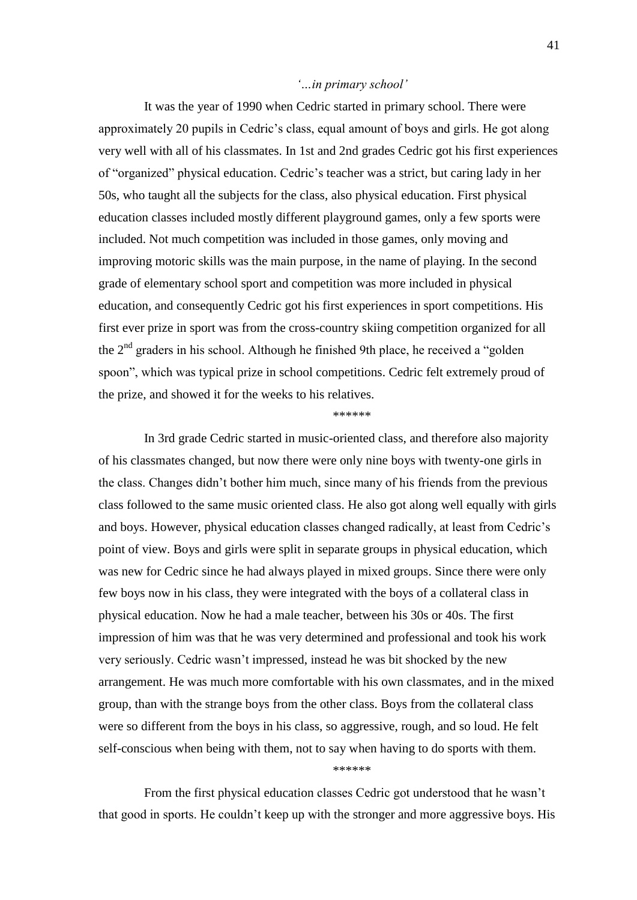## *‗…in primary school'*

It was the year of 1990 when Cedric started in primary school. There were approximately 20 pupils in Cedric's class, equal amount of boys and girls. He got along very well with all of his classmates. In 1st and 2nd grades Cedric got his first experiences of "organized" physical education. Cedric's teacher was a strict, but caring lady in her 50s, who taught all the subjects for the class, also physical education. First physical education classes included mostly different playground games, only a few sports were included. Not much competition was included in those games, only moving and improving motoric skills was the main purpose, in the name of playing. In the second grade of elementary school sport and competition was more included in physical education, and consequently Cedric got his first experiences in sport competitions. His first ever prize in sport was from the cross-country skiing competition organized for all the  $2<sup>nd</sup>$  graders in his school. Although he finished 9th place, he received a "golden" spoon", which was typical prize in school competitions. Cedric felt extremely proud of the prize, and showed it for the weeks to his relatives.

#### \*\*\*\*\*\*

In 3rd grade Cedric started in music-oriented class, and therefore also majority of his classmates changed, but now there were only nine boys with twenty-one girls in the class. Changes didn't bother him much, since many of his friends from the previous class followed to the same music oriented class. He also got along well equally with girls and boys. However, physical education classes changed radically, at least from Cedric's point of view. Boys and girls were split in separate groups in physical education, which was new for Cedric since he had always played in mixed groups. Since there were only few boys now in his class, they were integrated with the boys of a collateral class in physical education. Now he had a male teacher, between his 30s or 40s. The first impression of him was that he was very determined and professional and took his work very seriously. Cedric wasn't impressed, instead he was bit shocked by the new arrangement. He was much more comfortable with his own classmates, and in the mixed group, than with the strange boys from the other class. Boys from the collateral class were so different from the boys in his class, so aggressive, rough, and so loud. He felt self-conscious when being with them, not to say when having to do sports with them.

\*\*\*\*\*\*

From the first physical education classes Cedric got understood that he wasn't that good in sports. He couldn't keep up with the stronger and more aggressive boys. His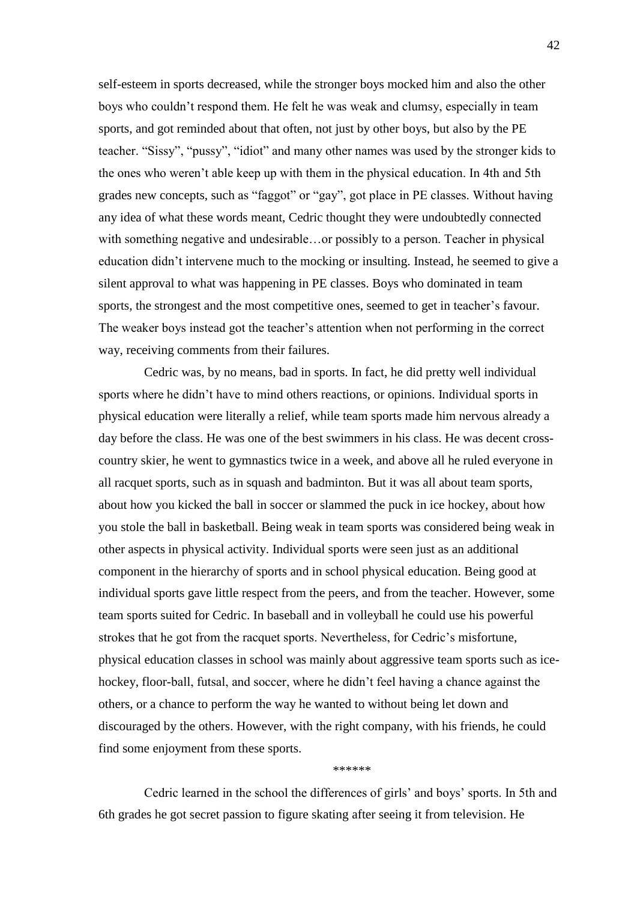self-esteem in sports decreased, while the stronger boys mocked him and also the other boys who couldn't respond them. He felt he was weak and clumsy, especially in team sports, and got reminded about that often, not just by other boys, but also by the PE teacher. "Sissy", "pussy", "idiot" and many other names was used by the stronger kids to the ones who weren't able keep up with them in the physical education. In 4th and 5th grades new concepts, such as "faggot" or "gay", got place in PE classes. Without having any idea of what these words meant, Cedric thought they were undoubtedly connected with something negative and undesirable…or possibly to a person. Teacher in physical education didn't intervene much to the mocking or insulting. Instead, he seemed to give a silent approval to what was happening in PE classes. Boys who dominated in team sports, the strongest and the most competitive ones, seemed to get in teacher's favour. The weaker boys instead got the teacher's attention when not performing in the correct way, receiving comments from their failures.

Cedric was, by no means, bad in sports. In fact, he did pretty well individual sports where he didn't have to mind others reactions, or opinions. Individual sports in physical education were literally a relief, while team sports made him nervous already a day before the class. He was one of the best swimmers in his class. He was decent crosscountry skier, he went to gymnastics twice in a week, and above all he ruled everyone in all racquet sports, such as in squash and badminton. But it was all about team sports, about how you kicked the ball in soccer or slammed the puck in ice hockey, about how you stole the ball in basketball. Being weak in team sports was considered being weak in other aspects in physical activity. Individual sports were seen just as an additional component in the hierarchy of sports and in school physical education. Being good at individual sports gave little respect from the peers, and from the teacher. However, some team sports suited for Cedric. In baseball and in volleyball he could use his powerful strokes that he got from the racquet sports. Nevertheless, for Cedric's misfortune, physical education classes in school was mainly about aggressive team sports such as icehockey, floor-ball, futsal, and soccer, where he didn't feel having a chance against the others, or a chance to perform the way he wanted to without being let down and discouraged by the others. However, with the right company, with his friends, he could find some enjoyment from these sports.

\*\*\*\*\*\*

Cedric learned in the school the differences of girls' and boys' sports. In 5th and 6th grades he got secret passion to figure skating after seeing it from television. He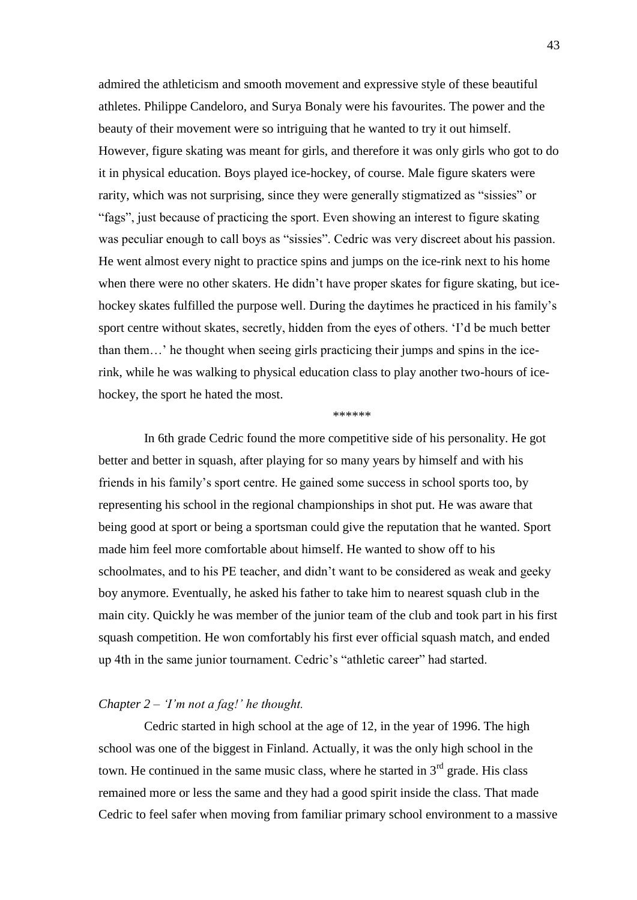admired the athleticism and smooth movement and expressive style of these beautiful athletes. Philippe Candeloro, and Surya Bonaly were his favourites. The power and the beauty of their movement were so intriguing that he wanted to try it out himself. However, figure skating was meant for girls, and therefore it was only girls who got to do it in physical education. Boys played ice-hockey, of course. Male figure skaters were rarity, which was not surprising, since they were generally stigmatized as "sissies" or ―fags‖, just because of practicing the sport. Even showing an interest to figure skating was peculiar enough to call boys as "sissies". Cedric was very discreet about his passion. He went almost every night to practice spins and jumps on the ice-rink next to his home when there were no other skaters. He didn't have proper skates for figure skating, but icehockey skates fulfilled the purpose well. During the daytimes he practiced in his family's sport centre without skates, secretly, hidden from the eyes of others. 'I'd be much better than them…' he thought when seeing girls practicing their jumps and spins in the icerink, while he was walking to physical education class to play another two-hours of icehockey, the sport he hated the most.

\*\*\*\*\*\*

In 6th grade Cedric found the more competitive side of his personality. He got better and better in squash, after playing for so many years by himself and with his friends in his family's sport centre. He gained some success in school sports too, by representing his school in the regional championships in shot put. He was aware that being good at sport or being a sportsman could give the reputation that he wanted. Sport made him feel more comfortable about himself. He wanted to show off to his schoolmates, and to his PE teacher, and didn't want to be considered as weak and geeky boy anymore. Eventually, he asked his father to take him to nearest squash club in the main city. Quickly he was member of the junior team of the club and took part in his first squash competition. He won comfortably his first ever official squash match, and ended up 4th in the same junior tournament. Cedric's "athletic career" had started.

## *Chapter 2 – ‗I'm not a fag!' he thought.*

Cedric started in high school at the age of 12, in the year of 1996. The high school was one of the biggest in Finland. Actually, it was the only high school in the town. He continued in the same music class, where he started in  $3<sup>rd</sup>$  grade. His class remained more or less the same and they had a good spirit inside the class. That made Cedric to feel safer when moving from familiar primary school environment to a massive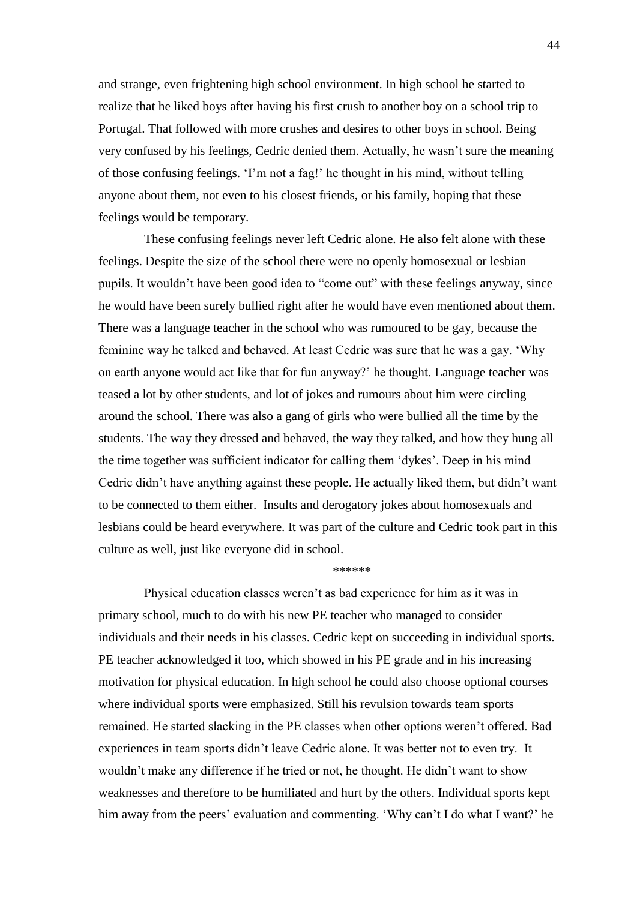and strange, even frightening high school environment. In high school he started to realize that he liked boys after having his first crush to another boy on a school trip to Portugal. That followed with more crushes and desires to other boys in school. Being very confused by his feelings, Cedric denied them. Actually, he wasn't sure the meaning of those confusing feelings. ‗I'm not a fag!' he thought in his mind, without telling anyone about them, not even to his closest friends, or his family, hoping that these feelings would be temporary.

These confusing feelings never left Cedric alone. He also felt alone with these feelings. Despite the size of the school there were no openly homosexual or lesbian pupils. It wouldn't have been good idea to "come out" with these feelings anyway, since he would have been surely bullied right after he would have even mentioned about them. There was a language teacher in the school who was rumoured to be gay, because the feminine way he talked and behaved. At least Cedric was sure that he was a gay. ‗Why on earth anyone would act like that for fun anyway?' he thought. Language teacher was teased a lot by other students, and lot of jokes and rumours about him were circling around the school. There was also a gang of girls who were bullied all the time by the students. The way they dressed and behaved, the way they talked, and how they hung all the time together was sufficient indicator for calling them 'dykes'. Deep in his mind Cedric didn't have anything against these people. He actually liked them, but didn't want to be connected to them either. Insults and derogatory jokes about homosexuals and lesbians could be heard everywhere. It was part of the culture and Cedric took part in this culture as well, just like everyone did in school.

\*\*\*\*\*\*

Physical education classes weren't as bad experience for him as it was in primary school, much to do with his new PE teacher who managed to consider individuals and their needs in his classes. Cedric kept on succeeding in individual sports. PE teacher acknowledged it too, which showed in his PE grade and in his increasing motivation for physical education. In high school he could also choose optional courses where individual sports were emphasized. Still his revulsion towards team sports remained. He started slacking in the PE classes when other options weren't offered. Bad experiences in team sports didn't leave Cedric alone. It was better not to even try. It wouldn't make any difference if he tried or not, he thought. He didn't want to show weaknesses and therefore to be humiliated and hurt by the others. Individual sports kept him away from the peers' evaluation and commenting. 'Why can't I do what I want?' he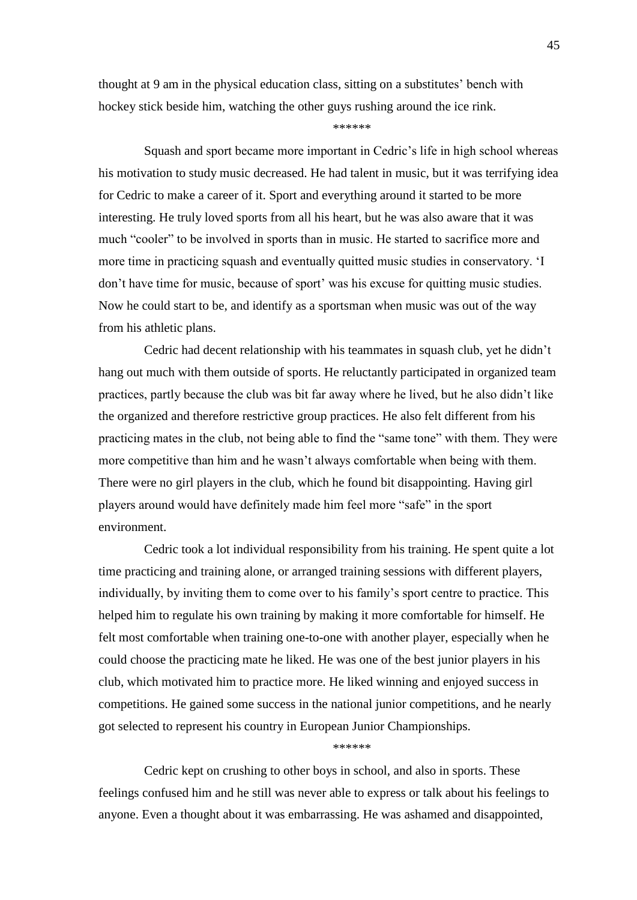thought at 9 am in the physical education class, sitting on a substitutes' bench with hockey stick beside him, watching the other guys rushing around the ice rink.

#### \*\*\*\*\*\*

Squash and sport became more important in Cedric's life in high school whereas his motivation to study music decreased. He had talent in music, but it was terrifying idea for Cedric to make a career of it. Sport and everything around it started to be more interesting. He truly loved sports from all his heart, but he was also aware that it was much "cooler" to be involved in sports than in music. He started to sacrifice more and more time in practicing squash and eventually quitted music studies in conservatory. ‗I don't have time for music, because of sport' was his excuse for quitting music studies. Now he could start to be, and identify as a sportsman when music was out of the way from his athletic plans.

Cedric had decent relationship with his teammates in squash club, yet he didn't hang out much with them outside of sports. He reluctantly participated in organized team practices, partly because the club was bit far away where he lived, but he also didn't like the organized and therefore restrictive group practices. He also felt different from his practicing mates in the club, not being able to find the "same tone" with them. They were more competitive than him and he wasn't always comfortable when being with them. There were no girl players in the club, which he found bit disappointing. Having girl players around would have definitely made him feel more "safe" in the sport environment.

Cedric took a lot individual responsibility from his training. He spent quite a lot time practicing and training alone, or arranged training sessions with different players, individually, by inviting them to come over to his family's sport centre to practice. This helped him to regulate his own training by making it more comfortable for himself. He felt most comfortable when training one-to-one with another player, especially when he could choose the practicing mate he liked. He was one of the best junior players in his club, which motivated him to practice more. He liked winning and enjoyed success in competitions. He gained some success in the national junior competitions, and he nearly got selected to represent his country in European Junior Championships.

#### \*\*\*\*\*\*

Cedric kept on crushing to other boys in school, and also in sports. These feelings confused him and he still was never able to express or talk about his feelings to anyone. Even a thought about it was embarrassing. He was ashamed and disappointed,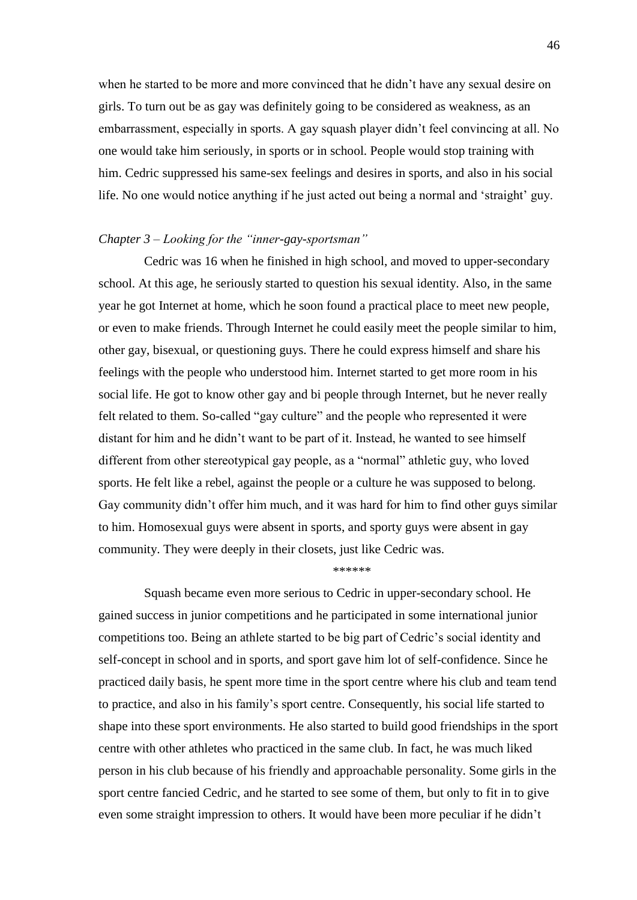when he started to be more and more convinced that he didn't have any sexual desire on girls. To turn out be as gay was definitely going to be considered as weakness, as an embarrassment, especially in sports. A gay squash player didn't feel convincing at all. No one would take him seriously, in sports or in school. People would stop training with him. Cedric suppressed his same-sex feelings and desires in sports, and also in his social life. No one would notice anything if he just acted out being a normal and ‗straight' guy.

## *Chapter 3 – Looking for the "inner-gay-sportsman"*

Cedric was 16 when he finished in high school, and moved to upper-secondary school. At this age, he seriously started to question his sexual identity. Also, in the same year he got Internet at home, which he soon found a practical place to meet new people, or even to make friends. Through Internet he could easily meet the people similar to him, other gay, bisexual, or questioning guys. There he could express himself and share his feelings with the people who understood him. Internet started to get more room in his social life. He got to know other gay and bi people through Internet, but he never really felt related to them. So-called "gay culture" and the people who represented it were distant for him and he didn't want to be part of it. Instead, he wanted to see himself different from other stereotypical gay people, as a "normal" athletic guy, who loved sports. He felt like a rebel, against the people or a culture he was supposed to belong. Gay community didn't offer him much, and it was hard for him to find other guys similar to him. Homosexual guys were absent in sports, and sporty guys were absent in gay community. They were deeply in their closets, just like Cedric was.

## \*\*\*\*\*\*

Squash became even more serious to Cedric in upper-secondary school. He gained success in junior competitions and he participated in some international junior competitions too. Being an athlete started to be big part of Cedric's social identity and self-concept in school and in sports, and sport gave him lot of self-confidence. Since he practiced daily basis, he spent more time in the sport centre where his club and team tend to practice, and also in his family's sport centre. Consequently, his social life started to shape into these sport environments. He also started to build good friendships in the sport centre with other athletes who practiced in the same club. In fact, he was much liked person in his club because of his friendly and approachable personality. Some girls in the sport centre fancied Cedric, and he started to see some of them, but only to fit in to give even some straight impression to others. It would have been more peculiar if he didn't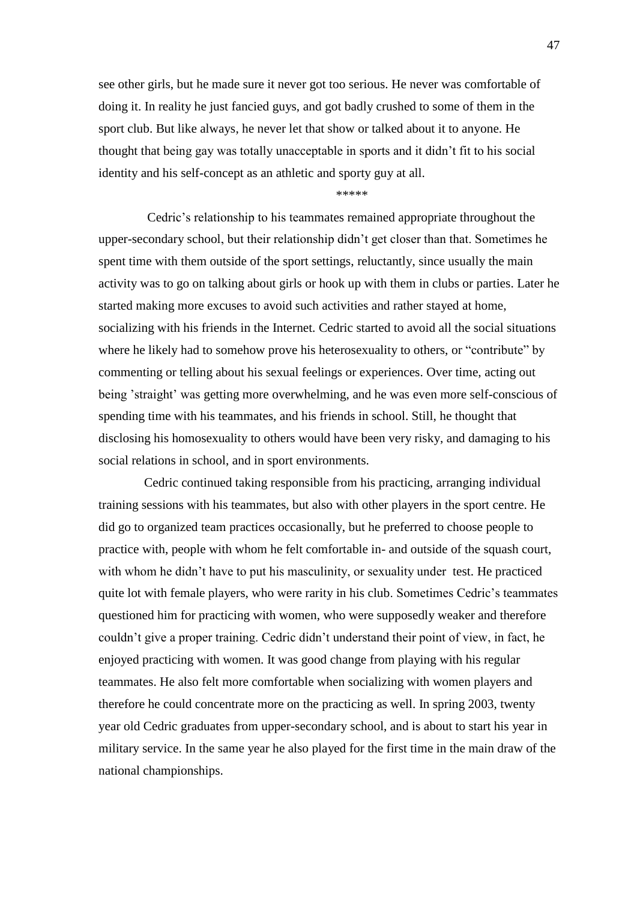see other girls, but he made sure it never got too serious. He never was comfortable of doing it. In reality he just fancied guys, and got badly crushed to some of them in the sport club. But like always, he never let that show or talked about it to anyone. He thought that being gay was totally unacceptable in sports and it didn't fit to his social identity and his self-concept as an athletic and sporty guy at all.

#### \*\*\*\*\*

Cedric's relationship to his teammates remained appropriate throughout the upper-secondary school, but their relationship didn't get closer than that. Sometimes he spent time with them outside of the sport settings, reluctantly, since usually the main activity was to go on talking about girls or hook up with them in clubs or parties. Later he started making more excuses to avoid such activities and rather stayed at home, socializing with his friends in the Internet. Cedric started to avoid all the social situations where he likely had to somehow prove his heterosexuality to others, or "contribute" by commenting or telling about his sexual feelings or experiences. Over time, acting out being 'straight' was getting more overwhelming, and he was even more self-conscious of spending time with his teammates, and his friends in school. Still, he thought that disclosing his homosexuality to others would have been very risky, and damaging to his social relations in school, and in sport environments.

Cedric continued taking responsible from his practicing, arranging individual training sessions with his teammates, but also with other players in the sport centre. He did go to organized team practices occasionally, but he preferred to choose people to practice with, people with whom he felt comfortable in- and outside of the squash court, with whom he didn't have to put his masculinity, or sexuality under test. He practiced quite lot with female players, who were rarity in his club. Sometimes Cedric's teammates questioned him for practicing with women, who were supposedly weaker and therefore couldn't give a proper training. Cedric didn't understand their point of view, in fact, he enjoyed practicing with women. It was good change from playing with his regular teammates. He also felt more comfortable when socializing with women players and therefore he could concentrate more on the practicing as well. In spring 2003, twenty year old Cedric graduates from upper-secondary school, and is about to start his year in military service. In the same year he also played for the first time in the main draw of the national championships.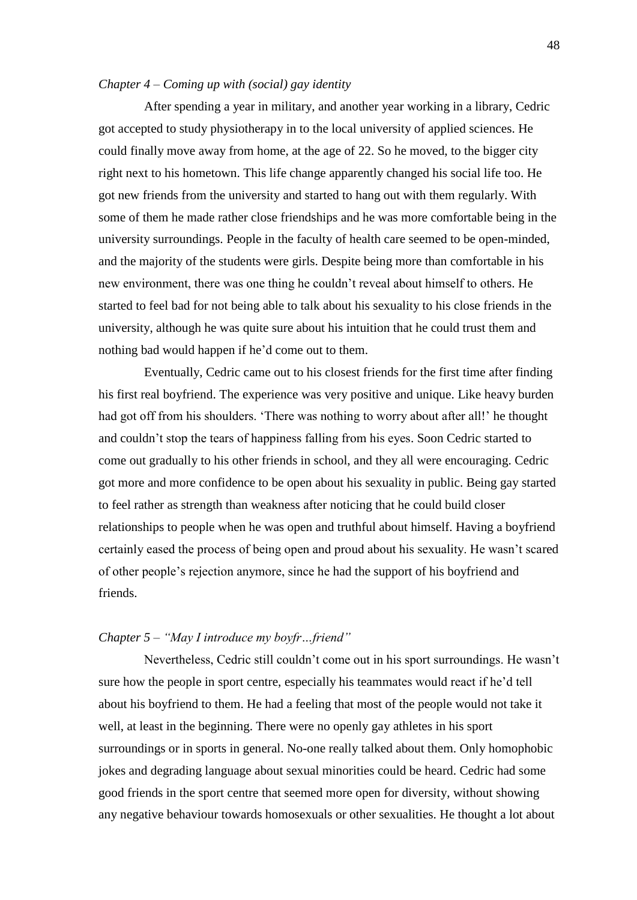## *Chapter 4 – Coming up with (social) gay identity*

After spending a year in military, and another year working in a library, Cedric got accepted to study physiotherapy in to the local university of applied sciences. He could finally move away from home, at the age of 22. So he moved, to the bigger city right next to his hometown. This life change apparently changed his social life too. He got new friends from the university and started to hang out with them regularly. With some of them he made rather close friendships and he was more comfortable being in the university surroundings. People in the faculty of health care seemed to be open-minded, and the majority of the students were girls. Despite being more than comfortable in his new environment, there was one thing he couldn't reveal about himself to others. He started to feel bad for not being able to talk about his sexuality to his close friends in the university, although he was quite sure about his intuition that he could trust them and nothing bad would happen if he'd come out to them.

Eventually, Cedric came out to his closest friends for the first time after finding his first real boyfriend. The experience was very positive and unique. Like heavy burden had got off from his shoulders. 'There was nothing to worry about after all!' he thought and couldn't stop the tears of happiness falling from his eyes. Soon Cedric started to come out gradually to his other friends in school, and they all were encouraging. Cedric got more and more confidence to be open about his sexuality in public. Being gay started to feel rather as strength than weakness after noticing that he could build closer relationships to people when he was open and truthful about himself. Having a boyfriend certainly eased the process of being open and proud about his sexuality. He wasn't scared of other people's rejection anymore, since he had the support of his boyfriend and friends.

# *Chapter 5 – "May I introduce my boyfr...friend"*

Nevertheless, Cedric still couldn't come out in his sport surroundings. He wasn't sure how the people in sport centre, especially his teammates would react if he'd tell about his boyfriend to them. He had a feeling that most of the people would not take it well, at least in the beginning. There were no openly gay athletes in his sport surroundings or in sports in general. No-one really talked about them. Only homophobic jokes and degrading language about sexual minorities could be heard. Cedric had some good friends in the sport centre that seemed more open for diversity, without showing any negative behaviour towards homosexuals or other sexualities. He thought a lot about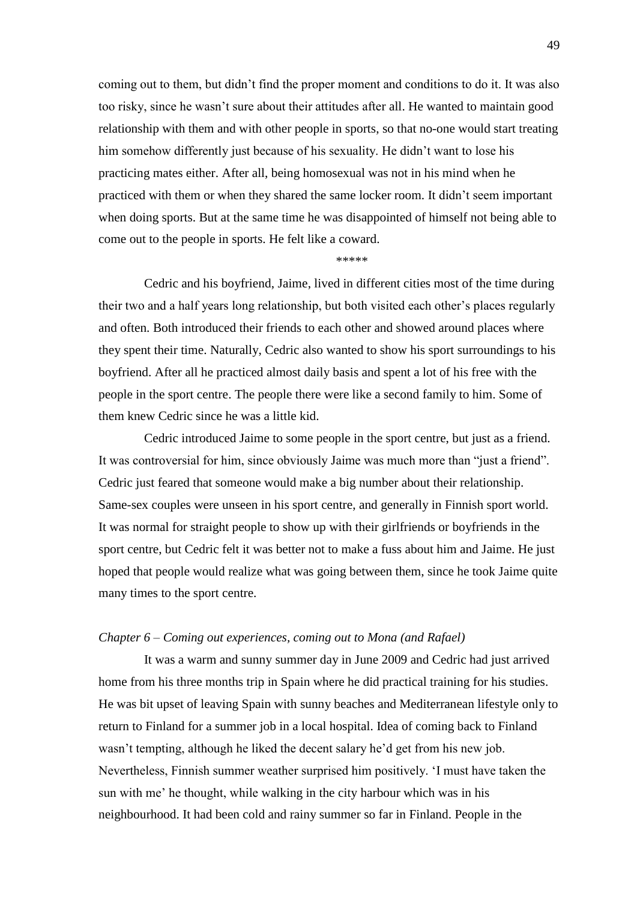coming out to them, but didn't find the proper moment and conditions to do it. It was also too risky, since he wasn't sure about their attitudes after all. He wanted to maintain good relationship with them and with other people in sports, so that no-one would start treating him somehow differently just because of his sexuality. He didn't want to lose his practicing mates either. After all, being homosexual was not in his mind when he practiced with them or when they shared the same locker room. It didn't seem important when doing sports. But at the same time he was disappointed of himself not being able to come out to the people in sports. He felt like a coward.

#### \*\*\*\*\*

Cedric and his boyfriend, Jaime, lived in different cities most of the time during their two and a half years long relationship, but both visited each other's places regularly and often. Both introduced their friends to each other and showed around places where they spent their time. Naturally, Cedric also wanted to show his sport surroundings to his boyfriend. After all he practiced almost daily basis and spent a lot of his free with the people in the sport centre. The people there were like a second family to him. Some of them knew Cedric since he was a little kid.

Cedric introduced Jaime to some people in the sport centre, but just as a friend. It was controversial for him, since obviously Jaime was much more than "just a friend". Cedric just feared that someone would make a big number about their relationship. Same-sex couples were unseen in his sport centre, and generally in Finnish sport world. It was normal for straight people to show up with their girlfriends or boyfriends in the sport centre, but Cedric felt it was better not to make a fuss about him and Jaime. He just hoped that people would realize what was going between them, since he took Jaime quite many times to the sport centre.

## *Chapter 6 – Coming out experiences, coming out to Mona (and Rafael)*

It was a warm and sunny summer day in June 2009 and Cedric had just arrived home from his three months trip in Spain where he did practical training for his studies. He was bit upset of leaving Spain with sunny beaches and Mediterranean lifestyle only to return to Finland for a summer job in a local hospital. Idea of coming back to Finland wasn't tempting, although he liked the decent salary he'd get from his new job. Nevertheless, Finnish summer weather surprised him positively. ‗I must have taken the sun with me' he thought, while walking in the city harbour which was in his neighbourhood. It had been cold and rainy summer so far in Finland. People in the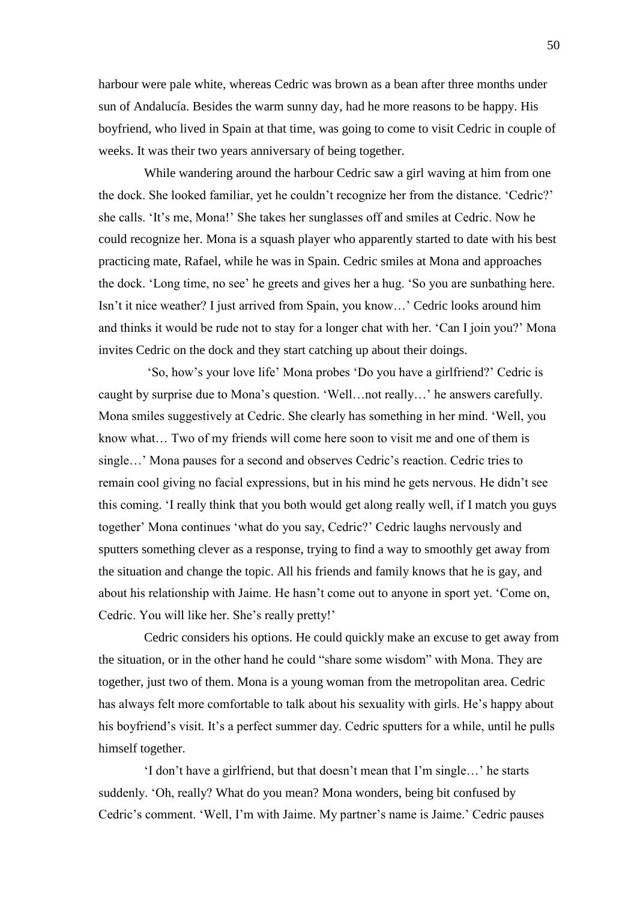harbour were pale white, whereas Cedric was brown as a bean after three months under sun of Andalucía. Besides the warm sunny day, had he more reasons to be happy. His boyfriend, who lived in Spain at that time, was going to come to visit Cedric in couple of weeks. It was their two years anniversary of being together.

While wandering around the harbour Cedric saw a girl waving at him from one the dock. She looked familiar, yet he couldn't recognize her from the distance. 'Cedric?' she calls. ‗It's me, Mona!' She takes her sunglasses off and smiles at Cedric. Now he could recognize her. Mona is a squash player who apparently started to date with his best practicing mate, Rafael, while he was in Spain. Cedric smiles at Mona and approaches the dock. ‗Long time, no see' he greets and gives her a hug. ‗So you are sunbathing here. Isn't it nice weather? I just arrived from Spain, you know…' Cedric looks around him and thinks it would be rude not to stay for a longer chat with her. 'Can I join you?' Mona invites Cedric on the dock and they start catching up about their doings.

‗So, how's your love life' Mona probes ‗Do you have a girlfriend?' Cedric is caught by surprise due to Mona's question. 'Well...not really...' he answers carefully. Mona smiles suggestively at Cedric. She clearly has something in her mind. 'Well, you know what… Two of my friends will come here soon to visit me and one of them is single…' Mona pauses for a second and observes Cedric's reaction. Cedric tries to remain cool giving no facial expressions, but in his mind he gets nervous. He didn't see this coming. ‗I really think that you both would get along really well, if I match you guys together' Mona continues ‗what do you say, Cedric?' Cedric laughs nervously and sputters something clever as a response, trying to find a way to smoothly get away from the situation and change the topic. All his friends and family knows that he is gay, and about his relationship with Jaime. He hasn't come out to anyone in sport yet. 'Come on, Cedric. You will like her. She's really pretty!'

Cedric considers his options. He could quickly make an excuse to get away from the situation, or in the other hand he could "share some wisdom" with Mona. They are together, just two of them. Mona is a young woman from the metropolitan area. Cedric has always felt more comfortable to talk about his sexuality with girls. He's happy about his boyfriend's visit. It's a perfect summer day. Cedric sputters for a while, until he pulls himself together.

‗I don't have a girlfriend, but that doesn't mean that I'm single…' he starts suddenly. 'Oh, really? What do you mean? Mona wonders, being bit confused by Cedric's comment. ‗Well, I'm with Jaime. My partner's name is Jaime.' Cedric pauses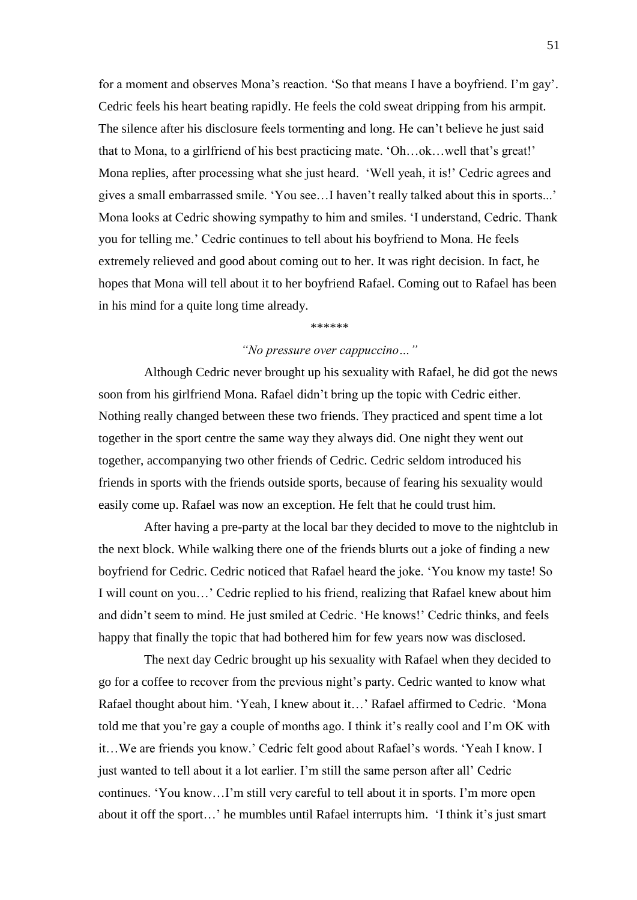for a moment and observes Mona's reaction. 'So that means I have a boyfriend. I'm gay'. Cedric feels his heart beating rapidly. He feels the cold sweat dripping from his armpit. The silence after his disclosure feels tormenting and long. He can't believe he just said that to Mona, to a girlfriend of his best practicing mate. ‗Oh…ok…well that's great!' Mona replies, after processing what she just heard. 'Well yeah, it is!' Cedric agrees and gives a small embarrassed smile. ‗You see…I haven't really talked about this in sports...' Mona looks at Cedric showing sympathy to him and smiles. 'I understand, Cedric. Thank you for telling me.' Cedric continues to tell about his boyfriend to Mona. He feels extremely relieved and good about coming out to her. It was right decision. In fact, he hopes that Mona will tell about it to her boyfriend Rafael. Coming out to Rafael has been in his mind for a quite long time already.

#### *\*\*\*\*\*\**

# *―No pressure over cappuccino…‖*

Although Cedric never brought up his sexuality with Rafael, he did got the news soon from his girlfriend Mona. Rafael didn't bring up the topic with Cedric either. Nothing really changed between these two friends. They practiced and spent time a lot together in the sport centre the same way they always did. One night they went out together, accompanying two other friends of Cedric. Cedric seldom introduced his friends in sports with the friends outside sports, because of fearing his sexuality would easily come up. Rafael was now an exception. He felt that he could trust him.

After having a pre-party at the local bar they decided to move to the nightclub in the next block. While walking there one of the friends blurts out a joke of finding a new boyfriend for Cedric. Cedric noticed that Rafael heard the joke. ‗You know my taste! So I will count on you…' Cedric replied to his friend, realizing that Rafael knew about him and didn't seem to mind. He just smiled at Cedric. ‗He knows!' Cedric thinks, and feels happy that finally the topic that had bothered him for few years now was disclosed.

The next day Cedric brought up his sexuality with Rafael when they decided to go for a coffee to recover from the previous night's party. Cedric wanted to know what Rafael thought about him. 'Yeah, I knew about it...' Rafael affirmed to Cedric. 'Mona told me that you're gay a couple of months ago. I think it's really cool and I'm OK with it…We are friends you know.' Cedric felt good about Rafael's words. ‗Yeah I know. I just wanted to tell about it a lot earlier. I'm still the same person after all' Cedric continues. ‗You know…I'm still very careful to tell about it in sports. I'm more open about it off the sport...' he mumbles until Rafael interrupts him. 'I think it's just smart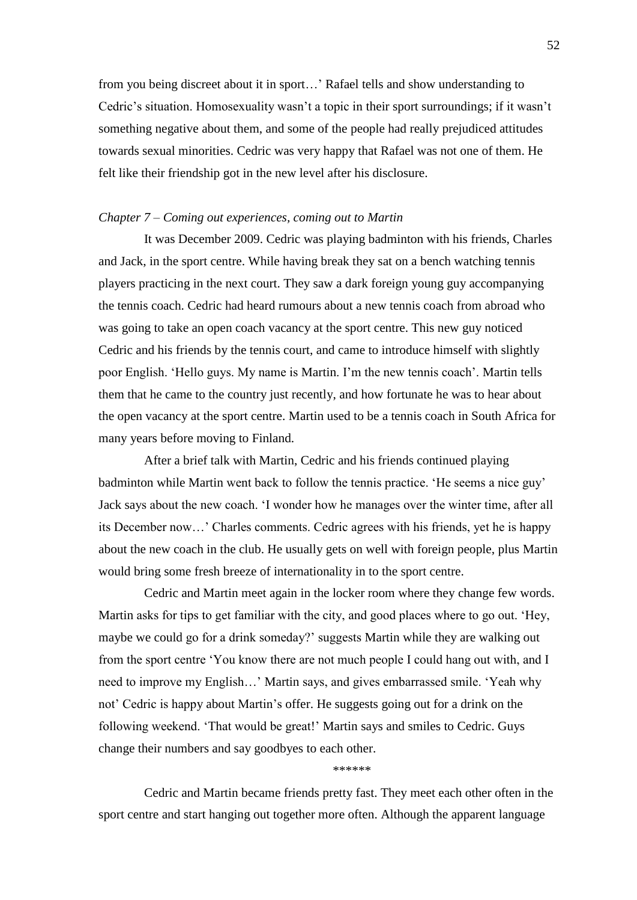from you being discreet about it in sport…' Rafael tells and show understanding to Cedric's situation. Homosexuality wasn't a topic in their sport surroundings; if it wasn't something negative about them, and some of the people had really prejudiced attitudes towards sexual minorities. Cedric was very happy that Rafael was not one of them. He felt like their friendship got in the new level after his disclosure.

## *Chapter 7 – Coming out experiences, coming out to Martin*

It was December 2009. Cedric was playing badminton with his friends, Charles and Jack, in the sport centre. While having break they sat on a bench watching tennis players practicing in the next court. They saw a dark foreign young guy accompanying the tennis coach. Cedric had heard rumours about a new tennis coach from abroad who was going to take an open coach vacancy at the sport centre. This new guy noticed Cedric and his friends by the tennis court, and came to introduce himself with slightly poor English. ‗Hello guys. My name is Martin. I'm the new tennis coach'. Martin tells them that he came to the country just recently, and how fortunate he was to hear about the open vacancy at the sport centre. Martin used to be a tennis coach in South Africa for many years before moving to Finland.

After a brief talk with Martin, Cedric and his friends continued playing badminton while Martin went back to follow the tennis practice. ‗He seems a nice guy' Jack says about the new coach. ‗I wonder how he manages over the winter time, after all its December now…' Charles comments. Cedric agrees with his friends, yet he is happy about the new coach in the club. He usually gets on well with foreign people, plus Martin would bring some fresh breeze of internationality in to the sport centre.

Cedric and Martin meet again in the locker room where they change few words. Martin asks for tips to get familiar with the city, and good places where to go out. 'Hey, maybe we could go for a drink someday?' suggests Martin while they are walking out from the sport centre ‗You know there are not much people I could hang out with, and I need to improve my English...' Martin says, and gives embarrassed smile. 'Yeah why not' Cedric is happy about Martin's offer. He suggests going out for a drink on the following weekend. ‗That would be great!' Martin says and smiles to Cedric. Guys change their numbers and say goodbyes to each other.

\*\*\*\*\*\*

Cedric and Martin became friends pretty fast. They meet each other often in the sport centre and start hanging out together more often. Although the apparent language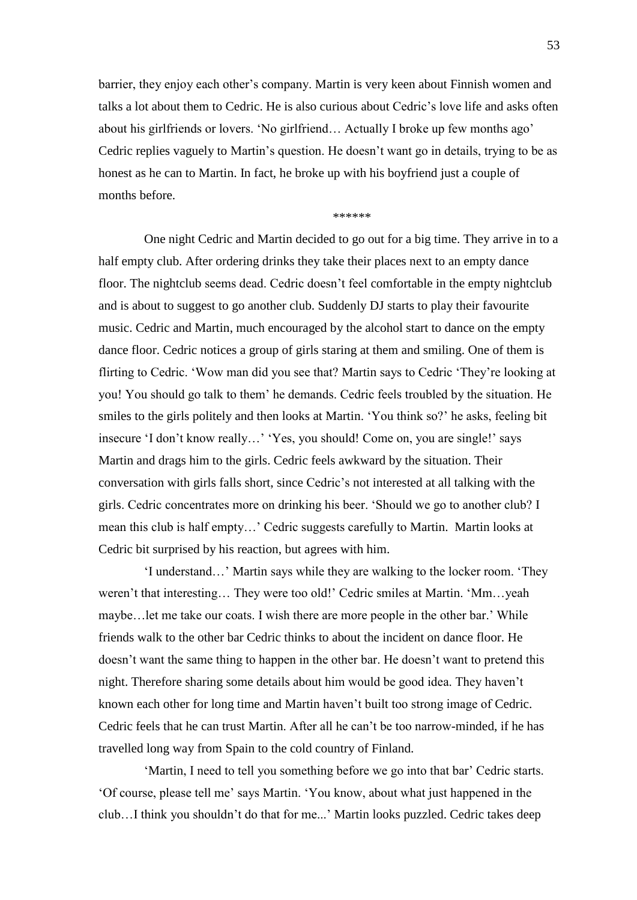barrier, they enjoy each other's company. Martin is very keen about Finnish women and talks a lot about them to Cedric. He is also curious about Cedric's love life and asks often about his girlfriends or lovers. 'No girlfriend... Actually I broke up few months ago' Cedric replies vaguely to Martin's question. He doesn't want go in details, trying to be as honest as he can to Martin. In fact, he broke up with his boyfriend just a couple of months before.

\*\*\*\*\*\*

One night Cedric and Martin decided to go out for a big time. They arrive in to a half empty club. After ordering drinks they take their places next to an empty dance floor. The nightclub seems dead. Cedric doesn't feel comfortable in the empty nightclub and is about to suggest to go another club. Suddenly DJ starts to play their favourite music. Cedric and Martin, much encouraged by the alcohol start to dance on the empty dance floor. Cedric notices a group of girls staring at them and smiling. One of them is flirting to Cedric. 'Wow man did you see that? Martin says to Cedric 'They're looking at you! You should go talk to them' he demands. Cedric feels troubled by the situation. He smiles to the girls politely and then looks at Martin. 'You think so?' he asks, feeling bit insecure 'I don't know really...' 'Yes, you should! Come on, you are single!' says Martin and drags him to the girls. Cedric feels awkward by the situation. Their conversation with girls falls short, since Cedric's not interested at all talking with the girls. Cedric concentrates more on drinking his beer. 'Should we go to another club? I mean this club is half empty…' Cedric suggests carefully to Martin. Martin looks at Cedric bit surprised by his reaction, but agrees with him.

‗I understand…' Martin says while they are walking to the locker room. ‗They weren't that interesting... They were too old!' Cedric smiles at Martin. 'Mm...yeah maybe…let me take our coats. I wish there are more people in the other bar.' While friends walk to the other bar Cedric thinks to about the incident on dance floor. He doesn't want the same thing to happen in the other bar. He doesn't want to pretend this night. Therefore sharing some details about him would be good idea. They haven't known each other for long time and Martin haven't built too strong image of Cedric. Cedric feels that he can trust Martin. After all he can't be too narrow-minded, if he has travelled long way from Spain to the cold country of Finland.

‗Martin, I need to tell you something before we go into that bar' Cedric starts. ‗Of course, please tell me' says Martin. ‗You know, about what just happened in the club…I think you shouldn't do that for me...' Martin looks puzzled. Cedric takes deep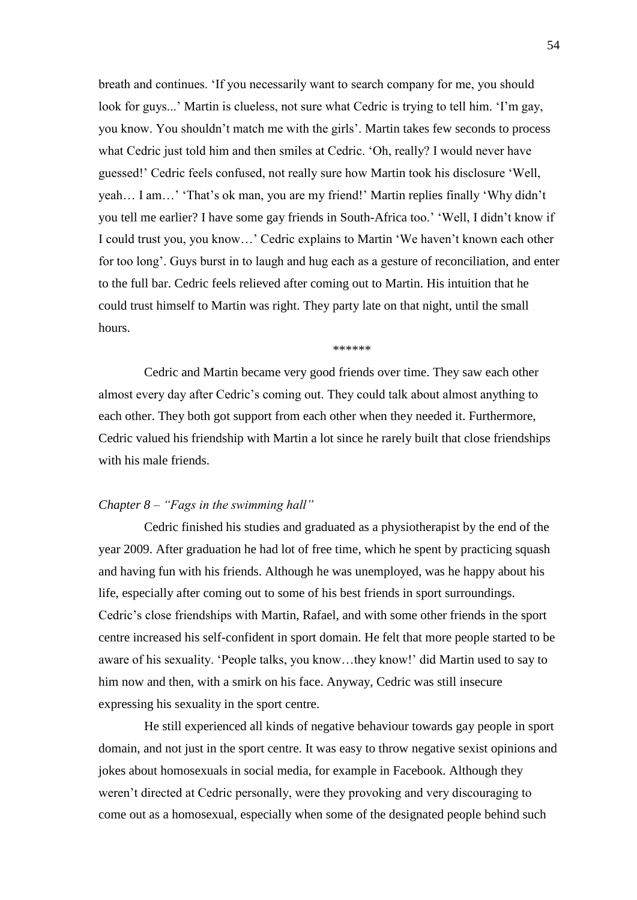breath and continues. 'If you necessarily want to search company for me, you should look for guys...' Martin is clueless, not sure what Cedric is trying to tell him. 'I'm gay, you know. You shouldn't match me with the girls'. Martin takes few seconds to process what Cedric just told him and then smiles at Cedric. 'Oh, really? I would never have guessed!' Cedric feels confused, not really sure how Martin took his disclosure 'Well, yeah... I am...' 'That's ok man, you are my friend!' Martin replies finally 'Why didn't you tell me earlier? I have some gay friends in South-Africa too.' ‗Well, I didn't know if I could trust you, you know…' Cedric explains to Martin ‗We haven't known each other for too long'. Guys burst in to laugh and hug each as a gesture of reconciliation, and enter to the full bar. Cedric feels relieved after coming out to Martin. His intuition that he could trust himself to Martin was right. They party late on that night, until the small hours.

\*\*\*\*\*\*

Cedric and Martin became very good friends over time. They saw each other almost every day after Cedric's coming out. They could talk about almost anything to each other. They both got support from each other when they needed it. Furthermore, Cedric valued his friendship with Martin a lot since he rarely built that close friendships with his male friends.

## *Chapter 8 – "Fags in the swimming hall"*

Cedric finished his studies and graduated as a physiotherapist by the end of the year 2009. After graduation he had lot of free time, which he spent by practicing squash and having fun with his friends. Although he was unemployed, was he happy about his life, especially after coming out to some of his best friends in sport surroundings. Cedric's close friendships with Martin, Rafael, and with some other friends in the sport centre increased his self-confident in sport domain. He felt that more people started to be aware of his sexuality. 'People talks, you know...they know!' did Martin used to say to him now and then, with a smirk on his face. Anyway, Cedric was still insecure expressing his sexuality in the sport centre.

He still experienced all kinds of negative behaviour towards gay people in sport domain, and not just in the sport centre. It was easy to throw negative sexist opinions and jokes about homosexuals in social media, for example in Facebook. Although they weren't directed at Cedric personally, were they provoking and very discouraging to come out as a homosexual, especially when some of the designated people behind such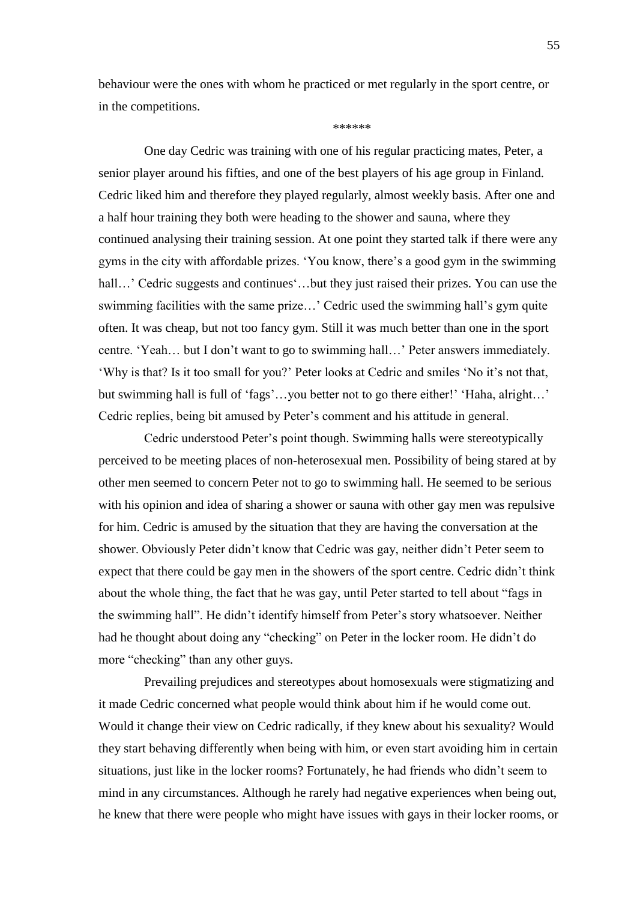behaviour were the ones with whom he practiced or met regularly in the sport centre, or in the competitions.

\*\*\*\*\*\*\*

One day Cedric was training with one of his regular practicing mates, Peter, a senior player around his fifties, and one of the best players of his age group in Finland. Cedric liked him and therefore they played regularly, almost weekly basis. After one and a half hour training they both were heading to the shower and sauna, where they continued analysing their training session. At one point they started talk if there were any gyms in the city with affordable prizes. ‗You know, there's a good gym in the swimming hall…' Cedric suggests and continues'...but they just raised their prizes. You can use the swimming facilities with the same prize…' Cedric used the swimming hall's gym quite often. It was cheap, but not too fancy gym. Still it was much better than one in the sport centre. ‗Yeah… but I don't want to go to swimming hall…' Peter answers immediately. ‗Why is that? Is it too small for you?' Peter looks at Cedric and smiles ‗No it's not that, but swimming hall is full of 'fags'...you better not to go there either!' 'Haha, alright...' Cedric replies, being bit amused by Peter's comment and his attitude in general.

Cedric understood Peter's point though. Swimming halls were stereotypically perceived to be meeting places of non-heterosexual men. Possibility of being stared at by other men seemed to concern Peter not to go to swimming hall. He seemed to be serious with his opinion and idea of sharing a shower or sauna with other gay men was repulsive for him. Cedric is amused by the situation that they are having the conversation at the shower. Obviously Peter didn't know that Cedric was gay, neither didn't Peter seem to expect that there could be gay men in the showers of the sport centre. Cedric didn't think about the whole thing, the fact that he was gay, until Peter started to tell about "fags in the swimming hall". He didn't identify himself from Peter's story whatsoever. Neither had he thought about doing any "checking" on Peter in the locker room. He didn't do more "checking" than any other guys.

Prevailing prejudices and stereotypes about homosexuals were stigmatizing and it made Cedric concerned what people would think about him if he would come out. Would it change their view on Cedric radically, if they knew about his sexuality? Would they start behaving differently when being with him, or even start avoiding him in certain situations, just like in the locker rooms? Fortunately, he had friends who didn't seem to mind in any circumstances. Although he rarely had negative experiences when being out, he knew that there were people who might have issues with gays in their locker rooms, or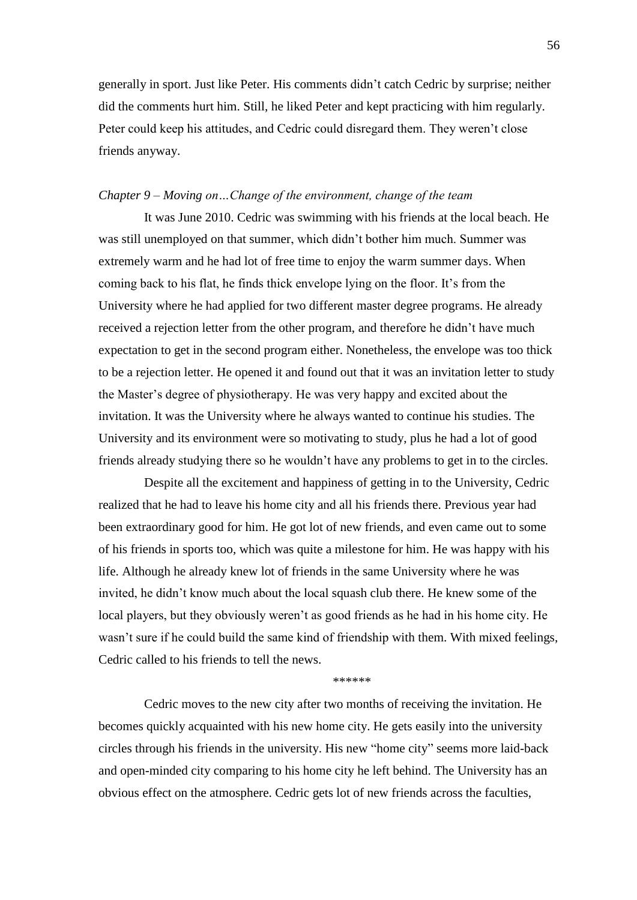generally in sport. Just like Peter. His comments didn't catch Cedric by surprise; neither did the comments hurt him. Still, he liked Peter and kept practicing with him regularly. Peter could keep his attitudes, and Cedric could disregard them. They weren't close friends anyway.

## *Chapter 9 – Moving on…Change of the environment, change of the team*

It was June 2010. Cedric was swimming with his friends at the local beach. He was still unemployed on that summer, which didn't bother him much. Summer was extremely warm and he had lot of free time to enjoy the warm summer days. When coming back to his flat, he finds thick envelope lying on the floor. It's from the University where he had applied for two different master degree programs. He already received a rejection letter from the other program, and therefore he didn't have much expectation to get in the second program either. Nonetheless, the envelope was too thick to be a rejection letter. He opened it and found out that it was an invitation letter to study the Master's degree of physiotherapy. He was very happy and excited about the invitation. It was the University where he always wanted to continue his studies. The University and its environment were so motivating to study, plus he had a lot of good friends already studying there so he wouldn't have any problems to get in to the circles.

Despite all the excitement and happiness of getting in to the University, Cedric realized that he had to leave his home city and all his friends there. Previous year had been extraordinary good for him. He got lot of new friends, and even came out to some of his friends in sports too, which was quite a milestone for him. He was happy with his life. Although he already knew lot of friends in the same University where he was invited, he didn't know much about the local squash club there. He knew some of the local players, but they obviously weren't as good friends as he had in his home city. He wasn't sure if he could build the same kind of friendship with them. With mixed feelings, Cedric called to his friends to tell the news.

#### \*\*\*\*\*\*

Cedric moves to the new city after two months of receiving the invitation. He becomes quickly acquainted with his new home city. He gets easily into the university circles through his friends in the university. His new "home city" seems more laid-back and open-minded city comparing to his home city he left behind. The University has an obvious effect on the atmosphere. Cedric gets lot of new friends across the faculties,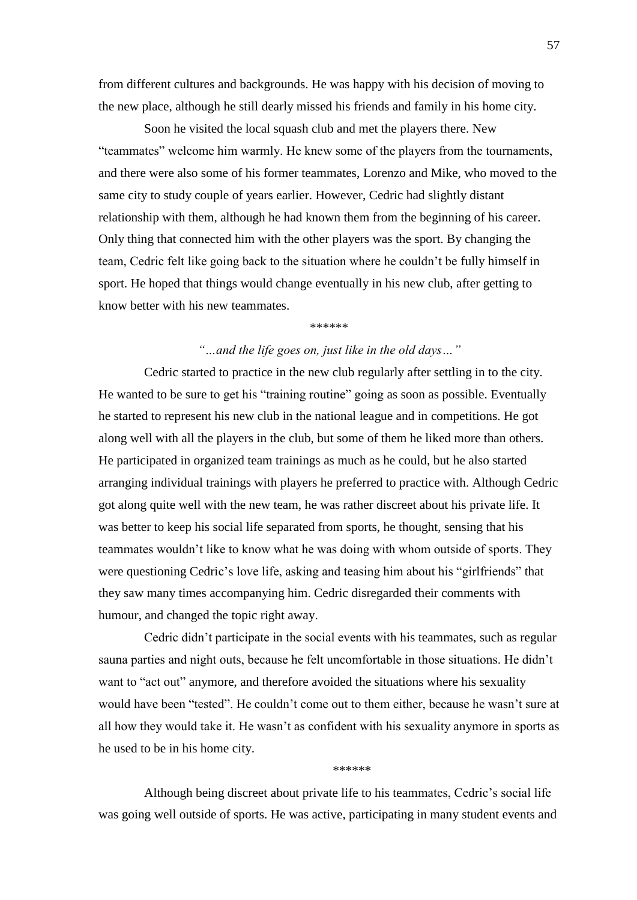from different cultures and backgrounds. He was happy with his decision of moving to the new place, although he still dearly missed his friends and family in his home city.

Soon he visited the local squash club and met the players there. New "teammates" welcome him warmly. He knew some of the players from the tournaments, and there were also some of his former teammates, Lorenzo and Mike, who moved to the same city to study couple of years earlier. However, Cedric had slightly distant relationship with them, although he had known them from the beginning of his career. Only thing that connected him with the other players was the sport. By changing the team, Cedric felt like going back to the situation where he couldn't be fully himself in sport. He hoped that things would change eventually in his new club, after getting to know better with his new teammates.

\*\*\*\*\*\*

# *―…and the life goes on, just like in the old days…‖*

Cedric started to practice in the new club regularly after settling in to the city. He wanted to be sure to get his "training routine" going as soon as possible. Eventually he started to represent his new club in the national league and in competitions. He got along well with all the players in the club, but some of them he liked more than others. He participated in organized team trainings as much as he could, but he also started arranging individual trainings with players he preferred to practice with. Although Cedric got along quite well with the new team, he was rather discreet about his private life. It was better to keep his social life separated from sports, he thought, sensing that his teammates wouldn't like to know what he was doing with whom outside of sports. They were questioning Cedric's love life, asking and teasing him about his "girlfriends" that they saw many times accompanying him. Cedric disregarded their comments with humour, and changed the topic right away.

Cedric didn't participate in the social events with his teammates, such as regular sauna parties and night outs, because he felt uncomfortable in those situations. He didn't want to "act out" anymore, and therefore avoided the situations where his sexuality would have been "tested". He couldn't come out to them either, because he wasn't sure at all how they would take it. He wasn't as confident with his sexuality anymore in sports as he used to be in his home city.

\*\*\*\*\*\*

Although being discreet about private life to his teammates, Cedric's social life was going well outside of sports. He was active, participating in many student events and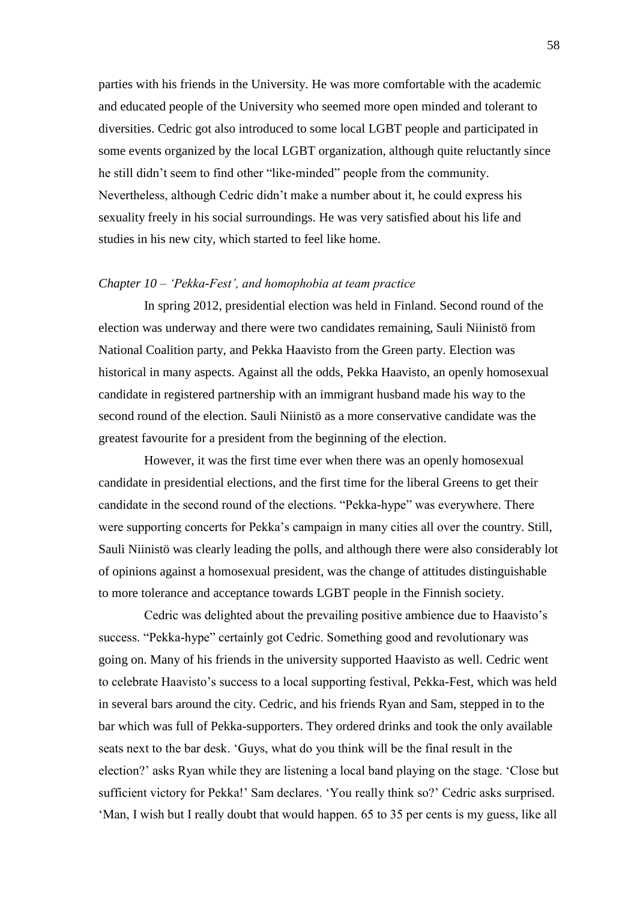parties with his friends in the University. He was more comfortable with the academic and educated people of the University who seemed more open minded and tolerant to diversities. Cedric got also introduced to some local LGBT people and participated in some events organized by the local LGBT organization, although quite reluctantly since he still didn't seem to find other "like-minded" people from the community. Nevertheless, although Cedric didn't make a number about it, he could express his sexuality freely in his social surroundings. He was very satisfied about his life and studies in his new city, which started to feel like home.

## *Chapter 10 – ‗Pekka-Fest', and homophobia at team practice*

In spring 2012, presidential election was held in Finland. Second round of the election was underway and there were two candidates remaining, Sauli Niinistö from National Coalition party, and Pekka Haavisto from the Green party. Election was historical in many aspects. Against all the odds, Pekka Haavisto, an openly homosexual candidate in registered partnership with an immigrant husband made his way to the second round of the election. Sauli Niinistö as a more conservative candidate was the greatest favourite for a president from the beginning of the election.

However, it was the first time ever when there was an openly homosexual candidate in presidential elections, and the first time for the liberal Greens to get their candidate in the second round of the elections. "Pekka-hype" was everywhere. There were supporting concerts for Pekka's campaign in many cities all over the country. Still, Sauli Niinistö was clearly leading the polls, and although there were also considerably lot of opinions against a homosexual president, was the change of attitudes distinguishable to more tolerance and acceptance towards LGBT people in the Finnish society.

Cedric was delighted about the prevailing positive ambience due to Haavisto's success. "Pekka-hype" certainly got Cedric. Something good and revolutionary was going on. Many of his friends in the university supported Haavisto as well. Cedric went to celebrate Haavisto's success to a local supporting festival, Pekka-Fest, which was held in several bars around the city. Cedric, and his friends Ryan and Sam, stepped in to the bar which was full of Pekka-supporters. They ordered drinks and took the only available seats next to the bar desk. ‗Guys, what do you think will be the final result in the election?' asks Ryan while they are listening a local band playing on the stage. ‗Close but sufficient victory for Pekka!' Sam declares. 'You really think so?' Cedric asks surprised. ‗Man, I wish but I really doubt that would happen. 65 to 35 per cents is my guess, like all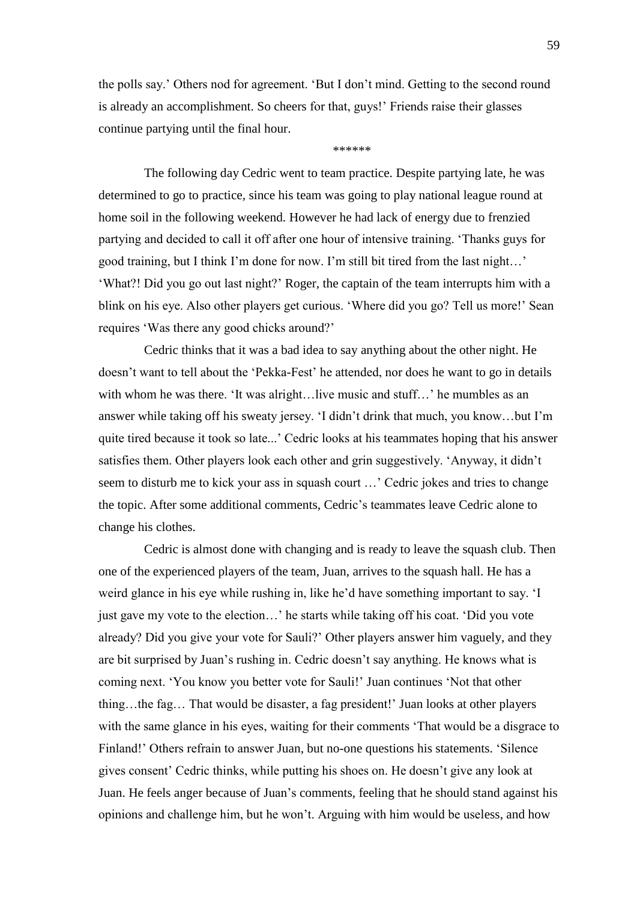the polls say.' Others nod for agreement. 'But I don't mind. Getting to the second round is already an accomplishment. So cheers for that, guys!' Friends raise their glasses continue partying until the final hour.

\*\*\*\*\*\*

The following day Cedric went to team practice. Despite partying late, he was determined to go to practice, since his team was going to play national league round at home soil in the following weekend. However he had lack of energy due to frenzied partying and decided to call it off after one hour of intensive training. ‗Thanks guys for good training, but I think I'm done for now. I'm still bit tired from the last night…' ‗What?! Did you go out last night?' Roger, the captain of the team interrupts him with a blink on his eye. Also other players get curious. 'Where did you go? Tell us more!' Sean requires 'Was there any good chicks around?'

Cedric thinks that it was a bad idea to say anything about the other night. He doesn't want to tell about the 'Pekka-Fest' he attended, nor does he want to go in details with whom he was there. 'It was alright...live music and stuff...' he mumbles as an answer while taking off his sweaty jersey. ‗I didn't drink that much, you know…but I'm quite tired because it took so late...' Cedric looks at his teammates hoping that his answer satisfies them. Other players look each other and grin suggestively. 'Anyway, it didn't seem to disturb me to kick your ass in squash court …' Cedric jokes and tries to change the topic. After some additional comments, Cedric's teammates leave Cedric alone to change his clothes.

Cedric is almost done with changing and is ready to leave the squash club. Then one of the experienced players of the team, Juan, arrives to the squash hall. He has a weird glance in his eye while rushing in, like he'd have something important to say. 'I just gave my vote to the election...' he starts while taking off his coat. 'Did you vote already? Did you give your vote for Sauli?' Other players answer him vaguely, and they are bit surprised by Juan's rushing in. Cedric doesn't say anything. He knows what is coming next. ‗You know you better vote for Sauli!' Juan continues ‗Not that other thing…the fag… That would be disaster, a fag president!' Juan looks at other players with the same glance in his eyes, waiting for their comments 'That would be a disgrace to Finland!' Others refrain to answer Juan, but no-one questions his statements. 'Silence gives consent' Cedric thinks, while putting his shoes on. He doesn't give any look at Juan. He feels anger because of Juan's comments, feeling that he should stand against his opinions and challenge him, but he won't. Arguing with him would be useless, and how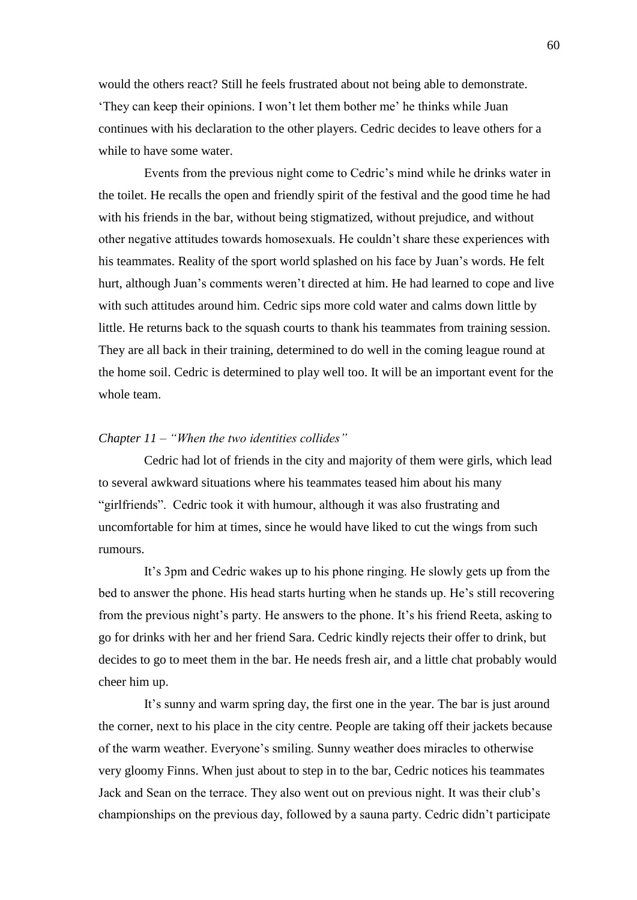would the others react? Still he feels frustrated about not being able to demonstrate. ‗They can keep their opinions. I won't let them bother me' he thinks while Juan continues with his declaration to the other players. Cedric decides to leave others for a while to have some water.

Events from the previous night come to Cedric's mind while he drinks water in the toilet. He recalls the open and friendly spirit of the festival and the good time he had with his friends in the bar, without being stigmatized, without prejudice, and without other negative attitudes towards homosexuals. He couldn't share these experiences with his teammates. Reality of the sport world splashed on his face by Juan's words. He felt hurt, although Juan's comments weren't directed at him. He had learned to cope and live with such attitudes around him. Cedric sips more cold water and calms down little by little. He returns back to the squash courts to thank his teammates from training session. They are all back in their training, determined to do well in the coming league round at the home soil. Cedric is determined to play well too. It will be an important event for the whole team.

# *Chapter 11 – "When the two identities collides"*

Cedric had lot of friends in the city and majority of them were girls, which lead to several awkward situations where his teammates teased him about his many "girlfriends". Cedric took it with humour, although it was also frustrating and uncomfortable for him at times, since he would have liked to cut the wings from such rumours.

It's 3pm and Cedric wakes up to his phone ringing. He slowly gets up from the bed to answer the phone. His head starts hurting when he stands up. He's still recovering from the previous night's party. He answers to the phone. It's his friend Reeta, asking to go for drinks with her and her friend Sara. Cedric kindly rejects their offer to drink, but decides to go to meet them in the bar. He needs fresh air, and a little chat probably would cheer him up.

It's sunny and warm spring day, the first one in the year. The bar is just around the corner, next to his place in the city centre. People are taking off their jackets because of the warm weather. Everyone's smiling. Sunny weather does miracles to otherwise very gloomy Finns. When just about to step in to the bar, Cedric notices his teammates Jack and Sean on the terrace. They also went out on previous night. It was their club's championships on the previous day, followed by a sauna party. Cedric didn't participate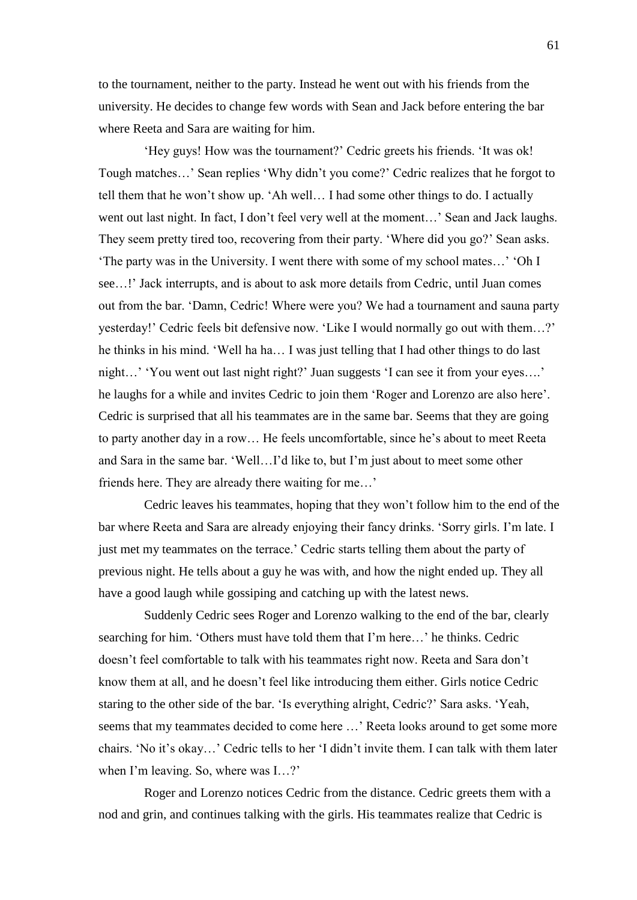to the tournament, neither to the party. Instead he went out with his friends from the university. He decides to change few words with Sean and Jack before entering the bar where Reeta and Sara are waiting for him.

‗Hey guys! How was the tournament?' Cedric greets his friends. ‗It was ok! Tough matches...' Sean replies 'Why didn't you come?' Cedric realizes that he forgot to tell them that he won't show up. ‗Ah well… I had some other things to do. I actually went out last night. In fact, I don't feel very well at the moment...' Sean and Jack laughs. They seem pretty tired too, recovering from their party. 'Where did you go?' Sean asks. ‗The party was in the University. I went there with some of my school mates…' ‗Oh I see…!' Jack interrupts, and is about to ask more details from Cedric, until Juan comes out from the bar. ‗Damn, Cedric! Where were you? We had a tournament and sauna party yesterday!' Cedric feels bit defensive now. ‗Like I would normally go out with them…?' he thinks in his mind. 'Well ha ha... I was just telling that I had other things to do last night…' 'You went out last night right?' Juan suggests 'I can see it from your eyes….' he laughs for a while and invites Cedric to join them 'Roger and Lorenzo are also here'. Cedric is surprised that all his teammates are in the same bar. Seems that they are going to party another day in a row… He feels uncomfortable, since he's about to meet Reeta and Sara in the same bar. ‗Well…I'd like to, but I'm just about to meet some other friends here. They are already there waiting for me…'

Cedric leaves his teammates, hoping that they won't follow him to the end of the bar where Reeta and Sara are already enjoying their fancy drinks. ‗Sorry girls. I'm late. I just met my teammates on the terrace.' Cedric starts telling them about the party of previous night. He tells about a guy he was with, and how the night ended up. They all have a good laugh while gossiping and catching up with the latest news.

Suddenly Cedric sees Roger and Lorenzo walking to the end of the bar, clearly searching for him. 'Others must have told them that I'm here...' he thinks. Cedric doesn't feel comfortable to talk with his teammates right now. Reeta and Sara don't know them at all, and he doesn't feel like introducing them either. Girls notice Cedric staring to the other side of the bar. 'Is everything alright, Cedric?' Sara asks. 'Yeah, seems that my teammates decided to come here …' Reeta looks around to get some more chairs. ‗No it's okay…' Cedric tells to her ‗I didn't invite them. I can talk with them later when I'm leaving. So, where was I...?'

Roger and Lorenzo notices Cedric from the distance. Cedric greets them with a nod and grin, and continues talking with the girls. His teammates realize that Cedric is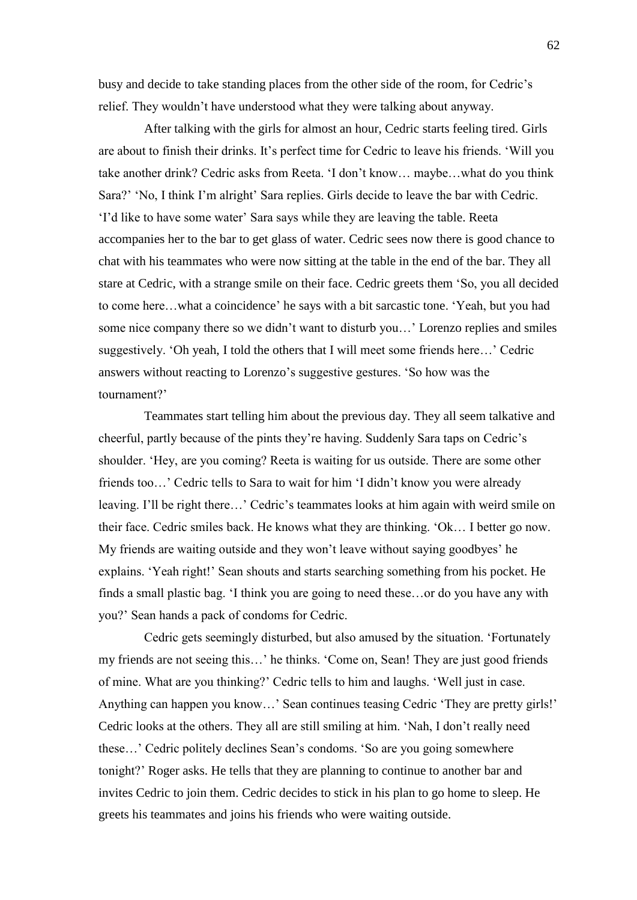busy and decide to take standing places from the other side of the room, for Cedric's relief. They wouldn't have understood what they were talking about anyway.

After talking with the girls for almost an hour, Cedric starts feeling tired. Girls are about to finish their drinks. It's perfect time for Cedric to leave his friends. ‗Will you take another drink? Cedric asks from Reeta. 'I don't know... maybe...what do you think Sara?' ‗No, I think I'm alright' Sara replies. Girls decide to leave the bar with Cedric. ‗I'd like to have some water' Sara says while they are leaving the table. Reeta accompanies her to the bar to get glass of water. Cedric sees now there is good chance to chat with his teammates who were now sitting at the table in the end of the bar. They all stare at Cedric, with a strange smile on their face. Cedric greets them 'So, you all decided to come here...what a coincidence' he says with a bit sarcastic tone. 'Yeah, but you had some nice company there so we didn't want to disturb you…' Lorenzo replies and smiles suggestively. 'Oh yeah, I told the others that I will meet some friends here...' Cedric answers without reacting to Lorenzo's suggestive gestures. 'So how was the tournament?'

Teammates start telling him about the previous day. They all seem talkative and cheerful, partly because of the pints they're having. Suddenly Sara taps on Cedric's shoulder. ‗Hey, are you coming? Reeta is waiting for us outside. There are some other friends too...' Cedric tells to Sara to wait for him 'I didn't know you were already leaving. I'll be right there…' Cedric's teammates looks at him again with weird smile on their face. Cedric smiles back. He knows what they are thinking. ‗Ok… I better go now. My friends are waiting outside and they won't leave without saying goodbyes' he explains. ‗Yeah right!' Sean shouts and starts searching something from his pocket. He finds a small plastic bag. 'I think you are going to need these...or do you have any with you?' Sean hands a pack of condoms for Cedric.

Cedric gets seemingly disturbed, but also amused by the situation. 'Fortunately my friends are not seeing this...' he thinks. 'Come on, Sean! They are just good friends of mine. What are you thinking?' Cedric tells to him and laughs. ‗Well just in case. Anything can happen you know...' Sean continues teasing Cedric 'They are pretty girls!' Cedric looks at the others. They all are still smiling at him. 'Nah, I don't really need these...' Cedric politely declines Sean's condoms. 'So are you going somewhere tonight?' Roger asks. He tells that they are planning to continue to another bar and invites Cedric to join them. Cedric decides to stick in his plan to go home to sleep. He greets his teammates and joins his friends who were waiting outside.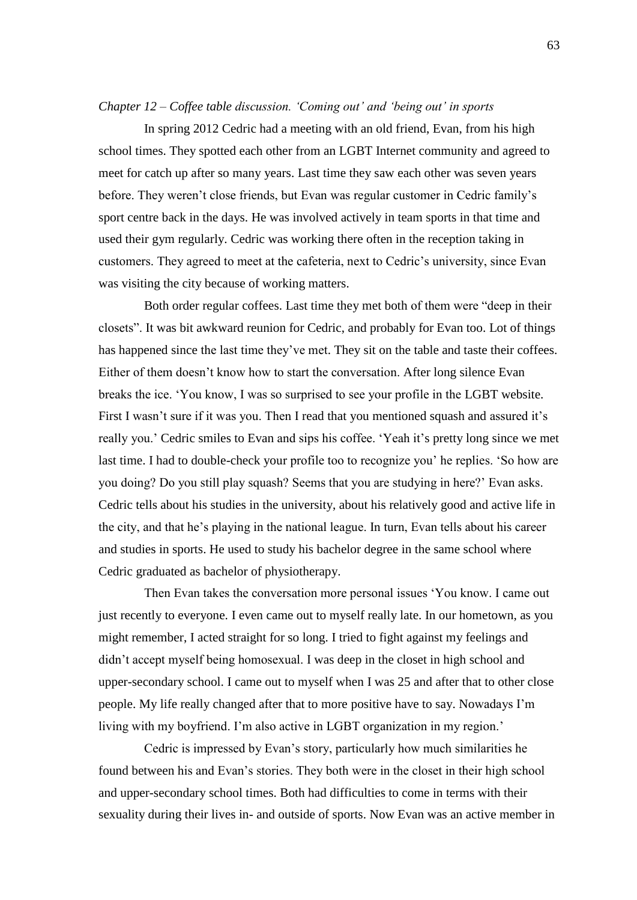### *Chapter 12 – Coffee table discussion. ‗Coming out' and ‗being out' in sports*

In spring 2012 Cedric had a meeting with an old friend, Evan, from his high school times. They spotted each other from an LGBT Internet community and agreed to meet for catch up after so many years. Last time they saw each other was seven years before. They weren't close friends, but Evan was regular customer in Cedric family's sport centre back in the days. He was involved actively in team sports in that time and used their gym regularly. Cedric was working there often in the reception taking in customers. They agreed to meet at the cafeteria, next to Cedric's university, since Evan was visiting the city because of working matters.

Both order regular coffees. Last time they met both of them were "deep in their closets". It was bit awkward reunion for Cedric, and probably for Evan too. Lot of things has happened since the last time they've met. They sit on the table and taste their coffees. Either of them doesn't know how to start the conversation. After long silence Evan breaks the ice. ‗You know, I was so surprised to see your profile in the LGBT website. First I wasn't sure if it was you. Then I read that you mentioned squash and assured it's really you.' Cedric smiles to Evan and sips his coffee. 'Yeah it's pretty long since we met last time. I had to double-check your profile too to recognize you' he replies. 'So how are you doing? Do you still play squash? Seems that you are studying in here?' Evan asks. Cedric tells about his studies in the university, about his relatively good and active life in the city, and that he's playing in the national league. In turn, Evan tells about his career and studies in sports. He used to study his bachelor degree in the same school where Cedric graduated as bachelor of physiotherapy.

Then Evan takes the conversation more personal issues 'You know. I came out just recently to everyone. I even came out to myself really late. In our hometown, as you might remember, I acted straight for so long. I tried to fight against my feelings and didn't accept myself being homosexual. I was deep in the closet in high school and upper-secondary school. I came out to myself when I was 25 and after that to other close people. My life really changed after that to more positive have to say. Nowadays I'm living with my boyfriend. I'm also active in LGBT organization in my region.'

Cedric is impressed by Evan's story, particularly how much similarities he found between his and Evan's stories. They both were in the closet in their high school and upper-secondary school times. Both had difficulties to come in terms with their sexuality during their lives in- and outside of sports. Now Evan was an active member in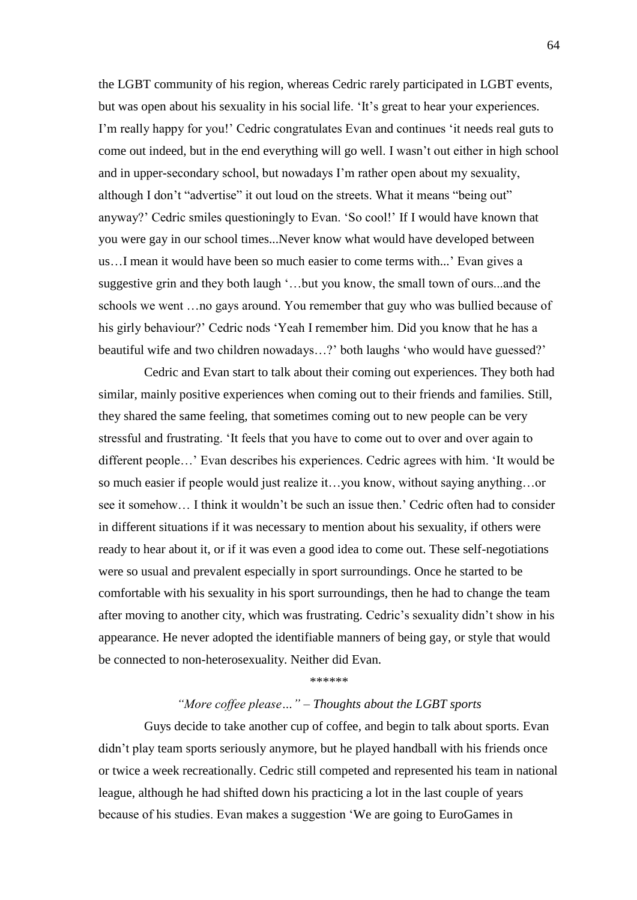the LGBT community of his region, whereas Cedric rarely participated in LGBT events, but was open about his sexuality in his social life. 'It's great to hear your experiences. I'm really happy for you!' Cedric congratulates Evan and continues ‗it needs real guts to come out indeed, but in the end everything will go well. I wasn't out either in high school and in upper-secondary school, but nowadays I'm rather open about my sexuality, although I don't "advertise" it out loud on the streets. What it means "being out" anyway?' Cedric smiles questioningly to Evan. 'So cool!' If I would have known that you were gay in our school times...Never know what would have developed between us…I mean it would have been so much easier to come terms with...' Evan gives a suggestive grin and they both laugh ‗…but you know, the small town of ours...and the schools we went …no gays around. You remember that guy who was bullied because of his girly behaviour?' Cedric nods 'Yeah I remember him. Did you know that he has a beautiful wife and two children nowadays...?' both laughs 'who would have guessed?'

Cedric and Evan start to talk about their coming out experiences. They both had similar, mainly positive experiences when coming out to their friends and families. Still, they shared the same feeling, that sometimes coming out to new people can be very stressful and frustrating. 'It feels that you have to come out to over and over again to different people...' Evan describes his experiences. Cedric agrees with him. 'It would be so much easier if people would just realize it…you know, without saying anything…or see it somehow… I think it wouldn't be such an issue then.' Cedric often had to consider in different situations if it was necessary to mention about his sexuality, if others were ready to hear about it, or if it was even a good idea to come out. These self-negotiations were so usual and prevalent especially in sport surroundings. Once he started to be comfortable with his sexuality in his sport surroundings, then he had to change the team after moving to another city, which was frustrating. Cedric's sexuality didn't show in his appearance. He never adopted the identifiable manners of being gay, or style that would be connected to non-heterosexuality. Neither did Evan.

#### \*\*\*\*\*\*

## *―More coffee please…‖ – Thoughts about the LGBT sports*

Guys decide to take another cup of coffee, and begin to talk about sports. Evan didn't play team sports seriously anymore, but he played handball with his friends once or twice a week recreationally. Cedric still competed and represented his team in national league, although he had shifted down his practicing a lot in the last couple of years because of his studies. Evan makes a suggestion 'We are going to EuroGames in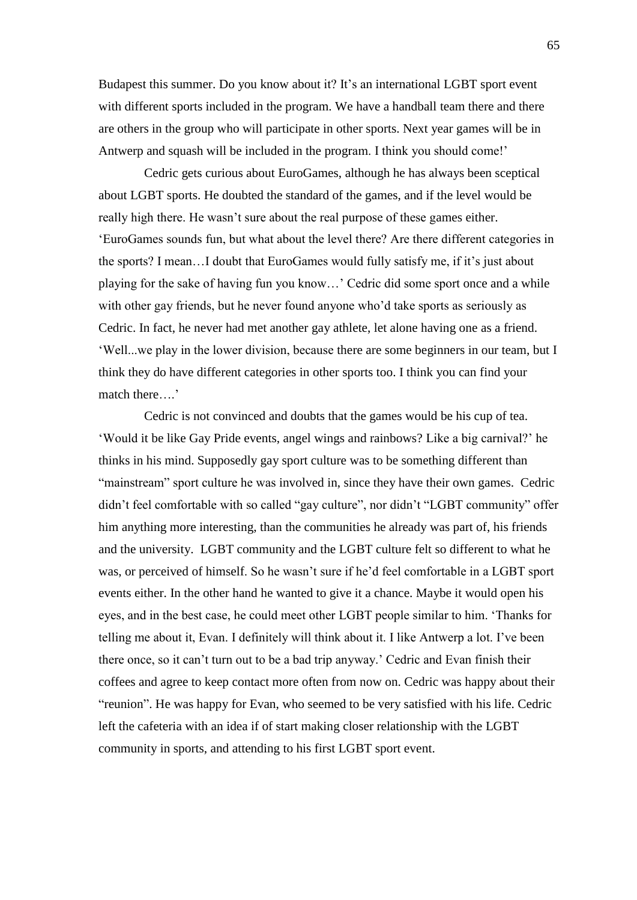Budapest this summer. Do you know about it? It's an international LGBT sport event with different sports included in the program. We have a handball team there and there are others in the group who will participate in other sports. Next year games will be in Antwerp and squash will be included in the program. I think you should come!'

Cedric gets curious about EuroGames, although he has always been sceptical about LGBT sports. He doubted the standard of the games, and if the level would be really high there. He wasn't sure about the real purpose of these games either. ‗EuroGames sounds fun, but what about the level there? Are there different categories in the sports? I mean…I doubt that EuroGames would fully satisfy me, if it's just about playing for the sake of having fun you know…' Cedric did some sport once and a while with other gay friends, but he never found anyone who'd take sports as seriously as Cedric. In fact, he never had met another gay athlete, let alone having one as a friend. ‗Well...we play in the lower division, because there are some beginners in our team, but I think they do have different categories in other sports too. I think you can find your match there….'

Cedric is not convinced and doubts that the games would be his cup of tea. ‗Would it be like Gay Pride events, angel wings and rainbows? Like a big carnival?' he thinks in his mind. Supposedly gay sport culture was to be something different than "mainstream" sport culture he was involved in, since they have their own games. Cedric didn't feel comfortable with so called "gay culture", nor didn't "LGBT community" offer him anything more interesting, than the communities he already was part of, his friends and the university. LGBT community and the LGBT culture felt so different to what he was, or perceived of himself. So he wasn't sure if he'd feel comfortable in a LGBT sport events either. In the other hand he wanted to give it a chance. Maybe it would open his eyes, and in the best case, he could meet other LGBT people similar to him. 'Thanks for telling me about it, Evan. I definitely will think about it. I like Antwerp a lot. I've been there once, so it can't turn out to be a bad trip anyway.' Cedric and Evan finish their coffees and agree to keep contact more often from now on. Cedric was happy about their "reunion". He was happy for Evan, who seemed to be very satisfied with his life. Cedric left the cafeteria with an idea if of start making closer relationship with the LGBT community in sports, and attending to his first LGBT sport event.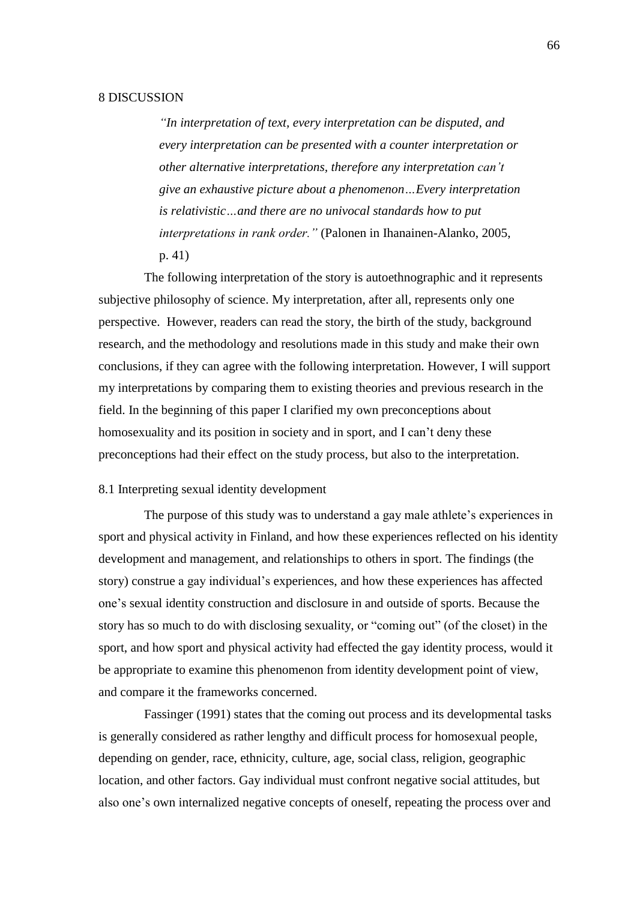## 8 DISCUSSION

*―In interpretation of text, every interpretation can be disputed, and every interpretation can be presented with a counter interpretation or other alternative interpretations, therefore any interpretation can't give an exhaustive picture about a phenomenon…Every interpretation is relativistic…and there are no univocal standards how to put interpretations in rank order.‖* (Palonen in Ihanainen-Alanko, 2005, p. 41)

The following interpretation of the story is autoethnographic and it represents subjective philosophy of science. My interpretation, after all, represents only one perspective. However, readers can read the story, the birth of the study, background research, and the methodology and resolutions made in this study and make their own conclusions, if they can agree with the following interpretation. However, I will support my interpretations by comparing them to existing theories and previous research in the field. In the beginning of this paper I clarified my own preconceptions about homosexuality and its position in society and in sport, and I can't deny these preconceptions had their effect on the study process, but also to the interpretation.

## 8.1 Interpreting sexual identity development

The purpose of this study was to understand a gay male athlete's experiences in sport and physical activity in Finland, and how these experiences reflected on his identity development and management, and relationships to others in sport. The findings (the story) construe a gay individual's experiences, and how these experiences has affected one's sexual identity construction and disclosure in and outside of sports. Because the story has so much to do with disclosing sexuality, or "coming out" (of the closet) in the sport, and how sport and physical activity had effected the gay identity process, would it be appropriate to examine this phenomenon from identity development point of view, and compare it the frameworks concerned.

Fassinger (1991) states that the coming out process and its developmental tasks is generally considered as rather lengthy and difficult process for homosexual people, depending on gender, race, ethnicity, culture, age, social class, religion, geographic location, and other factors. Gay individual must confront negative social attitudes, but also one's own internalized negative concepts of oneself, repeating the process over and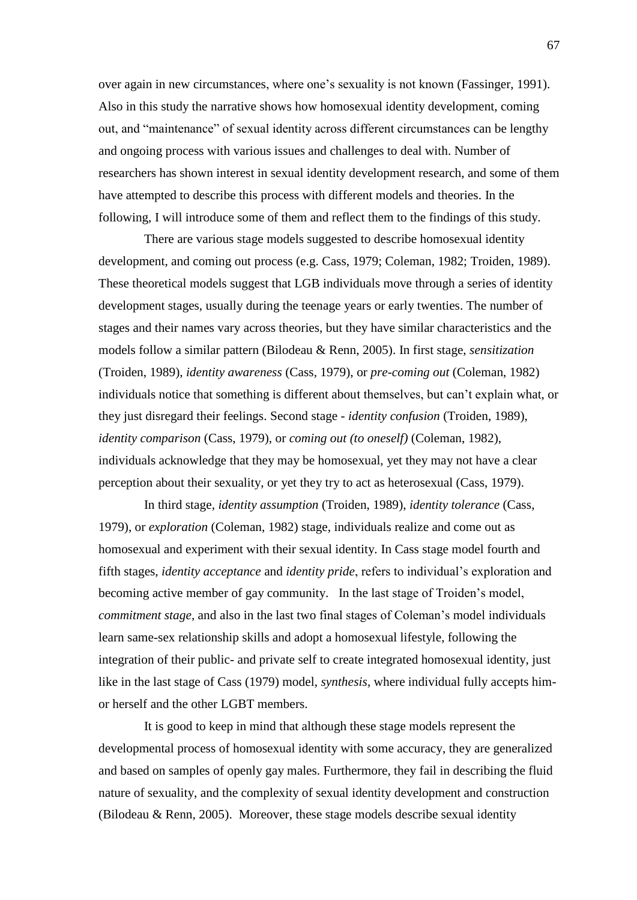over again in new circumstances, where one's sexuality is not known (Fassinger, 1991). Also in this study the narrative shows how homosexual identity development, coming out, and "maintenance" of sexual identity across different circumstances can be lengthy and ongoing process with various issues and challenges to deal with. Number of researchers has shown interest in sexual identity development research, and some of them have attempted to describe this process with different models and theories. In the following, I will introduce some of them and reflect them to the findings of this study.

There are various stage models suggested to describe homosexual identity development, and coming out process (e.g. Cass, 1979; Coleman, 1982; Troiden, 1989). These theoretical models suggest that LGB individuals move through a series of identity development stages, usually during the teenage years or early twenties. The number of stages and their names vary across theories, but they have similar characteristics and the models follow a similar pattern (Bilodeau & Renn, 2005). In first stage, *sensitization* (Troiden, 1989), *identity awareness* (Cass, 1979), or *pre-coming out* (Coleman, 1982) individuals notice that something is different about themselves, but can't explain what, or they just disregard their feelings. Second stage - *identity confusion* (Troiden, 1989), *identity comparison* (Cass, 1979), or *coming out (to oneself)* (Coleman, 1982), individuals acknowledge that they may be homosexual, yet they may not have a clear perception about their sexuality, or yet they try to act as heterosexual (Cass, 1979).

In third stage, *identity assumption* (Troiden, 1989), *identity tolerance* (Cass, 1979), or *exploration* (Coleman, 1982) stage, individuals realize and come out as homosexual and experiment with their sexual identity. In Cass stage model fourth and fifth stages, *identity acceptance* and *identity pride*, refers to individual's exploration and becoming active member of gay community. In the last stage of Troiden's model, *commitment stage,* and also in the last two final stages of Coleman's model individuals learn same-sex relationship skills and adopt a homosexual lifestyle, following the integration of their public- and private self to create integrated homosexual identity, just like in the last stage of Cass (1979) model, *synthesis*, where individual fully accepts himor herself and the other LGBT members.

It is good to keep in mind that although these stage models represent the developmental process of homosexual identity with some accuracy, they are generalized and based on samples of openly gay males. Furthermore, they fail in describing the fluid nature of sexuality, and the complexity of sexual identity development and construction (Bilodeau & Renn, 2005). Moreover, these stage models describe sexual identity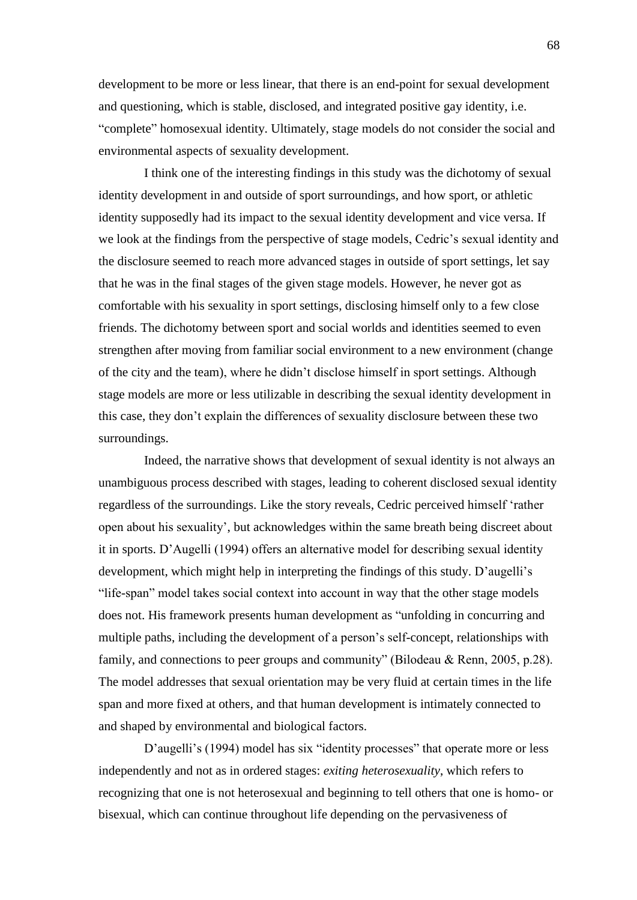development to be more or less linear, that there is an end-point for sexual development and questioning, which is stable, disclosed, and integrated positive gay identity, i.e. ―complete‖ homosexual identity. Ultimately, stage models do not consider the social and environmental aspects of sexuality development.

I think one of the interesting findings in this study was the dichotomy of sexual identity development in and outside of sport surroundings, and how sport, or athletic identity supposedly had its impact to the sexual identity development and vice versa. If we look at the findings from the perspective of stage models, Cedric's sexual identity and the disclosure seemed to reach more advanced stages in outside of sport settings, let say that he was in the final stages of the given stage models. However, he never got as comfortable with his sexuality in sport settings, disclosing himself only to a few close friends. The dichotomy between sport and social worlds and identities seemed to even strengthen after moving from familiar social environment to a new environment (change of the city and the team), where he didn't disclose himself in sport settings. Although stage models are more or less utilizable in describing the sexual identity development in this case, they don't explain the differences of sexuality disclosure between these two surroundings.

Indeed, the narrative shows that development of sexual identity is not always an unambiguous process described with stages, leading to coherent disclosed sexual identity regardless of the surroundings. Like the story reveals, Cedric perceived himself 'rather open about his sexuality', but acknowledges within the same breath being discreet about it in sports. D'Augelli (1994) offers an alternative model for describing sexual identity development, which might help in interpreting the findings of this study. D'augelli's "life-span" model takes social context into account in way that the other stage models does not. His framework presents human development as "unfolding in concurring and multiple paths, including the development of a person's self-concept, relationships with family, and connections to peer groups and community" (Bilodeau & Renn, 2005, p.28). The model addresses that sexual orientation may be very fluid at certain times in the life span and more fixed at others, and that human development is intimately connected to and shaped by environmental and biological factors.

D'augelli's (1994) model has six "identity processes" that operate more or less independently and not as in ordered stages: *exiting heterosexuality*, which refers to recognizing that one is not heterosexual and beginning to tell others that one is homo- or bisexual, which can continue throughout life depending on the pervasiveness of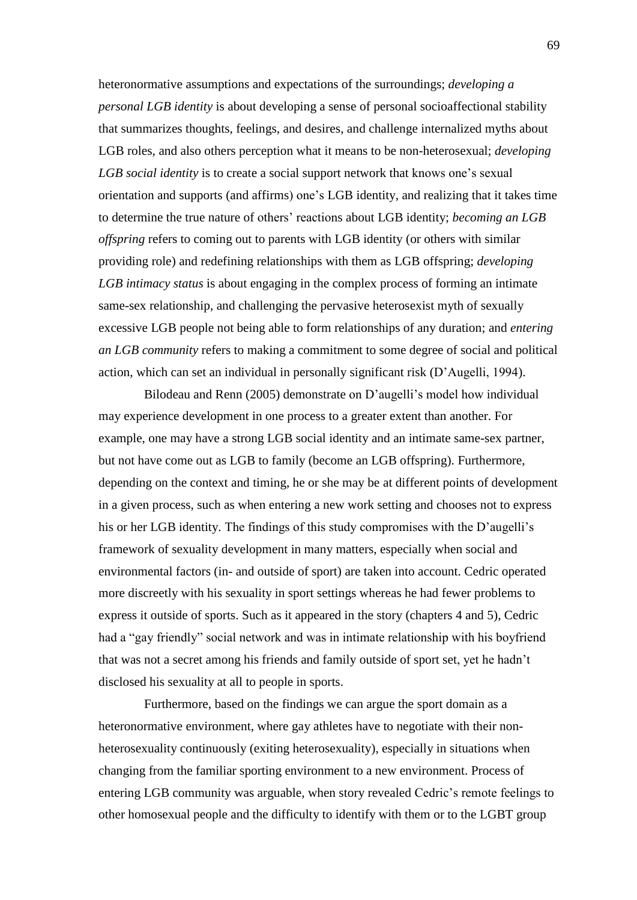heteronormative assumptions and expectations of the surroundings; *developing a personal LGB identity* is about developing a sense of personal socioaffectional stability that summarizes thoughts, feelings, and desires, and challenge internalized myths about LGB roles, and also others perception what it means to be non-heterosexual; *developing LGB social identity* is to create a social support network that knows one's sexual orientation and supports (and affirms) one's LGB identity, and realizing that it takes time to determine the true nature of others' reactions about LGB identity; *becoming an LGB offspring* refers to coming out to parents with LGB identity (or others with similar providing role) and redefining relationships with them as LGB offspring; *developing LGB intimacy status* is about engaging in the complex process of forming an intimate same-sex relationship, and challenging the pervasive heterosexist myth of sexually excessive LGB people not being able to form relationships of any duration; and *entering an LGB community* refers to making a commitment to some degree of social and political action, which can set an individual in personally significant risk (D'Augelli, 1994).

Bilodeau and Renn (2005) demonstrate on D'augelli's model how individual may experience development in one process to a greater extent than another. For example, one may have a strong LGB social identity and an intimate same-sex partner, but not have come out as LGB to family (become an LGB offspring). Furthermore, depending on the context and timing, he or she may be at different points of development in a given process, such as when entering a new work setting and chooses not to express his or her LGB identity. The findings of this study compromises with the D'augelli's framework of sexuality development in many matters, especially when social and environmental factors (in- and outside of sport) are taken into account. Cedric operated more discreetly with his sexuality in sport settings whereas he had fewer problems to express it outside of sports. Such as it appeared in the story (chapters 4 and 5), Cedric had a "gay friendly" social network and was in intimate relationship with his boyfriend that was not a secret among his friends and family outside of sport set, yet he hadn't disclosed his sexuality at all to people in sports.

Furthermore, based on the findings we can argue the sport domain as a heteronormative environment, where gay athletes have to negotiate with their nonheterosexuality continuously (exiting heterosexuality), especially in situations when changing from the familiar sporting environment to a new environment. Process of entering LGB community was arguable, when story revealed Cedric's remote feelings to other homosexual people and the difficulty to identify with them or to the LGBT group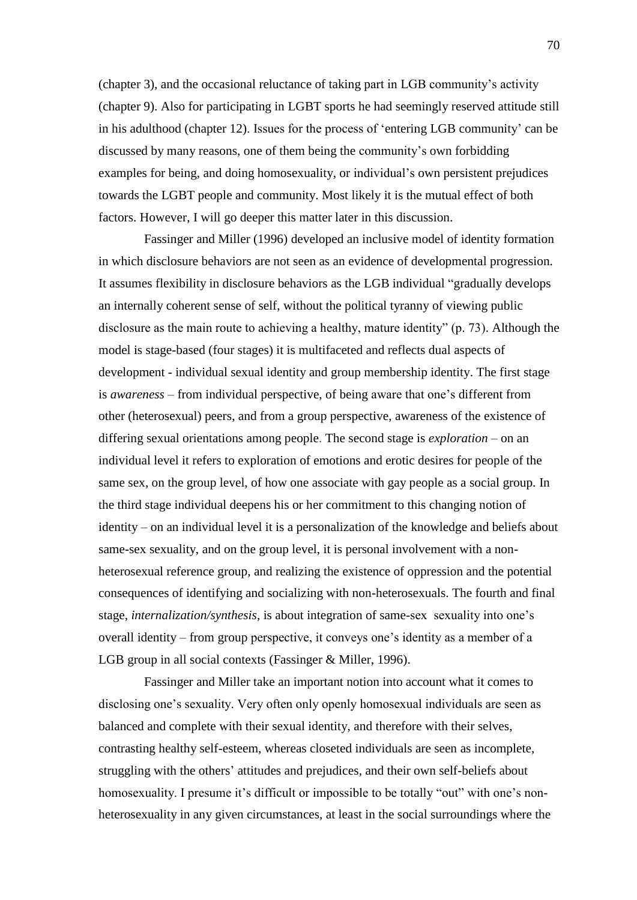(chapter 3), and the occasional reluctance of taking part in LGB community's activity (chapter 9). Also for participating in LGBT sports he had seemingly reserved attitude still in his adulthood (chapter 12). Issues for the process of ‗entering LGB community' can be discussed by many reasons, one of them being the community's own forbidding examples for being, and doing homosexuality, or individual's own persistent prejudices towards the LGBT people and community. Most likely it is the mutual effect of both factors. However, I will go deeper this matter later in this discussion.

Fassinger and Miller (1996) developed an inclusive model of identity formation in which disclosure behaviors are not seen as an evidence of developmental progression. It assumes flexibility in disclosure behaviors as the LGB individual "gradually develops" an internally coherent sense of self, without the political tyranny of viewing public disclosure as the main route to achieving a healthy, mature identity"  $(p. 73)$ . Although the model is stage-based (four stages) it is multifaceted and reflects dual aspects of development - individual sexual identity and group membership identity. The first stage is *awareness* – from individual perspective, of being aware that one's different from other (heterosexual) peers, and from a group perspective, awareness of the existence of differing sexual orientations among people. The second stage is *exploration* – on an individual level it refers to exploration of emotions and erotic desires for people of the same sex, on the group level, of how one associate with gay people as a social group. In the third stage individual deepens his or her commitment to this changing notion of identity – on an individual level it is a personalization of the knowledge and beliefs about same-sex sexuality, and on the group level, it is personal involvement with a nonheterosexual reference group, and realizing the existence of oppression and the potential consequences of identifying and socializing with non-heterosexuals. The fourth and final stage, *internalization/synthesis*, is about integration of same-sex sexuality into one's overall identity – from group perspective, it conveys one's identity as a member of a LGB group in all social contexts (Fassinger & Miller, 1996).

Fassinger and Miller take an important notion into account what it comes to disclosing one's sexuality. Very often only openly homosexual individuals are seen as balanced and complete with their sexual identity, and therefore with their selves, contrasting healthy self-esteem, whereas closeted individuals are seen as incomplete, struggling with the others' attitudes and prejudices, and their own self-beliefs about homosexuality. I presume it's difficult or impossible to be totally "out" with one's nonheterosexuality in any given circumstances, at least in the social surroundings where the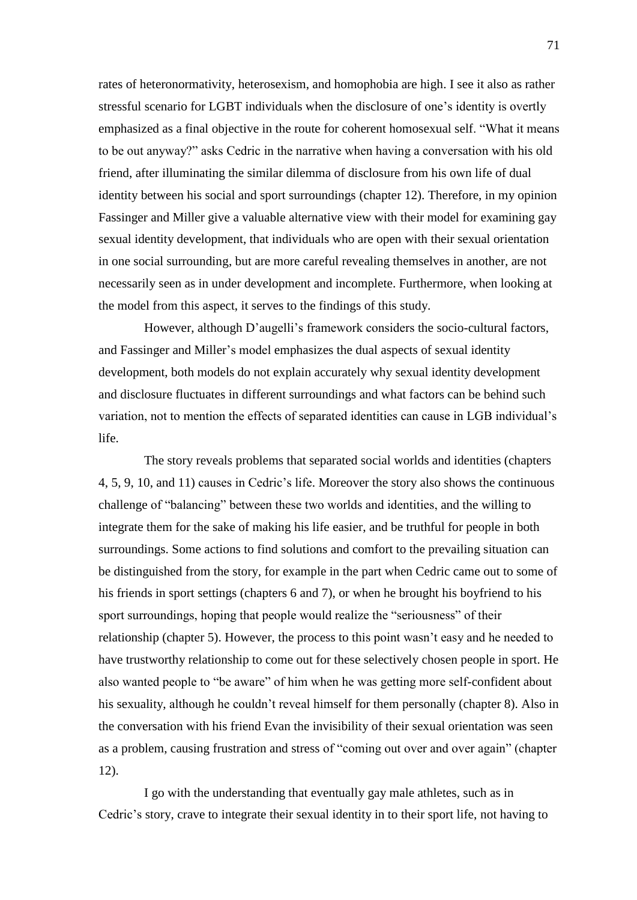rates of heteronormativity, heterosexism, and homophobia are high. I see it also as rather stressful scenario for LGBT individuals when the disclosure of one's identity is overtly emphasized as a final objective in the route for coherent homosexual self. "What it means to be out anyway?‖ asks Cedric in the narrative when having a conversation with his old friend, after illuminating the similar dilemma of disclosure from his own life of dual identity between his social and sport surroundings (chapter 12). Therefore, in my opinion Fassinger and Miller give a valuable alternative view with their model for examining gay sexual identity development, that individuals who are open with their sexual orientation in one social surrounding, but are more careful revealing themselves in another, are not necessarily seen as in under development and incomplete. Furthermore, when looking at the model from this aspect, it serves to the findings of this study.

However, although D'augelli's framework considers the socio-cultural factors, and Fassinger and Miller's model emphasizes the dual aspects of sexual identity development, both models do not explain accurately why sexual identity development and disclosure fluctuates in different surroundings and what factors can be behind such variation, not to mention the effects of separated identities can cause in LGB individual's life.

The story reveals problems that separated social worlds and identities (chapters 4, 5, 9, 10, and 11) causes in Cedric's life. Moreover the story also shows the continuous challenge of "balancing" between these two worlds and identities, and the willing to integrate them for the sake of making his life easier, and be truthful for people in both surroundings. Some actions to find solutions and comfort to the prevailing situation can be distinguished from the story, for example in the part when Cedric came out to some of his friends in sport settings (chapters 6 and 7), or when he brought his boyfriend to his sport surroundings, hoping that people would realize the "seriousness" of their relationship (chapter 5). However, the process to this point wasn't easy and he needed to have trustworthy relationship to come out for these selectively chosen people in sport. He also wanted people to "be aware" of him when he was getting more self-confident about his sexuality, although he couldn't reveal himself for them personally (chapter 8). Also in the conversation with his friend Evan the invisibility of their sexual orientation was seen as a problem, causing frustration and stress of "coming out over and over again" (chapter 12).

I go with the understanding that eventually gay male athletes, such as in Cedric's story, crave to integrate their sexual identity in to their sport life, not having to

71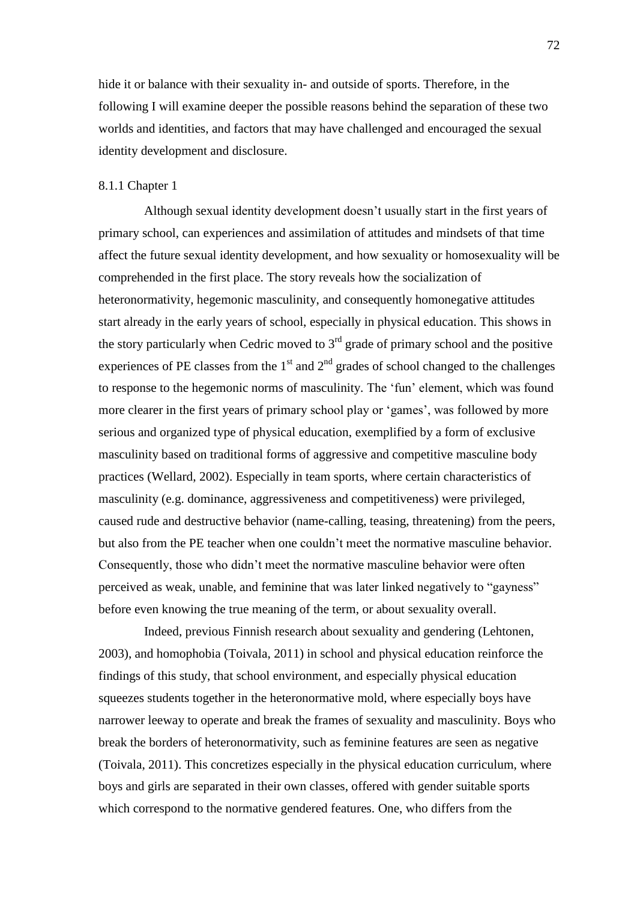hide it or balance with their sexuality in- and outside of sports. Therefore, in the following I will examine deeper the possible reasons behind the separation of these two worlds and identities, and factors that may have challenged and encouraged the sexual identity development and disclosure.

### 8.1.1 Chapter 1

Although sexual identity development doesn't usually start in the first years of primary school, can experiences and assimilation of attitudes and mindsets of that time affect the future sexual identity development, and how sexuality or homosexuality will be comprehended in the first place. The story reveals how the socialization of heteronormativity, hegemonic masculinity, and consequently homonegative attitudes start already in the early years of school, especially in physical education. This shows in the story particularly when Cedric moved to  $3<sup>rd</sup>$  grade of primary school and the positive experiences of PE classes from the  $1<sup>st</sup>$  and  $2<sup>nd</sup>$  grades of school changed to the challenges to response to the hegemonic norms of masculinity. The 'fun' element, which was found more clearer in the first years of primary school play or 'games', was followed by more serious and organized type of physical education, exemplified by a form of exclusive masculinity based on traditional forms of aggressive and competitive masculine body practices (Wellard, 2002). Especially in team sports, where certain characteristics of masculinity (e.g. dominance, aggressiveness and competitiveness) were privileged, caused rude and destructive behavior (name-calling, teasing, threatening) from the peers, but also from the PE teacher when one couldn't meet the normative masculine behavior. Consequently, those who didn't meet the normative masculine behavior were often perceived as weak, unable, and feminine that was later linked negatively to "gayness" before even knowing the true meaning of the term, or about sexuality overall.

Indeed, previous Finnish research about sexuality and gendering (Lehtonen, 2003), and homophobia (Toivala, 2011) in school and physical education reinforce the findings of this study, that school environment, and especially physical education squeezes students together in the heteronormative mold, where especially boys have narrower leeway to operate and break the frames of sexuality and masculinity. Boys who break the borders of heteronormativity, such as feminine features are seen as negative (Toivala, 2011). This concretizes especially in the physical education curriculum, where boys and girls are separated in their own classes, offered with gender suitable sports which correspond to the normative gendered features. One, who differs from the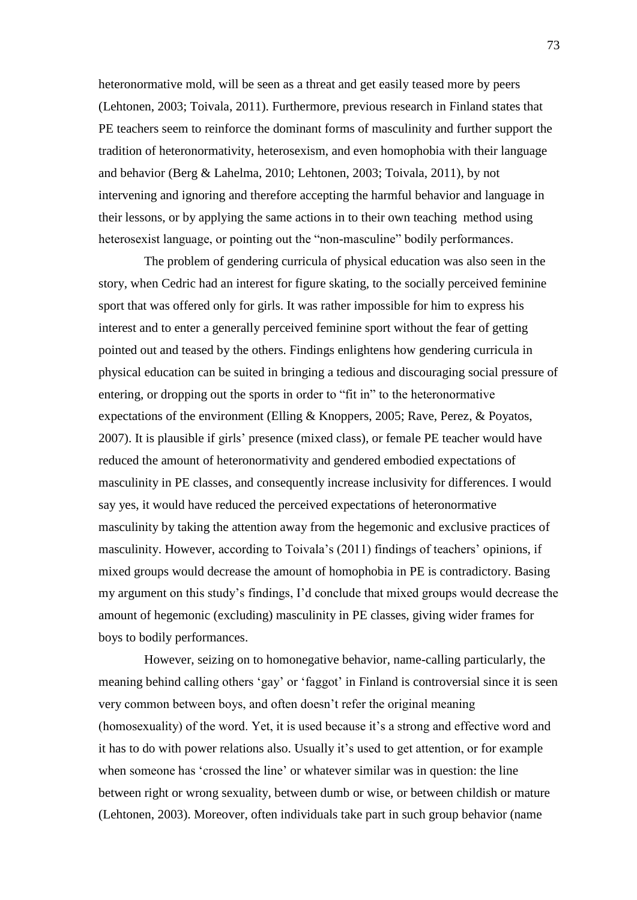heteronormative mold, will be seen as a threat and get easily teased more by peers (Lehtonen, 2003; Toivala, 2011). Furthermore, previous research in Finland states that PE teachers seem to reinforce the dominant forms of masculinity and further support the tradition of heteronormativity, heterosexism, and even homophobia with their language and behavior (Berg & Lahelma, 2010; Lehtonen, 2003; Toivala, 2011), by not intervening and ignoring and therefore accepting the harmful behavior and language in their lessons, or by applying the same actions in to their own teaching method using heterosexist language, or pointing out the "non-masculine" bodily performances.

The problem of gendering curricula of physical education was also seen in the story, when Cedric had an interest for figure skating, to the socially perceived feminine sport that was offered only for girls. It was rather impossible for him to express his interest and to enter a generally perceived feminine sport without the fear of getting pointed out and teased by the others. Findings enlightens how gendering curricula in physical education can be suited in bringing a tedious and discouraging social pressure of entering, or dropping out the sports in order to "fit in" to the heteronormative expectations of the environment (Elling & Knoppers, 2005; Rave, Perez, & Poyatos, 2007). It is plausible if girls' presence (mixed class), or female PE teacher would have reduced the amount of heteronormativity and gendered embodied expectations of masculinity in PE classes, and consequently increase inclusivity for differences. I would say yes, it would have reduced the perceived expectations of heteronormative masculinity by taking the attention away from the hegemonic and exclusive practices of masculinity. However, according to Toivala's (2011) findings of teachers' opinions, if mixed groups would decrease the amount of homophobia in PE is contradictory. Basing my argument on this study's findings, I'd conclude that mixed groups would decrease the amount of hegemonic (excluding) masculinity in PE classes, giving wider frames for boys to bodily performances.

However, seizing on to homonegative behavior, name-calling particularly, the meaning behind calling others 'gay' or 'faggot' in Finland is controversial since it is seen very common between boys, and often doesn't refer the original meaning (homosexuality) of the word. Yet, it is used because it's a strong and effective word and it has to do with power relations also. Usually it's used to get attention, or for example when someone has 'crossed the line' or whatever similar was in question: the line between right or wrong sexuality, between dumb or wise, or between childish or mature (Lehtonen, 2003). Moreover, often individuals take part in such group behavior (name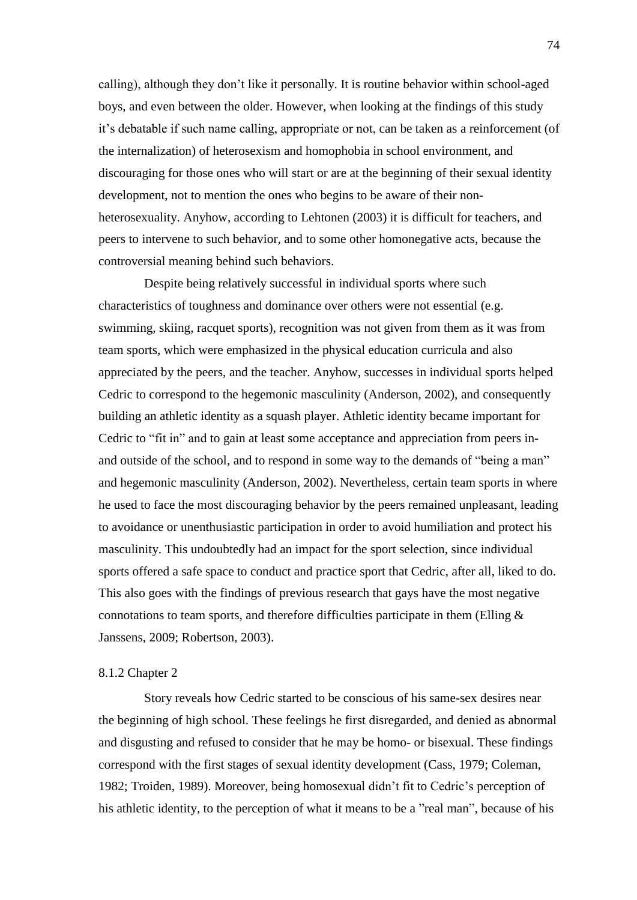calling), although they don't like it personally. It is routine behavior within school-aged boys, and even between the older. However, when looking at the findings of this study it's debatable if such name calling, appropriate or not, can be taken as a reinforcement (of the internalization) of heterosexism and homophobia in school environment, and discouraging for those ones who will start or are at the beginning of their sexual identity development, not to mention the ones who begins to be aware of their nonheterosexuality. Anyhow, according to Lehtonen (2003) it is difficult for teachers, and peers to intervene to such behavior, and to some other homonegative acts, because the controversial meaning behind such behaviors.

Despite being relatively successful in individual sports where such characteristics of toughness and dominance over others were not essential (e.g. swimming, skiing, racquet sports), recognition was not given from them as it was from team sports, which were emphasized in the physical education curricula and also appreciated by the peers, and the teacher. Anyhow, successes in individual sports helped Cedric to correspond to the hegemonic masculinity (Anderson, 2002), and consequently building an athletic identity as a squash player. Athletic identity became important for Cedric to "fit in" and to gain at least some acceptance and appreciation from peers inand outside of the school, and to respond in some way to the demands of "being a man" and hegemonic masculinity (Anderson, 2002). Nevertheless, certain team sports in where he used to face the most discouraging behavior by the peers remained unpleasant, leading to avoidance or unenthusiastic participation in order to avoid humiliation and protect his masculinity. This undoubtedly had an impact for the sport selection, since individual sports offered a safe space to conduct and practice sport that Cedric, after all, liked to do. This also goes with the findings of previous research that gays have the most negative connotations to team sports, and therefore difficulties participate in them (Elling  $\&$ Janssens, 2009; Robertson, 2003).

#### 8.1.2 Chapter 2

Story reveals how Cedric started to be conscious of his same-sex desires near the beginning of high school. These feelings he first disregarded, and denied as abnormal and disgusting and refused to consider that he may be homo- or bisexual. These findings correspond with the first stages of sexual identity development (Cass, 1979; Coleman, 1982; Troiden, 1989). Moreover, being homosexual didn't fit to Cedric's perception of his athletic identity, to the perception of what it means to be a "real man", because of his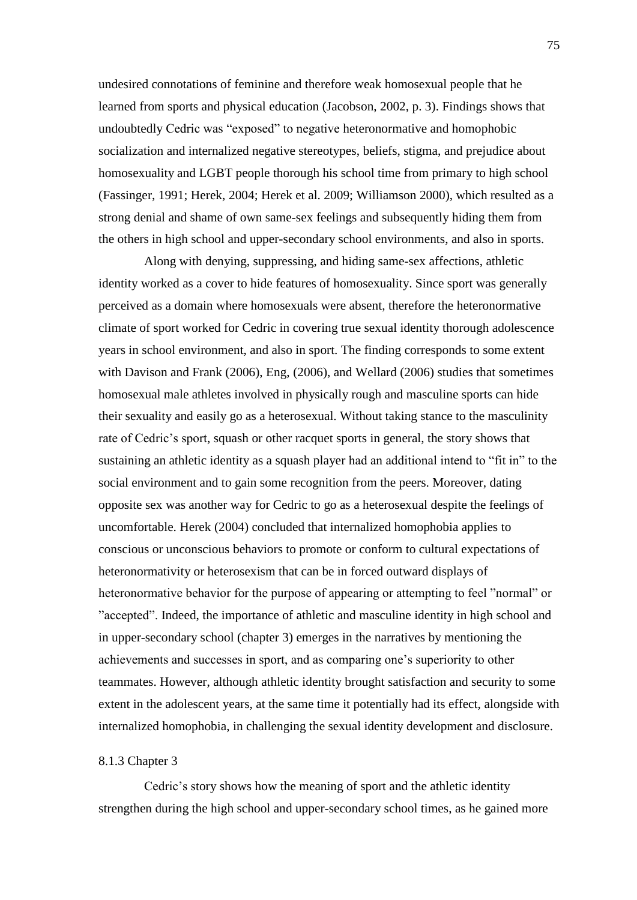undesired connotations of feminine and therefore weak homosexual people that he learned from sports and physical education (Jacobson, 2002, p. 3). Findings shows that undoubtedly Cedric was "exposed" to negative heteronormative and homophobic socialization and internalized negative stereotypes, beliefs, stigma, and prejudice about homosexuality and LGBT people thorough his school time from primary to high school (Fassinger, 1991; Herek, 2004; Herek et al. 2009; Williamson 2000), which resulted as a strong denial and shame of own same-sex feelings and subsequently hiding them from the others in high school and upper-secondary school environments, and also in sports.

Along with denying, suppressing, and hiding same-sex affections, athletic identity worked as a cover to hide features of homosexuality. Since sport was generally perceived as a domain where homosexuals were absent, therefore the heteronormative climate of sport worked for Cedric in covering true sexual identity thorough adolescence years in school environment, and also in sport. The finding corresponds to some extent with Davison and Frank (2006), Eng, (2006), and Wellard (2006) studies that sometimes homosexual male athletes involved in physically rough and masculine sports can hide their sexuality and easily go as a heterosexual. Without taking stance to the masculinity rate of Cedric's sport, squash or other racquet sports in general, the story shows that sustaining an athletic identity as a squash player had an additional intend to "fit in" to the social environment and to gain some recognition from the peers. Moreover, dating opposite sex was another way for Cedric to go as a heterosexual despite the feelings of uncomfortable. Herek (2004) concluded that internalized homophobia applies to conscious or unconscious behaviors to promote or conform to cultural expectations of heteronormativity or heterosexism that can be in forced outward displays of heteronormative behavior for the purpose of appearing or attempting to feel "normal" or "accepted". Indeed, the importance of athletic and masculine identity in high school and in upper-secondary school (chapter 3) emerges in the narratives by mentioning the achievements and successes in sport, and as comparing one's superiority to other teammates. However, although athletic identity brought satisfaction and security to some extent in the adolescent years, at the same time it potentially had its effect, alongside with internalized homophobia, in challenging the sexual identity development and disclosure.

## 8.1.3 Chapter 3

Cedric's story shows how the meaning of sport and the athletic identity strengthen during the high school and upper-secondary school times, as he gained more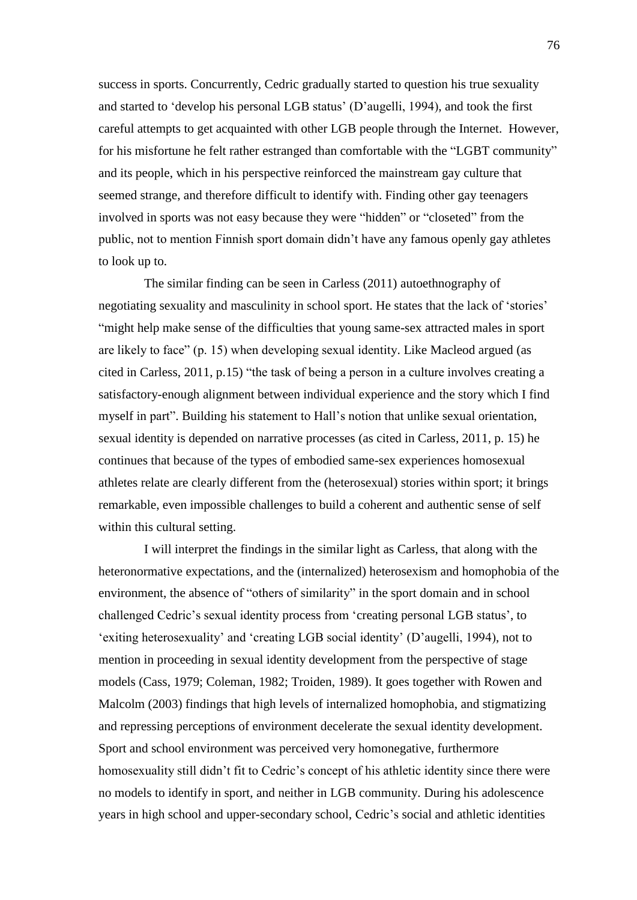success in sports. Concurrently, Cedric gradually started to question his true sexuality and started to 'develop his personal LGB status' (D'augelli, 1994), and took the first careful attempts to get acquainted with other LGB people through the Internet. However, for his misfortune he felt rather estranged than comfortable with the "LGBT community" and its people, which in his perspective reinforced the mainstream gay culture that seemed strange, and therefore difficult to identify with. Finding other gay teenagers involved in sports was not easy because they were "hidden" or "closeted" from the public, not to mention Finnish sport domain didn't have any famous openly gay athletes to look up to.

The similar finding can be seen in Carless (2011) autoethnography of negotiating sexuality and masculinity in school sport. He states that the lack of 'stories' "might help make sense of the difficulties that young same-sex attracted males in sport are likely to face" (p. 15) when developing sexual identity. Like Macleod argued (as cited in Carless,  $2011$ , p.15) "the task of being a person in a culture involves creating a satisfactory-enough alignment between individual experience and the story which I find myself in part". Building his statement to Hall's notion that unlike sexual orientation, sexual identity is depended on narrative processes (as cited in Carless, 2011, p. 15) he continues that because of the types of embodied same-sex experiences homosexual athletes relate are clearly different from the (heterosexual) stories within sport; it brings remarkable, even impossible challenges to build a coherent and authentic sense of self within this cultural setting.

I will interpret the findings in the similar light as Carless, that along with the heteronormative expectations, and the (internalized) heterosexism and homophobia of the environment, the absence of "others of similarity" in the sport domain and in school challenged Cedric's sexual identity process from ‗creating personal LGB status', to ‗exiting heterosexuality' and ‗creating LGB social identity' (D'augelli, 1994), not to mention in proceeding in sexual identity development from the perspective of stage models (Cass, 1979; Coleman, 1982; Troiden, 1989). It goes together with Rowen and Malcolm (2003) findings that high levels of internalized homophobia, and stigmatizing and repressing perceptions of environment decelerate the sexual identity development. Sport and school environment was perceived very homonegative, furthermore homosexuality still didn't fit to Cedric's concept of his athletic identity since there were no models to identify in sport, and neither in LGB community. During his adolescence years in high school and upper-secondary school, Cedric's social and athletic identities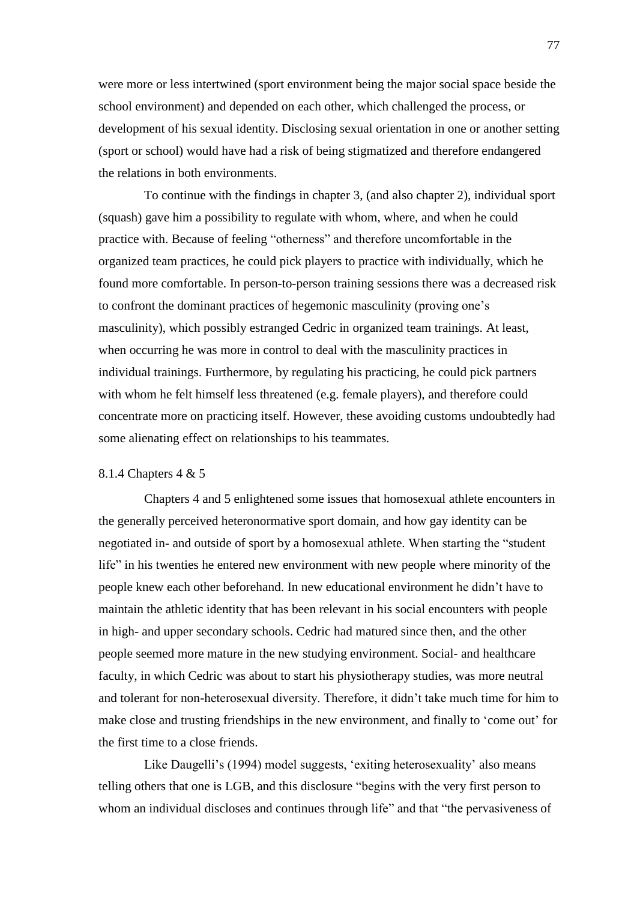were more or less intertwined (sport environment being the major social space beside the school environment) and depended on each other, which challenged the process, or development of his sexual identity. Disclosing sexual orientation in one or another setting (sport or school) would have had a risk of being stigmatized and therefore endangered the relations in both environments.

To continue with the findings in chapter 3, (and also chapter 2), individual sport (squash) gave him a possibility to regulate with whom, where, and when he could practice with. Because of feeling "otherness" and therefore uncomfortable in the organized team practices, he could pick players to practice with individually, which he found more comfortable. In person-to-person training sessions there was a decreased risk to confront the dominant practices of hegemonic masculinity (proving one's masculinity), which possibly estranged Cedric in organized team trainings. At least, when occurring he was more in control to deal with the masculinity practices in individual trainings. Furthermore, by regulating his practicing, he could pick partners with whom he felt himself less threatened (e.g. female players), and therefore could concentrate more on practicing itself. However, these avoiding customs undoubtedly had some alienating effect on relationships to his teammates.

# 8.1.4 Chapters 4 & 5

Chapters 4 and 5 enlightened some issues that homosexual athlete encounters in the generally perceived heteronormative sport domain, and how gay identity can be negotiated in- and outside of sport by a homosexual athlete. When starting the "student" life" in his twenties he entered new environment with new people where minority of the people knew each other beforehand. In new educational environment he didn't have to maintain the athletic identity that has been relevant in his social encounters with people in high- and upper secondary schools. Cedric had matured since then, and the other people seemed more mature in the new studying environment. Social- and healthcare faculty, in which Cedric was about to start his physiotherapy studies, was more neutral and tolerant for non-heterosexual diversity. Therefore, it didn't take much time for him to make close and trusting friendships in the new environment, and finally to 'come out' for the first time to a close friends.

Like Daugelli's (1994) model suggests, 'exiting heterosexuality' also means telling others that one is LGB, and this disclosure "begins with the very first person to whom an individual discloses and continues through life" and that "the pervasiveness of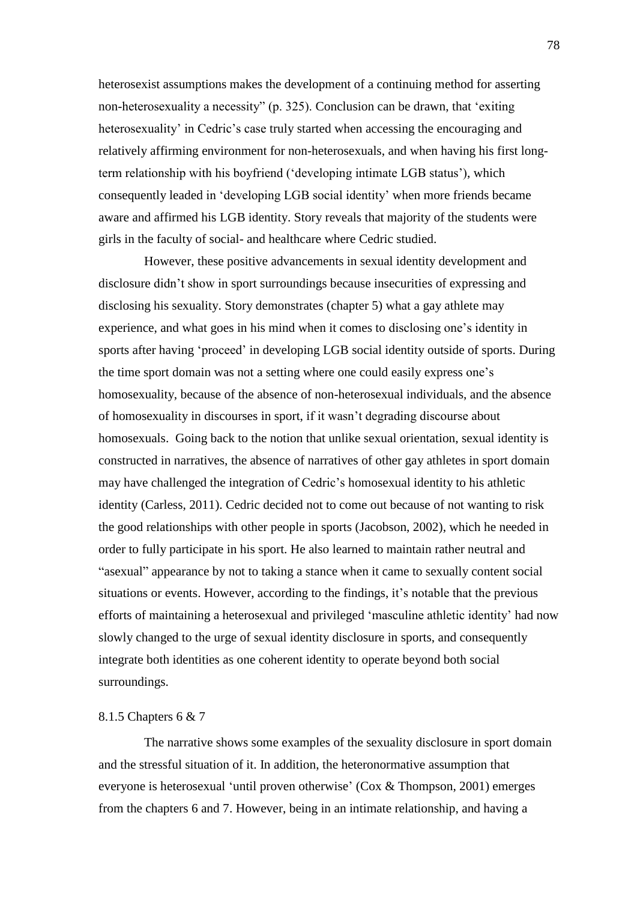heterosexist assumptions makes the development of a continuing method for asserting non-heterosexuality a necessity" (p. 325). Conclusion can be drawn, that 'exiting heterosexuality' in Cedric's case truly started when accessing the encouraging and relatively affirming environment for non-heterosexuals, and when having his first longterm relationship with his boyfriend ('developing intimate LGB status'), which consequently leaded in ‗developing LGB social identity' when more friends became aware and affirmed his LGB identity. Story reveals that majority of the students were girls in the faculty of social- and healthcare where Cedric studied.

However, these positive advancements in sexual identity development and disclosure didn't show in sport surroundings because insecurities of expressing and disclosing his sexuality. Story demonstrates (chapter 5) what a gay athlete may experience, and what goes in his mind when it comes to disclosing one's identity in sports after having 'proceed' in developing LGB social identity outside of sports. During the time sport domain was not a setting where one could easily express one's homosexuality, because of the absence of non-heterosexual individuals, and the absence of homosexuality in discourses in sport, if it wasn't degrading discourse about homosexuals. Going back to the notion that unlike sexual orientation, sexual identity is constructed in narratives, the absence of narratives of other gay athletes in sport domain may have challenged the integration of Cedric's homosexual identity to his athletic identity (Carless, 2011). Cedric decided not to come out because of not wanting to risk the good relationships with other people in sports (Jacobson, 2002), which he needed in order to fully participate in his sport. He also learned to maintain rather neutral and "asexual" appearance by not to taking a stance when it came to sexually content social situations or events. However, according to the findings, it's notable that the previous efforts of maintaining a heterosexual and privileged 'masculine athletic identity' had now slowly changed to the urge of sexual identity disclosure in sports, and consequently integrate both identities as one coherent identity to operate beyond both social surroundings.

#### 8.1.5 Chapters 6 & 7

The narrative shows some examples of the sexuality disclosure in sport domain and the stressful situation of it. In addition, the heteronormative assumption that everyone is heterosexual 'until proven otherwise' (Cox & Thompson, 2001) emerges from the chapters 6 and 7. However, being in an intimate relationship, and having a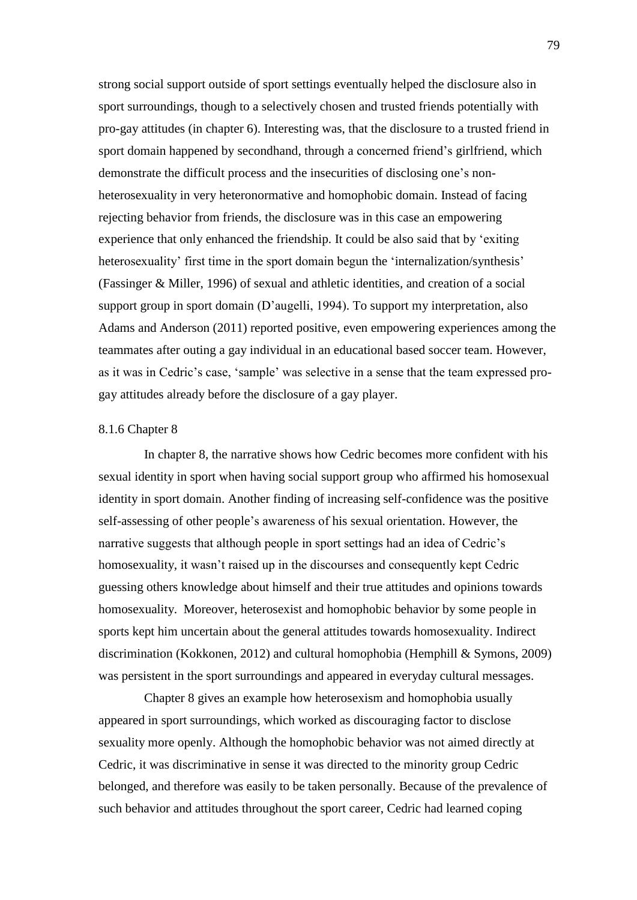strong social support outside of sport settings eventually helped the disclosure also in sport surroundings, though to a selectively chosen and trusted friends potentially with pro-gay attitudes (in chapter 6). Interesting was, that the disclosure to a trusted friend in sport domain happened by secondhand, through a concerned friend's girlfriend, which demonstrate the difficult process and the insecurities of disclosing one's nonheterosexuality in very heteronormative and homophobic domain. Instead of facing rejecting behavior from friends, the disclosure was in this case an empowering experience that only enhanced the friendship. It could be also said that by 'exiting heterosexuality' first time in the sport domain begun the 'internalization/synthesis' (Fassinger & Miller, 1996) of sexual and athletic identities, and creation of a social support group in sport domain (D'augelli, 1994). To support my interpretation, also Adams and Anderson (2011) reported positive, even empowering experiences among the teammates after outing a gay individual in an educational based soccer team. However, as it was in Cedric's case, ‗sample' was selective in a sense that the team expressed progay attitudes already before the disclosure of a gay player.

#### 8.1.6 Chapter 8

In chapter 8, the narrative shows how Cedric becomes more confident with his sexual identity in sport when having social support group who affirmed his homosexual identity in sport domain. Another finding of increasing self-confidence was the positive self-assessing of other people's awareness of his sexual orientation. However, the narrative suggests that although people in sport settings had an idea of Cedric's homosexuality, it wasn't raised up in the discourses and consequently kept Cedric guessing others knowledge about himself and their true attitudes and opinions towards homosexuality. Moreover, heterosexist and homophobic behavior by some people in sports kept him uncertain about the general attitudes towards homosexuality. Indirect discrimination (Kokkonen, 2012) and cultural homophobia (Hemphill & Symons, 2009) was persistent in the sport surroundings and appeared in everyday cultural messages.

Chapter 8 gives an example how heterosexism and homophobia usually appeared in sport surroundings, which worked as discouraging factor to disclose sexuality more openly. Although the homophobic behavior was not aimed directly at Cedric, it was discriminative in sense it was directed to the minority group Cedric belonged, and therefore was easily to be taken personally. Because of the prevalence of such behavior and attitudes throughout the sport career, Cedric had learned coping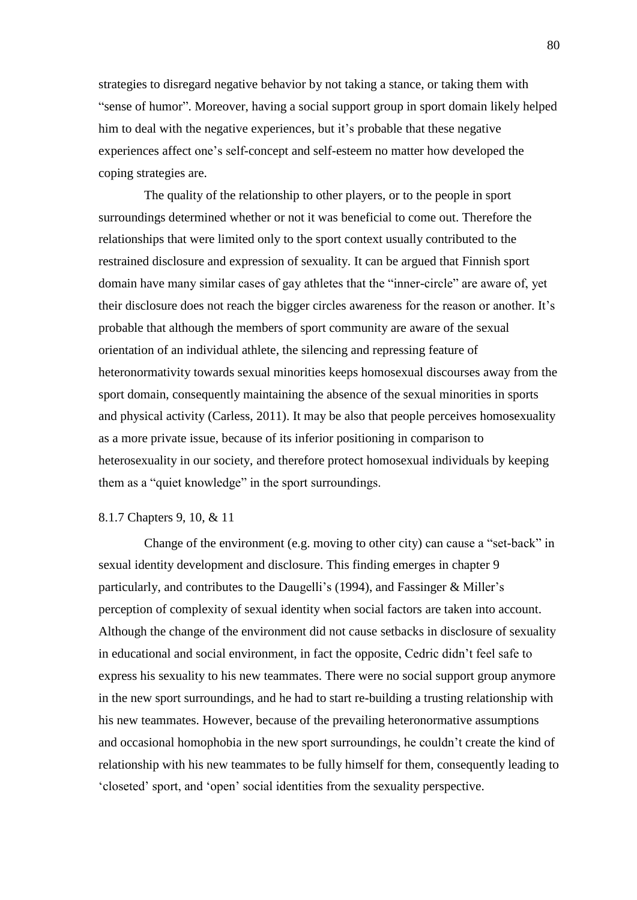strategies to disregard negative behavior by not taking a stance, or taking them with "sense of humor". Moreover, having a social support group in sport domain likely helped him to deal with the negative experiences, but it's probable that these negative experiences affect one's self-concept and self-esteem no matter how developed the coping strategies are.

The quality of the relationship to other players, or to the people in sport surroundings determined whether or not it was beneficial to come out. Therefore the relationships that were limited only to the sport context usually contributed to the restrained disclosure and expression of sexuality. It can be argued that Finnish sport domain have many similar cases of gay athletes that the "inner-circle" are aware of, yet their disclosure does not reach the bigger circles awareness for the reason or another. It's probable that although the members of sport community are aware of the sexual orientation of an individual athlete, the silencing and repressing feature of heteronormativity towards sexual minorities keeps homosexual discourses away from the sport domain, consequently maintaining the absence of the sexual minorities in sports and physical activity (Carless, 2011). It may be also that people perceives homosexuality as a more private issue, because of its inferior positioning in comparison to heterosexuality in our society, and therefore protect homosexual individuals by keeping them as a "quiet knowledge" in the sport surroundings.

### 8.1.7 Chapters 9, 10, & 11

Change of the environment (e.g. moving to other city) can cause a "set-back" in sexual identity development and disclosure. This finding emerges in chapter 9 particularly, and contributes to the Daugelli's (1994), and Fassinger & Miller's perception of complexity of sexual identity when social factors are taken into account. Although the change of the environment did not cause setbacks in disclosure of sexuality in educational and social environment, in fact the opposite, Cedric didn't feel safe to express his sexuality to his new teammates. There were no social support group anymore in the new sport surroundings, and he had to start re-building a trusting relationship with his new teammates. However, because of the prevailing heteronormative assumptions and occasional homophobia in the new sport surroundings, he couldn't create the kind of relationship with his new teammates to be fully himself for them, consequently leading to ‗closeted' sport, and ‗open' social identities from the sexuality perspective.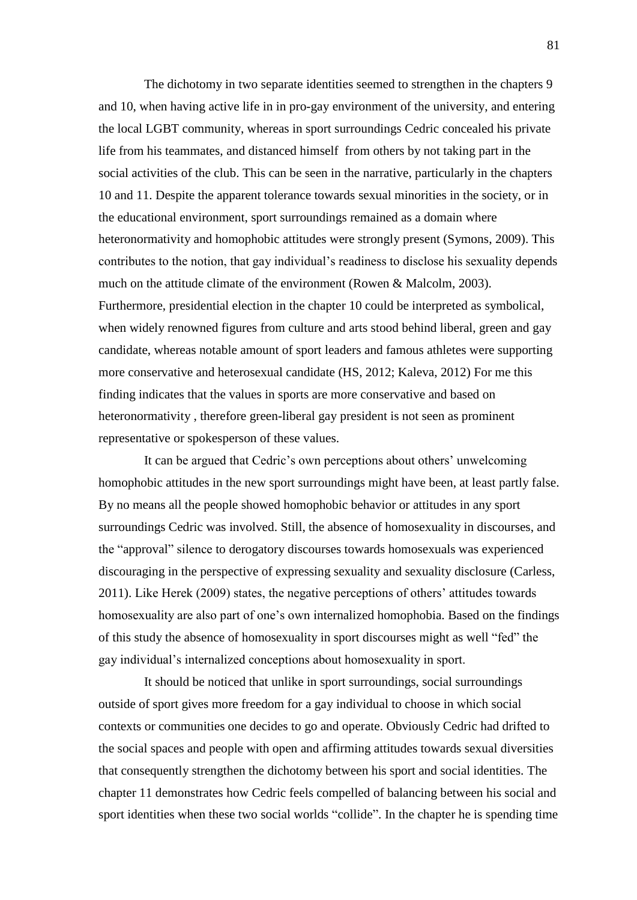The dichotomy in two separate identities seemed to strengthen in the chapters 9 and 10, when having active life in in pro-gay environment of the university, and entering the local LGBT community, whereas in sport surroundings Cedric concealed his private life from his teammates, and distanced himself from others by not taking part in the social activities of the club. This can be seen in the narrative, particularly in the chapters 10 and 11. Despite the apparent tolerance towards sexual minorities in the society, or in the educational environment, sport surroundings remained as a domain where heteronormativity and homophobic attitudes were strongly present (Symons, 2009). This contributes to the notion, that gay individual's readiness to disclose his sexuality depends much on the attitude climate of the environment (Rowen & Malcolm, 2003). Furthermore, presidential election in the chapter 10 could be interpreted as symbolical, when widely renowned figures from culture and arts stood behind liberal, green and gay candidate, whereas notable amount of sport leaders and famous athletes were supporting more conservative and heterosexual candidate (HS, 2012; Kaleva, 2012) For me this finding indicates that the values in sports are more conservative and based on heteronormativity , therefore green-liberal gay president is not seen as prominent representative or spokesperson of these values.

It can be argued that Cedric's own perceptions about others' unwelcoming homophobic attitudes in the new sport surroundings might have been, at least partly false. By no means all the people showed homophobic behavior or attitudes in any sport surroundings Cedric was involved. Still, the absence of homosexuality in discourses, and the "approval" silence to derogatory discourses towards homosexuals was experienced discouraging in the perspective of expressing sexuality and sexuality disclosure (Carless, 2011). Like Herek (2009) states, the negative perceptions of others' attitudes towards homosexuality are also part of one's own internalized homophobia. Based on the findings of this study the absence of homosexuality in sport discourses might as well "fed" the gay individual's internalized conceptions about homosexuality in sport.

It should be noticed that unlike in sport surroundings, social surroundings outside of sport gives more freedom for a gay individual to choose in which social contexts or communities one decides to go and operate. Obviously Cedric had drifted to the social spaces and people with open and affirming attitudes towards sexual diversities that consequently strengthen the dichotomy between his sport and social identities. The chapter 11 demonstrates how Cedric feels compelled of balancing between his social and sport identities when these two social worlds "collide". In the chapter he is spending time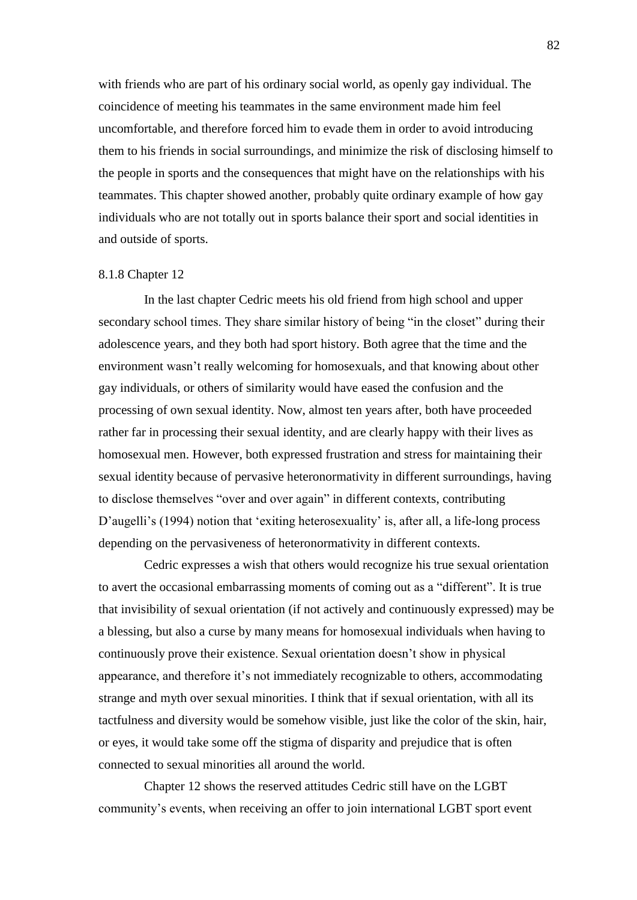with friends who are part of his ordinary social world, as openly gay individual. The coincidence of meeting his teammates in the same environment made him feel uncomfortable, and therefore forced him to evade them in order to avoid introducing them to his friends in social surroundings, and minimize the risk of disclosing himself to the people in sports and the consequences that might have on the relationships with his teammates. This chapter showed another, probably quite ordinary example of how gay individuals who are not totally out in sports balance their sport and social identities in and outside of sports.

### 8.1.8 Chapter 12

In the last chapter Cedric meets his old friend from high school and upper secondary school times. They share similar history of being "in the closet" during their adolescence years, and they both had sport history. Both agree that the time and the environment wasn't really welcoming for homosexuals, and that knowing about other gay individuals, or others of similarity would have eased the confusion and the processing of own sexual identity. Now, almost ten years after, both have proceeded rather far in processing their sexual identity, and are clearly happy with their lives as homosexual men. However, both expressed frustration and stress for maintaining their sexual identity because of pervasive heteronormativity in different surroundings, having to disclose themselves "over and over again" in different contexts, contributing D'augelli's (1994) notion that 'exiting heterosexuality' is, after all, a life-long process depending on the pervasiveness of heteronormativity in different contexts.

Cedric expresses a wish that others would recognize his true sexual orientation to avert the occasional embarrassing moments of coming out as a "different". It is true that invisibility of sexual orientation (if not actively and continuously expressed) may be a blessing, but also a curse by many means for homosexual individuals when having to continuously prove their existence. Sexual orientation doesn't show in physical appearance, and therefore it's not immediately recognizable to others, accommodating strange and myth over sexual minorities. I think that if sexual orientation, with all its tactfulness and diversity would be somehow visible, just like the color of the skin, hair, or eyes, it would take some off the stigma of disparity and prejudice that is often connected to sexual minorities all around the world.

Chapter 12 shows the reserved attitudes Cedric still have on the LGBT community's events, when receiving an offer to join international LGBT sport event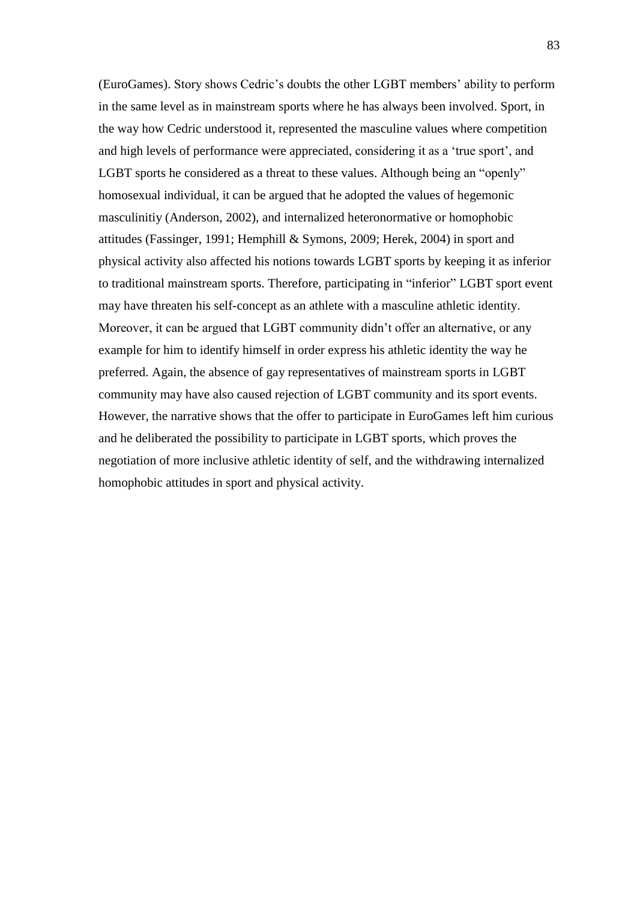(EuroGames). Story shows Cedric's doubts the other LGBT members' ability to perform in the same level as in mainstream sports where he has always been involved. Sport, in the way how Cedric understood it, represented the masculine values where competition and high levels of performance were appreciated, considering it as a 'true sport', and LGBT sports he considered as a threat to these values. Although being an "openly" homosexual individual, it can be argued that he adopted the values of hegemonic masculinitiy (Anderson, 2002), and internalized heteronormative or homophobic attitudes (Fassinger, 1991; Hemphill & Symons, 2009; Herek, 2004) in sport and physical activity also affected his notions towards LGBT sports by keeping it as inferior to traditional mainstream sports. Therefore, participating in "inferior" LGBT sport event may have threaten his self-concept as an athlete with a masculine athletic identity. Moreover, it can be argued that LGBT community didn't offer an alternative, or any example for him to identify himself in order express his athletic identity the way he preferred. Again, the absence of gay representatives of mainstream sports in LGBT community may have also caused rejection of LGBT community and its sport events. However, the narrative shows that the offer to participate in EuroGames left him curious and he deliberated the possibility to participate in LGBT sports, which proves the negotiation of more inclusive athletic identity of self, and the withdrawing internalized homophobic attitudes in sport and physical activity.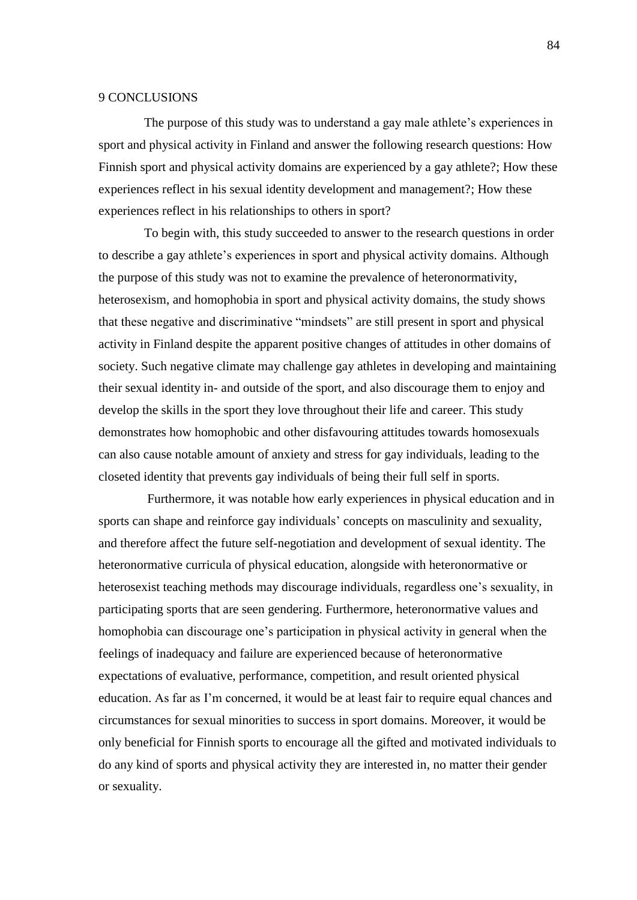### 9 CONCLUSIONS

The purpose of this study was to understand a gay male athlete's experiences in sport and physical activity in Finland and answer the following research questions: How Finnish sport and physical activity domains are experienced by a gay athlete?; How these experiences reflect in his sexual identity development and management?; How these experiences reflect in his relationships to others in sport?

To begin with, this study succeeded to answer to the research questions in order to describe a gay athlete's experiences in sport and physical activity domains. Although the purpose of this study was not to examine the prevalence of heteronormativity, heterosexism, and homophobia in sport and physical activity domains, the study shows that these negative and discriminative "mindsets" are still present in sport and physical activity in Finland despite the apparent positive changes of attitudes in other domains of society. Such negative climate may challenge gay athletes in developing and maintaining their sexual identity in- and outside of the sport, and also discourage them to enjoy and develop the skills in the sport they love throughout their life and career. This study demonstrates how homophobic and other disfavouring attitudes towards homosexuals can also cause notable amount of anxiety and stress for gay individuals, leading to the closeted identity that prevents gay individuals of being their full self in sports.

Furthermore, it was notable how early experiences in physical education and in sports can shape and reinforce gay individuals' concepts on masculinity and sexuality, and therefore affect the future self-negotiation and development of sexual identity. The heteronormative curricula of physical education, alongside with heteronormative or heterosexist teaching methods may discourage individuals, regardless one's sexuality, in participating sports that are seen gendering. Furthermore, heteronormative values and homophobia can discourage one's participation in physical activity in general when the feelings of inadequacy and failure are experienced because of heteronormative expectations of evaluative, performance, competition, and result oriented physical education. As far as I'm concerned, it would be at least fair to require equal chances and circumstances for sexual minorities to success in sport domains. Moreover, it would be only beneficial for Finnish sports to encourage all the gifted and motivated individuals to do any kind of sports and physical activity they are interested in, no matter their gender or sexuality.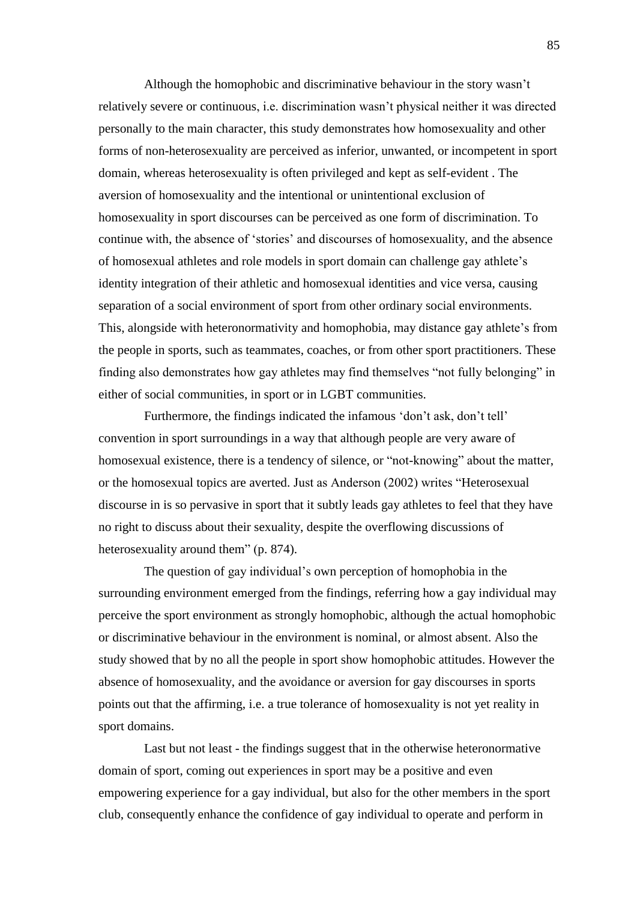Although the homophobic and discriminative behaviour in the story wasn't relatively severe or continuous, i.e. discrimination wasn't physical neither it was directed personally to the main character, this study demonstrates how homosexuality and other forms of non-heterosexuality are perceived as inferior, unwanted, or incompetent in sport domain, whereas heterosexuality is often privileged and kept as self-evident . The aversion of homosexuality and the intentional or unintentional exclusion of homosexuality in sport discourses can be perceived as one form of discrimination. To continue with, the absence of 'stories' and discourses of homosexuality, and the absence of homosexual athletes and role models in sport domain can challenge gay athlete's identity integration of their athletic and homosexual identities and vice versa, causing separation of a social environment of sport from other ordinary social environments. This, alongside with heteronormativity and homophobia, may distance gay athlete's from the people in sports, such as teammates, coaches, or from other sport practitioners. These finding also demonstrates how gay athletes may find themselves "not fully belonging" in either of social communities, in sport or in LGBT communities.

Furthermore, the findings indicated the infamous 'don't ask, don't tell' convention in sport surroundings in a way that although people are very aware of homosexual existence, there is a tendency of silence, or "not-knowing" about the matter, or the homosexual topics are averted. Just as Anderson (2002) writes "Heterosexual discourse in is so pervasive in sport that it subtly leads gay athletes to feel that they have no right to discuss about their sexuality, despite the overflowing discussions of heterosexuality around them" (p. 874).

The question of gay individual's own perception of homophobia in the surrounding environment emerged from the findings, referring how a gay individual may perceive the sport environment as strongly homophobic, although the actual homophobic or discriminative behaviour in the environment is nominal, or almost absent. Also the study showed that by no all the people in sport show homophobic attitudes. However the absence of homosexuality, and the avoidance or aversion for gay discourses in sports points out that the affirming, i.e. a true tolerance of homosexuality is not yet reality in sport domains.

Last but not least - the findings suggest that in the otherwise heteronormative domain of sport, coming out experiences in sport may be a positive and even empowering experience for a gay individual, but also for the other members in the sport club, consequently enhance the confidence of gay individual to operate and perform in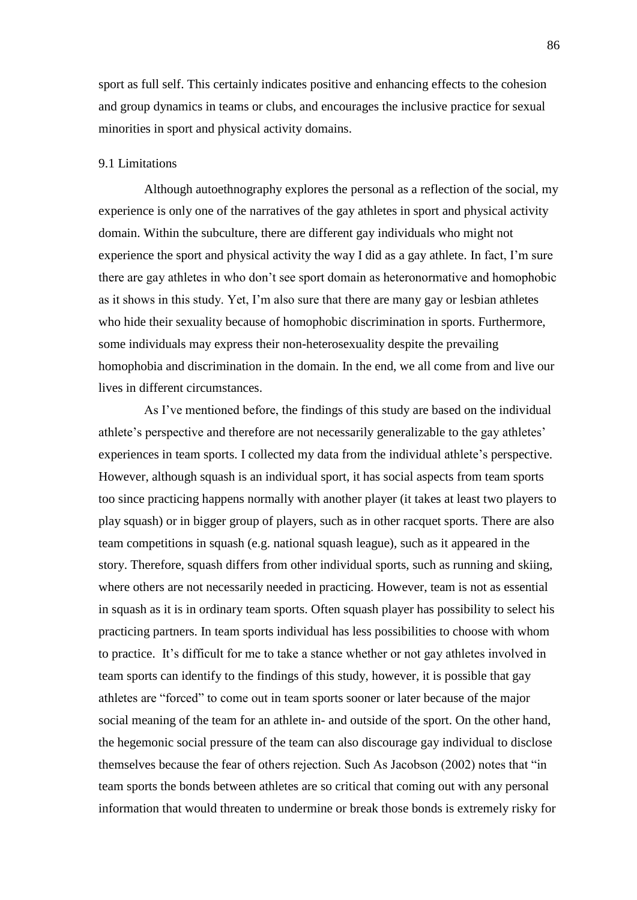sport as full self. This certainly indicates positive and enhancing effects to the cohesion and group dynamics in teams or clubs, and encourages the inclusive practice for sexual minorities in sport and physical activity domains.

# 9.1 Limitations

Although autoethnography explores the personal as a reflection of the social, my experience is only one of the narratives of the gay athletes in sport and physical activity domain. Within the subculture, there are different gay individuals who might not experience the sport and physical activity the way I did as a gay athlete. In fact, I'm sure there are gay athletes in who don't see sport domain as heteronormative and homophobic as it shows in this study. Yet, I'm also sure that there are many gay or lesbian athletes who hide their sexuality because of homophobic discrimination in sports. Furthermore, some individuals may express their non-heterosexuality despite the prevailing homophobia and discrimination in the domain. In the end, we all come from and live our lives in different circumstances.

As I've mentioned before, the findings of this study are based on the individual athlete's perspective and therefore are not necessarily generalizable to the gay athletes' experiences in team sports. I collected my data from the individual athlete's perspective. However, although squash is an individual sport, it has social aspects from team sports too since practicing happens normally with another player (it takes at least two players to play squash) or in bigger group of players, such as in other racquet sports. There are also team competitions in squash (e.g. national squash league), such as it appeared in the story. Therefore, squash differs from other individual sports, such as running and skiing, where others are not necessarily needed in practicing. However, team is not as essential in squash as it is in ordinary team sports. Often squash player has possibility to select his practicing partners. In team sports individual has less possibilities to choose with whom to practice. It's difficult for me to take a stance whether or not gay athletes involved in team sports can identify to the findings of this study, however, it is possible that gay athletes are "forced" to come out in team sports sooner or later because of the major social meaning of the team for an athlete in- and outside of the sport. On the other hand, the hegemonic social pressure of the team can also discourage gay individual to disclose themselves because the fear of others rejection. Such As Jacobson (2002) notes that "in team sports the bonds between athletes are so critical that coming out with any personal information that would threaten to undermine or break those bonds is extremely risky for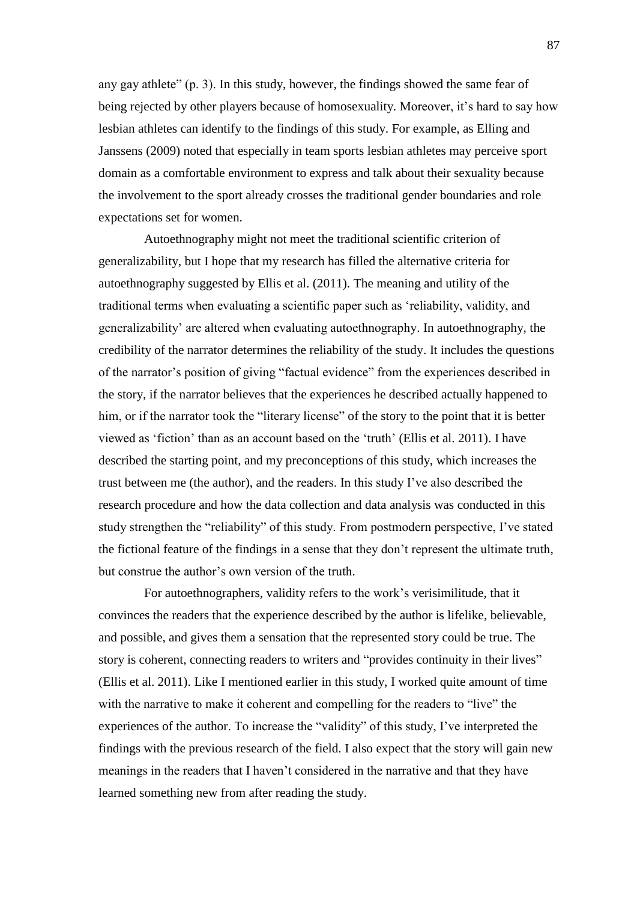any gay athlete" (p. 3). In this study, however, the findings showed the same fear of being rejected by other players because of homosexuality. Moreover, it's hard to say how lesbian athletes can identify to the findings of this study. For example, as Elling and Janssens (2009) noted that especially in team sports lesbian athletes may perceive sport domain as a comfortable environment to express and talk about their sexuality because the involvement to the sport already crosses the traditional gender boundaries and role expectations set for women.

Autoethnography might not meet the traditional scientific criterion of generalizability, but I hope that my research has filled the alternative criteria for autoethnography suggested by Ellis et al. (2011). The meaning and utility of the traditional terms when evaluating a scientific paper such as ‗reliability, validity, and generalizability' are altered when evaluating autoethnography. In autoethnography, the credibility of the narrator determines the reliability of the study. It includes the questions of the narrator's position of giving "factual evidence" from the experiences described in the story, if the narrator believes that the experiences he described actually happened to him, or if the narrator took the "literary license" of the story to the point that it is better viewed as ‗fiction' than as an account based on the ‗truth' (Ellis et al. 2011). I have described the starting point, and my preconceptions of this study, which increases the trust between me (the author), and the readers. In this study I've also described the research procedure and how the data collection and data analysis was conducted in this study strengthen the "reliability" of this study. From postmodern perspective, I've stated the fictional feature of the findings in a sense that they don't represent the ultimate truth, but construe the author's own version of the truth.

For autoethnographers, validity refers to the work's verisimilitude, that it convinces the readers that the experience described by the author is lifelike, believable, and possible, and gives them a sensation that the represented story could be true. The story is coherent, connecting readers to writers and "provides continuity in their lives" (Ellis et al. 2011). Like I mentioned earlier in this study, I worked quite amount of time with the narrative to make it coherent and compelling for the readers to "live" the experiences of the author. To increase the "validity" of this study, I've interpreted the findings with the previous research of the field. I also expect that the story will gain new meanings in the readers that I haven't considered in the narrative and that they have learned something new from after reading the study.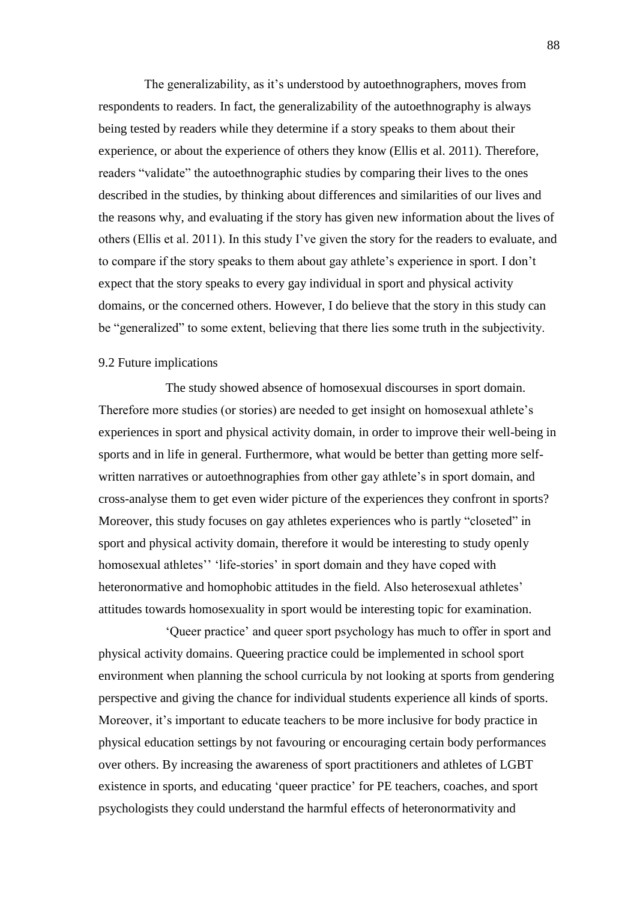The generalizability, as it's understood by autoethnographers, moves from respondents to readers. In fact, the generalizability of the autoethnography is always being tested by readers while they determine if a story speaks to them about their experience, or about the experience of others they know (Ellis et al. 2011). Therefore, readers "validate" the autoethnographic studies by comparing their lives to the ones described in the studies, by thinking about differences and similarities of our lives and the reasons why, and evaluating if the story has given new information about the lives of others (Ellis et al. 2011). In this study I've given the story for the readers to evaluate, and to compare if the story speaks to them about gay athlete's experience in sport. I don't expect that the story speaks to every gay individual in sport and physical activity domains, or the concerned others. However, I do believe that the story in this study can be "generalized" to some extent, believing that there lies some truth in the subjectivity.

## 9.2 Future implications

The study showed absence of homosexual discourses in sport domain. Therefore more studies (or stories) are needed to get insight on homosexual athlete's experiences in sport and physical activity domain, in order to improve their well-being in sports and in life in general. Furthermore, what would be better than getting more selfwritten narratives or autoethnographies from other gay athlete's in sport domain, and cross-analyse them to get even wider picture of the experiences they confront in sports? Moreover, this study focuses on gay athletes experiences who is partly "closeted" in sport and physical activity domain, therefore it would be interesting to study openly homosexual athletes'' 'life-stories' in sport domain and they have coped with heteronormative and homophobic attitudes in the field. Also heterosexual athletes' attitudes towards homosexuality in sport would be interesting topic for examination.

‗Queer practice' and queer sport psychology has much to offer in sport and physical activity domains. Queering practice could be implemented in school sport environment when planning the school curricula by not looking at sports from gendering perspective and giving the chance for individual students experience all kinds of sports. Moreover, it's important to educate teachers to be more inclusive for body practice in physical education settings by not favouring or encouraging certain body performances over others. By increasing the awareness of sport practitioners and athletes of LGBT existence in sports, and educating 'queer practice' for PE teachers, coaches, and sport psychologists they could understand the harmful effects of heteronormativity and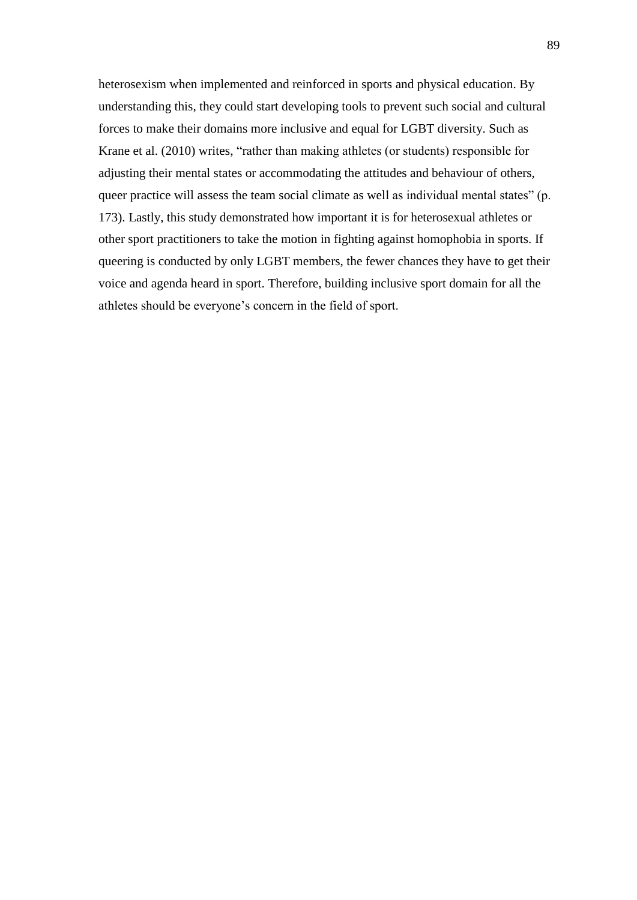heterosexism when implemented and reinforced in sports and physical education. By understanding this, they could start developing tools to prevent such social and cultural forces to make their domains more inclusive and equal for LGBT diversity. Such as Krane et al. (2010) writes, "rather than making athletes (or students) responsible for adjusting their mental states or accommodating the attitudes and behaviour of others, queer practice will assess the team social climate as well as individual mental states" (p. 173). Lastly, this study demonstrated how important it is for heterosexual athletes or other sport practitioners to take the motion in fighting against homophobia in sports. If queering is conducted by only LGBT members, the fewer chances they have to get their voice and agenda heard in sport. Therefore, building inclusive sport domain for all the athletes should be everyone's concern in the field of sport.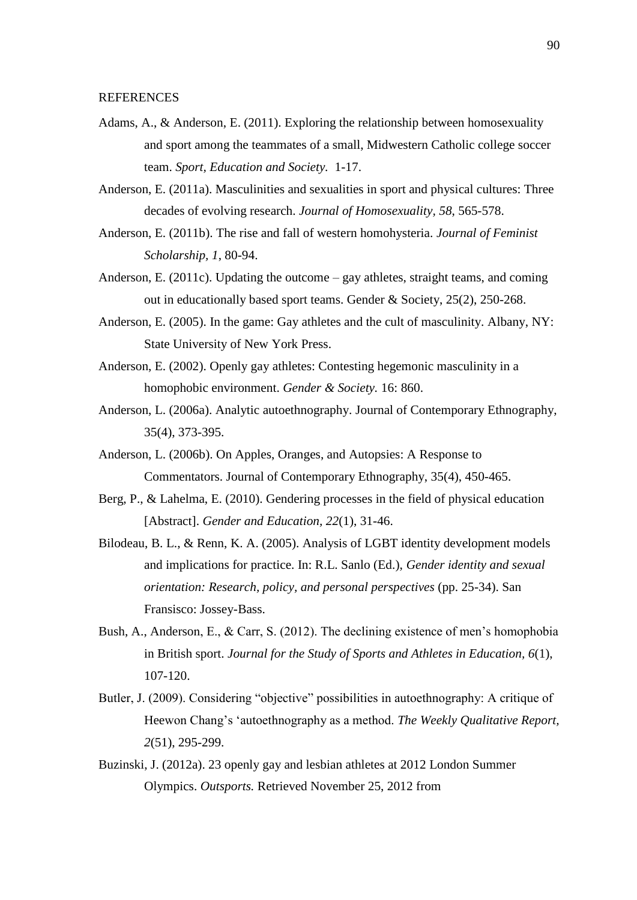REFERENCES

- Adams, A., & Anderson, E. (2011). Exploring the relationship between homosexuality and sport among the teammates of a small, Midwestern Catholic college soccer team. *Sport, Education and Society.* 1-17.
- Anderson, E. (2011a). Masculinities and sexualities in sport and physical cultures: Three decades of evolving research. *Journal of Homosexuality, 58*, 565-578.
- Anderson, E. (2011b). The rise and fall of western homohysteria. *Journal of Feminist Scholarship, 1*, 80-94.
- Anderson, E. (2011c). Updating the outcome gay athletes, straight teams, and coming out in educationally based sport teams. Gender & Society, 25(2), 250-268.
- Anderson, E. (2005). In the game: Gay athletes and the cult of masculinity. Albany, NY: State University of New York Press.
- Anderson, E. (2002). Openly gay athletes: Contesting hegemonic masculinity in a homophobic environment. *Gender & Society.* 16: 860.
- Anderson, L. (2006a). Analytic autoethnography. Journal of Contemporary Ethnography, 35(4), 373-395.
- Anderson, L. (2006b). On Apples, Oranges, and Autopsies: A Response to Commentators. Journal of Contemporary Ethnography, 35(4), 450-465.
- Berg, P., & Lahelma, E. (2010). Gendering processes in the field of physical education [Abstract]. *Gender and Education, 22*(1), 31-46.
- Bilodeau, B. L., & Renn, K. A. (2005). Analysis of LGBT identity development models and implications for practice. In: R.L. Sanlo (Ed.), *Gender identity and sexual orientation: Research, policy, and personal perspectives (pp. 25-34). San* Fransisco: Jossey-Bass.
- Bush, A., Anderson, E., & Carr, S. (2012). The declining existence of men's homophobia in British sport. *Journal for the Study of Sports and Athletes in Education, 6*(1), 107-120.
- Butler, J. (2009). Considering "objective" possibilities in autoethnography: A critique of Heewon Chang's ‗autoethnography as a method. *The Weekly Qualitative Report, 2*(51), 295-299.
- Buzinski, J. (2012a). 23 openly gay and lesbian athletes at 2012 London Summer Olympics. *Outsports.* Retrieved November 25, 2012 from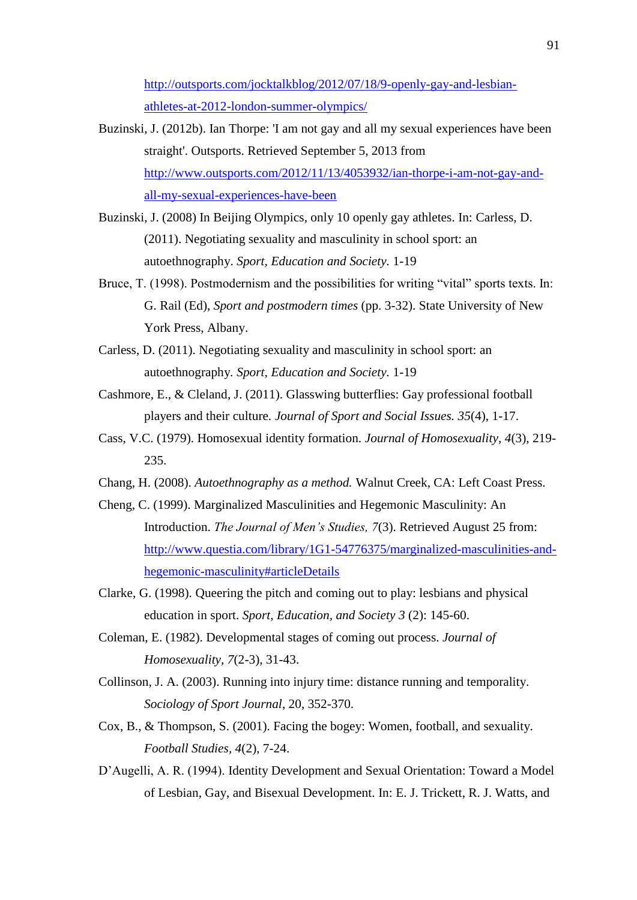[http://outsports.com/jocktalkblog/2012/07/18/9-openly-gay-and-lesbian](http://outsports.com/jocktalkblog/2012/07/18/9-openly-gay-and-lesbian-athletes-at-2012-london-summer-olympics/)[athletes-at-2012-london-summer-olympics/](http://outsports.com/jocktalkblog/2012/07/18/9-openly-gay-and-lesbian-athletes-at-2012-london-summer-olympics/)

- Buzinski, J. (2012b). Ian Thorpe: 'I am not gay and all my sexual experiences have been straight'. Outsports. Retrieved September 5, 2013 from [http://www.outsports.com/2012/11/13/4053932/ian-thorpe-i-am-not-gay-and](http://www.outsports.com/2012/11/13/4053932/ian-thorpe-i-am-not-gay-and-all-my-sexual-experiences-have-been)[all-my-sexual-experiences-have-been](http://www.outsports.com/2012/11/13/4053932/ian-thorpe-i-am-not-gay-and-all-my-sexual-experiences-have-been)
- Buzinski, J. (2008) In Beijing Olympics, only 10 openly gay athletes. In: Carless, D. (2011). Negotiating sexuality and masculinity in school sport: an autoethnography. *Sport, Education and Society.* 1-19
- Bruce, T. (1998). Postmodernism and the possibilities for writing "vital" sports texts. In: G. Rail (Ed), *Sport and postmodern times* (pp. 3-32). State University of New York Press, Albany.
- Carless, D. (2011). Negotiating sexuality and masculinity in school sport: an autoethnography*. Sport, Education and Society.* 1-19
- Cashmore, E., & Cleland, J. (2011). Glasswing butterflies: Gay professional football players and their culture. *Journal of Sport and Social Issues. 35*(4), 1-17.
- Cass, V.C. (1979). Homosexual identity formation. *Journal of Homosexuality, 4*(3), 219- 235.
- Chang, H. (2008). *Autoethnography as a method.* Walnut Creek, CA: Left Coast Press.
- Cheng, C. (1999). Marginalized Masculinities and Hegemonic Masculinity: An Introduction. *The Journal of Men's Studies, 7*(3). Retrieved August 25 from: [http://www.questia.com/library/1G1-54776375/marginalized-masculinities-and](http://www.questia.com/library/1G1-54776375/marginalized-masculinities-and-hegemonic-masculinity#articleDetails)[hegemonic-masculinity#articleDetails](http://www.questia.com/library/1G1-54776375/marginalized-masculinities-and-hegemonic-masculinity#articleDetails)
- Clarke, G. (1998). Queering the pitch and coming out to play: lesbians and physical education in sport. *Sport, Education, and Society 3* (2): 145-60.
- Coleman, E. (1982). Developmental stages of coming out process. *Journal of Homosexuality, 7*(2-3), 31-43.
- Collinson, J. A. (2003). Running into injury time: distance running and temporality. *Sociology of Sport Journal*, 20, 352-370.
- Cox, B., & Thompson, S. (2001). Facing the bogey: Women, football, and sexuality. *Football Studies, 4*(2), 7-24.
- D'Augelli, A. R. (1994). Identity Development and Sexual Orientation: Toward a Model of Lesbian, Gay, and Bisexual Development. In: E. J. Trickett, R. J. Watts, and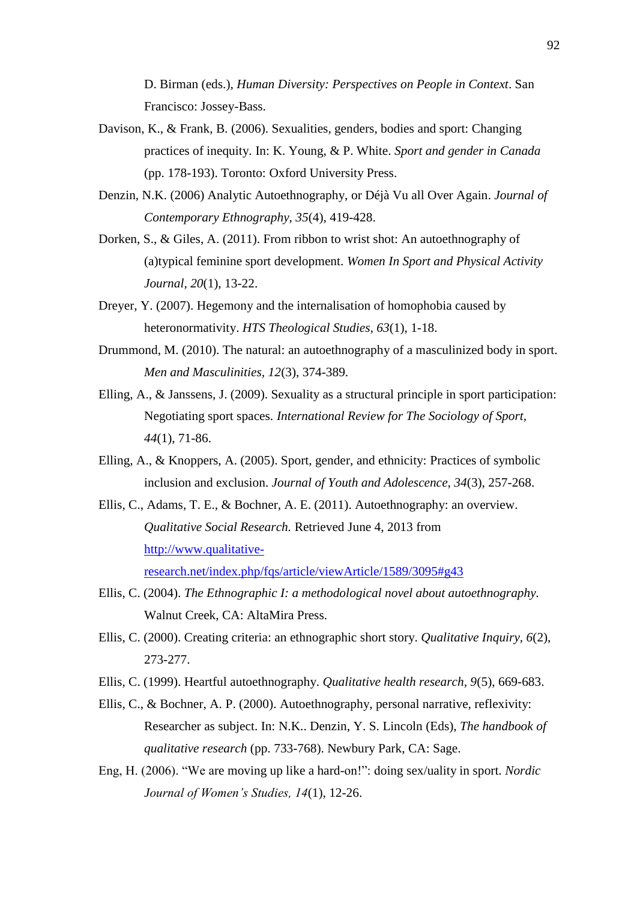D. Birman (eds.), *Human Diversity: Perspectives on People in Context*. San Francisco: Jossey-Bass.

- Davison, K., & Frank, B. (2006). Sexualities, genders, bodies and sport: Changing practices of inequity. In: K. Young, & P. White. *Sport and gender in Canada* (pp. 178-193). Toronto: Oxford University Press.
- Denzin, N.K. (2006) Analytic Autoethnography, or Déjà Vu all Over Again. *Journal of Contemporary Ethnography, 35*(4), 419-428.
- Dorken, S., & Giles, A. (2011). From ribbon to wrist shot: An autoethnography of (a)typical feminine sport development. *Women In Sport and Physical Activity Journal, 20*(1), 13-22.
- Dreyer, Y. (2007). Hegemony and the internalisation of homophobia caused by heteronormativity. *HTS Theological Studies, 63*(1), 1-18.
- Drummond, M. (2010). The natural: an autoethnography of a masculinized body in sport. *Men and Masculinities, 12*(3), 374-389.
- Elling, A., & Janssens, J. (2009). Sexuality as a structural principle in sport participation: Negotiating sport spaces. *International Review for The Sociology of Sport, 44*(1), 71-86.
- Elling, A., & Knoppers, A. (2005). Sport, gender, and ethnicity: Practices of symbolic inclusion and exclusion. *Journal of Youth and Adolescence, 34*(3), 257-268.
- Ellis, C., Adams, T. E., & Bochner, A. E. (2011). Autoethnography: an overview. *Qualitative Social Research.* Retrieved June 4, 2013 from [http://www.qualitative](http://www.qualitative-research.net/index.php/fqs/article/viewArticle/1589/3095#g43)[research.net/index.php/fqs/article/viewArticle/1589/3095#g43](http://www.qualitative-research.net/index.php/fqs/article/viewArticle/1589/3095#g43)
- Ellis, C. (2004). *The Ethnographic I: a methodological novel about autoethnography.*  Walnut Creek, CA: AltaMira Press.
- Ellis, C. (2000). Creating criteria: an ethnographic short story. *Qualitative Inquiry, 6*(2), 273-277.
- Ellis, C. (1999). Heartful autoethnography. *Qualitative health research, 9*(5), 669-683.
- Ellis, C., & Bochner, A. P. (2000). Autoethnography, personal narrative, reflexivity: Researcher as subject. In: N.K.. Denzin, Y. S. Lincoln (Eds), *The handbook of qualitative research* (pp. 733-768). Newbury Park, CA: Sage.
- Eng, H. (2006). "We are moving up like a hard-on!": doing sex/uality in sport. *Nordic Journal of Women's Studies, 14*(1), 12-26.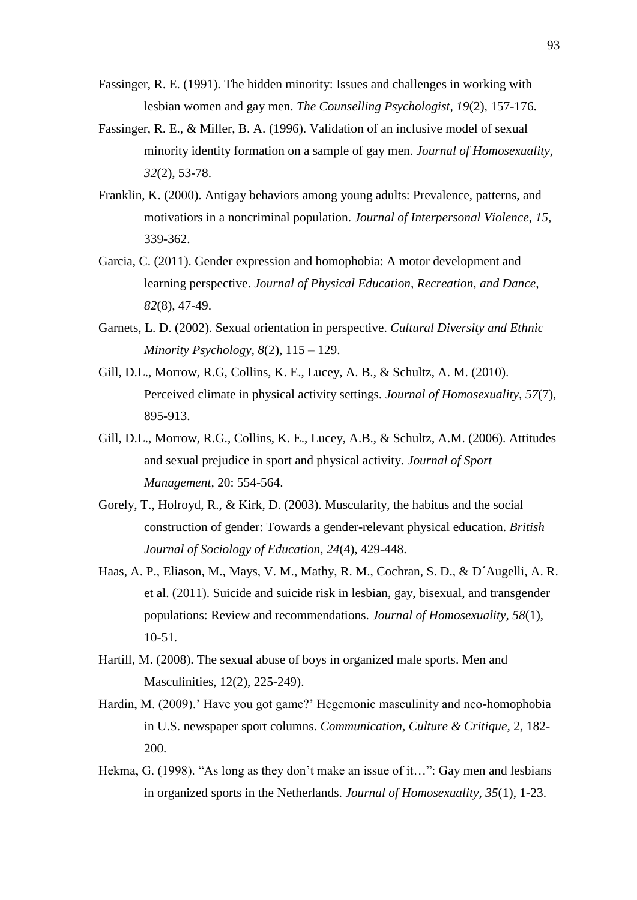- Fassinger, R. E. (1991). The hidden minority: Issues and challenges in working with lesbian women and gay men. *The Counselling Psychologist, 19*(2), 157-176.
- Fassinger, R. E., & Miller, B. A. (1996). Validation of an inclusive model of sexual minority identity formation on a sample of gay men. *Journal of Homosexuality, 32*(2), 53-78.
- Franklin, K. (2000). Antigay behaviors among young adults: Prevalence, patterns, and motivatiors in a noncriminal population. *Journal of Interpersonal Violence, 15*, 339-362.
- Garcia, C. (2011). Gender expression and homophobia: A motor development and learning perspective. *Journal of Physical Education, Recreation, and Dance, 82*(8), 47-49.
- Garnets, L. D. (2002). Sexual orientation in perspective. *Cultural Diversity and Ethnic Minority Psychology, 8*(2), 115 – 129.
- Gill, D.L., Morrow, R.G, Collins, K. E., Lucey, A. B., & Schultz, A. M. (2010). Perceived climate in physical activity settings. *Journal of Homosexuality, 57*(7), 895-913.
- Gill, D.L., Morrow, R.G., Collins, K. E., Lucey, A.B., & Schultz, A.M. (2006). Attitudes and sexual prejudice in sport and physical activity. *Journal of Sport Management,* 20: 554-564.
- Gorely, T., Holroyd, R., & Kirk, D. (2003). Muscularity, the habitus and the social construction of gender: Towards a gender-relevant physical education. *British Journal of Sociology of Education, 24*(4), 429-448.
- Haas, A. P., Eliason, M., Mays, V. M., Mathy, R. M., Cochran, S. D., & D´Augelli, A. R. et al. (2011). Suicide and suicide risk in lesbian, gay, bisexual, and transgender populations: Review and recommendations. *Journal of Homosexuality, 58*(1), 10-51.
- Hartill, M. (2008). The sexual abuse of boys in organized male sports. Men and Masculinities, 12(2), 225-249).
- Hardin, M. (2009).' Have you got game?' Hegemonic masculinity and neo-homophobia in U.S. newspaper sport columns. *Communication, Culture & Critique,* 2, 182- 200.
- Hekma, G. (1998). "As long as they don't make an issue of it...": Gay men and lesbians in organized sports in the Netherlands. *Journal of Homosexuality, 35*(1), 1-23.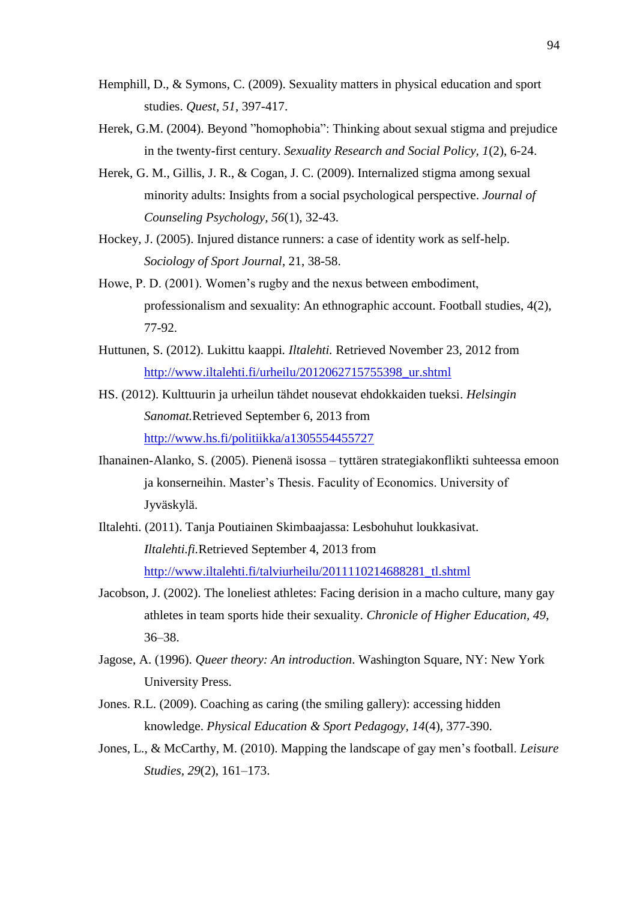- Hemphill, D., & Symons, C. (2009). Sexuality matters in physical education and sport studies. *Quest, 51*, 397-417.
- Herek, G.M. (2004). Beyond "homophobia": Thinking about sexual stigma and prejudice in the twenty-first century. *Sexuality Research and Social Policy, 1*(2), 6-24.
- Herek, G. M., Gillis, J. R., & Cogan, J. C. (2009). Internalized stigma among sexual minority adults: Insights from a social psychological perspective. *Journal of Counseling Psychology, 56*(1), 32-43.
- Hockey, J. (2005). Injured distance runners: a case of identity work as self-help. *Sociology of Sport Journal*, 21, 38-58.
- Howe, P. D. (2001). Women's rugby and the nexus between embodiment, professionalism and sexuality: An ethnographic account. Football studies, 4(2), 77-92.
- Huttunen, S. (2012). Lukittu kaappi*. Iltalehti.* Retrieved November 23, 2012 from [http://www.iltalehti.fi/urheilu/2012062715755398\\_ur.shtml](http://www.iltalehti.fi/urheilu/2012062715755398_ur.shtml)
- HS. (2012). Kulttuurin ja urheilun tähdet nousevat ehdokkaiden tueksi. *Helsingin Sanomat.*Retrieved September 6, 2013 from <http://www.hs.fi/politiikka/a1305554455727>
- Ihanainen-Alanko, S. (2005). Pienenä isossa tyttären strategiakonflikti suhteessa emoon ja konserneihin. Master's Thesis. Faculity of Economics. University of Jyväskylä.
- Iltalehti. (2011). Tanja Poutiainen Skimbaajassa: Lesbohuhut loukkasivat. *Iltalehti.fi.*Retrieved September 4, 2013 from [http://www.iltalehti.fi/talviurheilu/2011110214688281\\_tl.shtml](http://www.iltalehti.fi/talviurheilu/2011110214688281_tl.shtml)
- Jacobson, J. (2002). The loneliest athletes: Facing derision in a macho culture, many gay athletes in team sports hide their sexuality. *Chronicle of Higher Education, 49*, 36–38.
- Jagose, A. (1996). *Queer theory: An introduction*. Washington Square, NY: New York University Press.
- Jones. R.L. (2009). Coaching as caring (the smiling gallery): accessing hidden knowledge. *Physical Education & Sport Pedagogy, 14*(4), 377-390.
- Jones, L., & McCarthy, M. (2010). Mapping the landscape of gay men's football. *Leisure Studies, 29*(2), 161–173.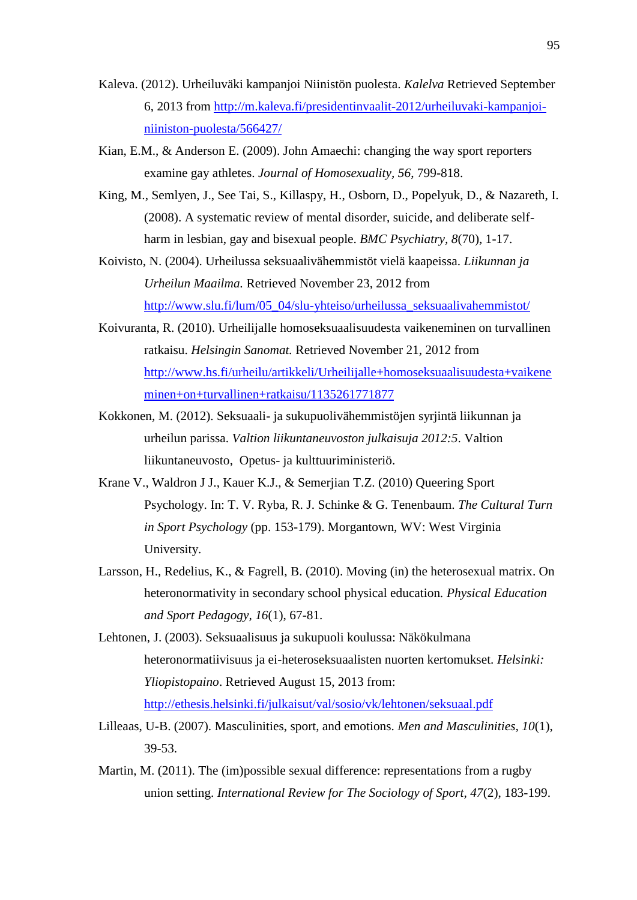- Kaleva. (2012). Urheiluväki kampanjoi Niinistön puolesta. *Kalelva* Retrieved September 6, 2013 from [http://m.kaleva.fi/presidentinvaalit-2012/urheiluvaki-kampanjoi](http://m.kaleva.fi/presidentinvaalit-2012/urheiluvaki-kampanjoi-niiniston-puolesta/566427/)[niiniston-puolesta/566427/](http://m.kaleva.fi/presidentinvaalit-2012/urheiluvaki-kampanjoi-niiniston-puolesta/566427/)
- Kian, E.M., & Anderson E. (2009). John Amaechi: changing the way sport reporters examine gay athletes. *Journal of Homosexuality, 56*, 799-818.
- King, M., Semlyen, J., See Tai, S., Killaspy, H., Osborn, D., Popelyuk, D., & Nazareth, I. (2008). A systematic review of mental disorder, suicide, and deliberate selfharm in lesbian, gay and bisexual people. *BMC Psychiatry, 8*(70), 1-17.
- Koivisto, N. (2004). Urheilussa seksuaalivähemmistöt vielä kaapeissa. *Liikunnan ja Urheilun Maailma.* Retrieved November 23, 2012 from [http://www.slu.fi/lum/05\\_04/slu-yhteiso/urheilussa\\_seksuaalivahemmistot/](http://www.slu.fi/lum/05_04/slu-yhteiso/urheilussa_seksuaalivahemmistot/)
- Koivuranta, R. (2010). Urheilijalle homoseksuaalisuudesta vaikeneminen on turvallinen ratkaisu. *Helsingin Sanomat.* Retrieved November 21, 2012 from [http://www.hs.fi/urheilu/artikkeli/Urheilijalle+homoseksuaalisuudesta+vaikene](http://www.hs.fi/urheilu/artikkeli/Urheilijalle+homoseksuaalisuudesta+vaikeneminen+on+turvallinen+ratkaisu/1135261771877) [minen+on+turvallinen+ratkaisu/1135261771877](http://www.hs.fi/urheilu/artikkeli/Urheilijalle+homoseksuaalisuudesta+vaikeneminen+on+turvallinen+ratkaisu/1135261771877)
- Kokkonen, M. (2012). Seksuaali- ja sukupuolivähemmistöjen syrjintä liikunnan ja urheilun parissa. *Valtion liikuntaneuvoston julkaisuja 2012:5*. Valtion liikuntaneuvosto, Opetus- ja kulttuuriministeriö.
- Krane V., Waldron J J., Kauer K.J., & Semerjian T.Z. (2010) Queering Sport Psychology. In: T. V. Ryba, R. J. Schinke & G. Tenenbaum. *The Cultural Turn in Sport Psychology* (pp. 153-179). Morgantown, WV: West Virginia University.
- Larsson, H., Redelius, K., & Fagrell, B. (2010). Moving (in) the heterosexual matrix. On heteronormativity in secondary school physical education*. Physical Education and Sport Pedagogy, 16*(1), 67-81.
- Lehtonen, J. (2003). Seksuaalisuus ja sukupuoli koulussa: Näkökulmana heteronormatiivisuus ja ei-heteroseksuaalisten nuorten kertomukset. *Helsinki: Yliopistopaino*. Retrieved August 15, 2013 from: <http://ethesis.helsinki.fi/julkaisut/val/sosio/vk/lehtonen/seksuaal.pdf>
- Lilleaas, U-B. (2007). Masculinities, sport, and emotions. *Men and Masculinities, 10*(1), 39-53.
- Martin, M. (2011). The (im)possible sexual difference: representations from a rugby union setting. *International Review for The Sociology of Sport, 47*(2), 183-199.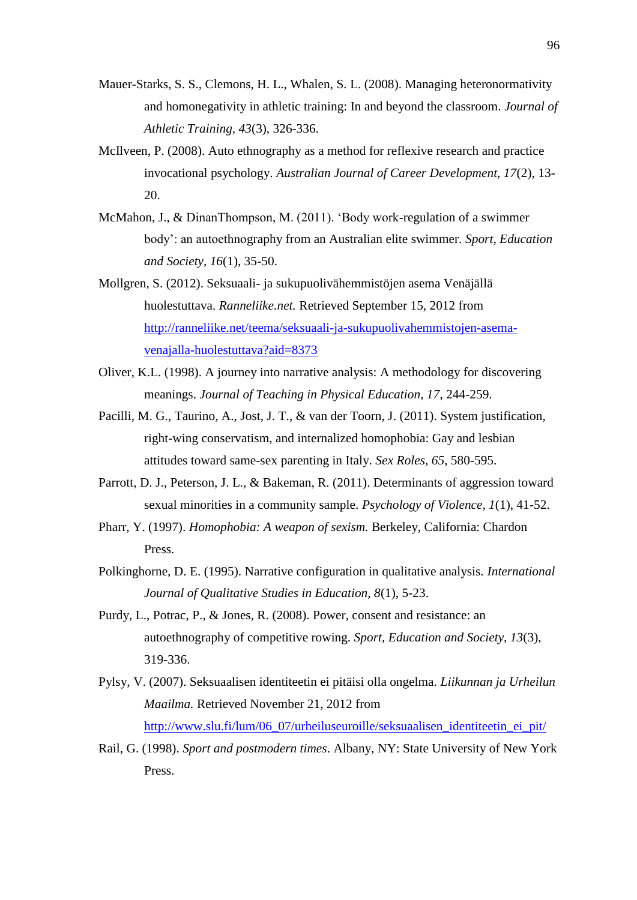- Mauer-Starks, S. S., Clemons, H. L., Whalen, S. L. (2008). Managing heteronormativity and homonegativity in athletic training: In and beyond the classroom. *Journal of Athletic Training, 43*(3), 326-336.
- McIlveen, P. (2008). Auto ethnography as a method for reflexive research and practice invocational psychology. *Australian Journal of Career Development, 17*(2), 13- 20.
- McMahon, J., & DinanThompson, M. (2011). 'Body work-regulation of a swimmer body': an autoethnography from an Australian elite swimmer. *Sport, Education and Society, 16*(1), 35-50.
- Mollgren, S. (2012). Seksuaali- ja sukupuolivähemmistöjen asema Venäjällä huolestuttava. *Ranneliike.net.* Retrieved September 15, 2012 from [http://ranneliike.net/teema/seksuaali-ja-sukupuolivahemmistojen-asema](http://ranneliike.net/teema/seksuaali-ja-sukupuolivahemmistojen-asema-venajalla-huolestuttava?aid=8373)[venajalla-huolestuttava?aid=8373](http://ranneliike.net/teema/seksuaali-ja-sukupuolivahemmistojen-asema-venajalla-huolestuttava?aid=8373)
- Oliver, K.L. (1998). A journey into narrative analysis: A methodology for discovering meanings. *Journal of Teaching in Physical Education, 17*, 244-259.
- Pacilli, M. G., Taurino, A., Jost, J. T., & van der Toorn, J. (2011). System justification, right-wing conservatism, and internalized homophobia: Gay and lesbian attitudes toward same-sex parenting in Italy. *Sex Roles, 65*, 580-595.
- Parrott, D. J., Peterson, J. L., & Bakeman, R. (2011). Determinants of aggression toward sexual minorities in a community sample. *Psychology of Violence, 1*(1), 41-52.
- Pharr, Y. (1997). *Homophobia: A weapon of sexism.* Berkeley, California: Chardon Press.
- Polkinghorne, D. E. (1995). Narrative configuration in qualitative analysis. *International Journal of Qualitative Studies in Education, 8*(1), 5-23.
- Purdy, L., Potrac, P., & Jones, R. (2008). Power, consent and resistance: an autoethnography of competitive rowing. *Sport, Education and Society, 13*(3), 319-336.
- Pylsy, V. (2007). Seksuaalisen identiteetin ei pitäisi olla ongelma. *Liikunnan ja Urheilun Maailma.* Retrieved November 21, 2012 from [http://www.slu.fi/lum/06\\_07/urheiluseuroille/seksuaalisen\\_identiteetin\\_ei\\_pit/](http://www.slu.fi/lum/06_07/urheiluseuroille/seksuaalisen_identiteetin_ei_pit/)
- Rail, G. (1998). *Sport and postmodern times*. Albany, NY: State University of New York Press.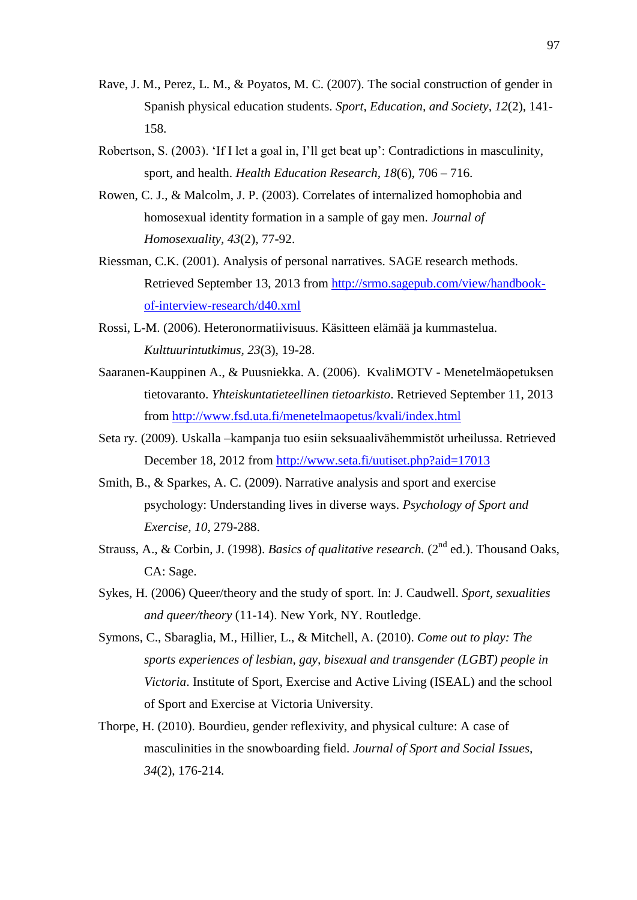- Rave, J. M., Perez, L. M., & Poyatos, M. C. (2007). The social construction of gender in Spanish physical education students. *Sport, Education, and Society, 12*(2), 141- 158.
- Robertson, S. (2003). 'If I let a goal in, I'll get beat up': Contradictions in masculinity, sport, and health. *Health Education Research, 18*(6), 706 – 716.
- Rowen, C. J., & Malcolm, J. P. (2003). Correlates of internalized homophobia and homosexual identity formation in a sample of gay men. *Journal of Homosexuality, 43*(2), 77-92.
- Riessman, C.K. (2001). Analysis of personal narratives. SAGE research methods. Retrieved September 13, 2013 from [http://srmo.sagepub.com/view/handbook](http://srmo.sagepub.com/view/handbook-of-interview-research/d40.xml)[of-interview-research/d40.xml](http://srmo.sagepub.com/view/handbook-of-interview-research/d40.xml)
- Rossi, L-M. (2006). Heteronormatiivisuus. Käsitteen elämää ja kummastelua. *Kulttuurintutkimus, 23*(3), 19-28.
- Saaranen-Kauppinen A., & Puusniekka. A. (2006). KvaliMOTV Menetelmäopetuksen tietovaranto. *Yhteiskuntatieteellinen tietoarkisto*. Retrieved September 11, 2013 from<http://www.fsd.uta.fi/menetelmaopetus/kvali/index.html>
- Seta ry. (2009). Uskalla –kampanja tuo esiin seksuaalivähemmistöt urheilussa. Retrieved December 18, 2012 from<http://www.seta.fi/uutiset.php?aid=17013>
- Smith, B., & Sparkes, A. C. (2009). Narrative analysis and sport and exercise psychology: Understanding lives in diverse ways. *Psychology of Sport and Exercise, 10*, 279-288.
- Strauss, A., & Corbin, J. (1998). *Basics of qualitative research.* (2<sup>nd</sup> ed.). Thousand Oaks, CA: Sage.
- Sykes, H. (2006) Queer/theory and the study of sport. In: J. Caudwell. *Sport, sexualities and queer/theory* (11-14). New York, NY. Routledge.
- Symons, C., Sbaraglia, M., Hillier, L., & Mitchell, A. (2010). *Come out to play: The sports experiences of lesbian, gay, bisexual and transgender (LGBT) people in Victoria*. Institute of Sport, Exercise and Active Living (ISEAL) and the school of Sport and Exercise at Victoria University.
- Thorpe, H. (2010). Bourdieu, gender reflexivity, and physical culture: A case of masculinities in the snowboarding field. *Journal of Sport and Social Issues, 34*(2), 176-214.